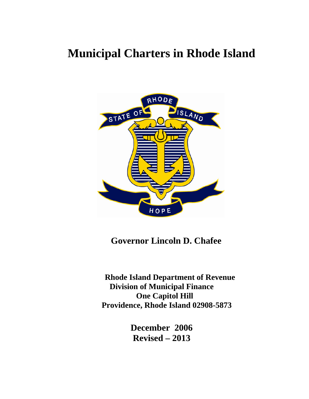# **Municipal Charters in Rhode Island**



 **Governor Lincoln D. Chafee** 

 **Rhode Island Department of Revenue Division of Municipal Finance One Capitol Hill Providence, Rhode Island 02908-5873** 

> **December 2006 Revised – 2013**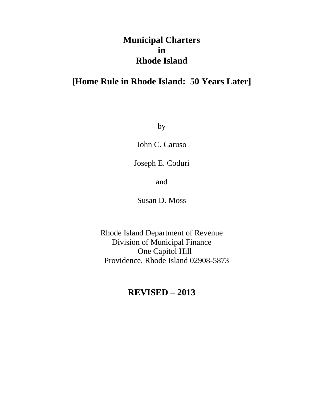# **Municipal Charters in Rhode Island**

# **[Home Rule in Rhode Island: 50 Years Later]**

by

John C. Caruso

Joseph E. Coduri

and

Susan D. Moss

Rhode Island Department of Revenue Division of Municipal Finance One Capitol Hill Providence, Rhode Island 02908-5873

# **REVISED – 2013**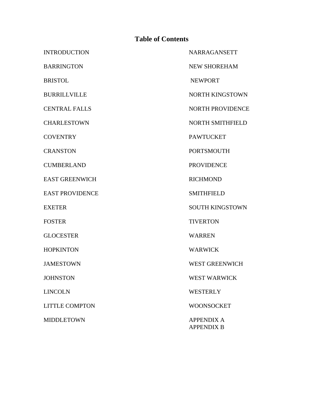## **Table of Contents**

INTRODUCTION NARRAGANSETT BARRINGTON NEW SHOREHAM BRISTOL NEWPORT BURRILLVILLE NORTH KINGSTOWN CENTRAL FALLS NORTH PROVIDENCE CHARLESTOWN NORTH SMITHFIELD COVENTRY PAWTUCKET CRANSTON PORTSMOUTH CUMBERLAND PROVIDENCE EAST GREENWICH RICHMOND EAST PROVIDENCE SMITHFIELD EXETER SOUTH KINGSTOWN FOSTER TIVERTON GLOCESTER WARREN HOPKINTON WARWICK JAMESTOWN WEST GREENWICH JOHNSTON WEST WARWICK LINCOLN WESTERLY LITTLE COMPTON WOONSOCKET MIDDLETOWN APPENDIX A APPENDIX B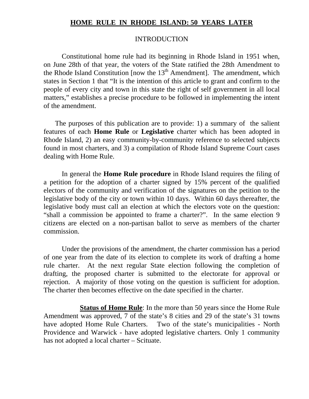# **HOME RULE IN RHODE ISLAND: 50 YEARS LATER**

#### INTRODUCTION

 Constitutional home rule had its beginning in Rhode Island in 1951 when, on June 28th of that year, the voters of the State ratified the 28th Amendment to the Rhode Island Constitution [now the  $13<sup>th</sup>$  Amendment]. The amendment, which states in Section 1 that "It is the intention of this article to grant and confirm to the people of every city and town in this state the right of self government in all local matters," establishes a precise procedure to be followed in implementing the intent of the amendment.

 The purposes of this publication are to provide: 1) a summary of the salient features of each **Home Rule** or **Legislative** charter which has been adopted in Rhode Island, 2) an easy community-by-community reference to selected subjects found in most charters, and 3) a compilation of Rhode Island Supreme Court cases dealing with Home Rule.

In general the **Home Rule procedure** in Rhode Island requires the filing of a petition for the adoption of a charter signed by 15% percent of the qualified electors of the community and verification of the signatures on the petition to the legislative body of the city or town within 10 days. Within 60 days thereafter, the legislative body must call an election at which the electors vote on the question: "shall a commission be appointed to frame a charter?". In the same election 9 citizens are elected on a non-partisan ballot to serve as members of the charter commission.

Under the provisions of the amendment, the charter commission has a period of one year from the date of its election to complete its work of drafting a home rule charter. At the next regular State election following the completion of drafting, the proposed charter is submitted to the electorate for approval or rejection. A majority of those voting on the question is sufficient for adoption. The charter then becomes effective on the date specified in the charter.

 **Status of Home Rule**: In the more than 50 years since the Home Rule Amendment was approved, 7 of the state's 8 cities and 29 of the state's 31 towns have adopted Home Rule Charters. Two of the state's municipalities - North Providence and Warwick - have adopted legislative charters. Only 1 community has not adopted a local charter – Scituate.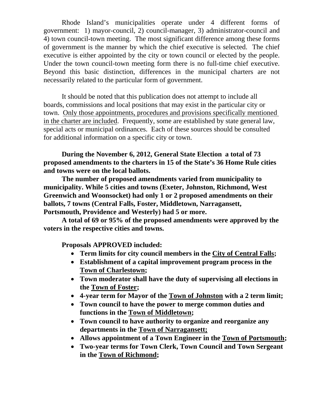Rhode Island's municipalities operate under 4 different forms of government: 1) mayor-council, 2) council-manager, 3) administrator-council and 4) town council-town meeting. The most significant difference among these forms of government is the manner by which the chief executive is selected. The chief executive is either appointed by the city or town council or elected by the people. Under the town council-town meeting form there is no full-time chief executive. Beyond this basic distinction, differences in the municipal charters are not necessarily related to the particular form of government.

 It should be noted that this publication does not attempt to include all boards, commissions and local positions that may exist in the particular city or town. Only those appointments, procedures and provisions specifically mentioned in the charter are included. Frequently, some are established by state general law, special acts or municipal ordinances. Each of these sources should be consulted for additional information on a specific city or town.

**During the November 6, 2012, General State Election a total of 73 proposed amendments to the charters in 15 of the State's 36 Home Rule cities and towns were on the local ballots.**

**The number of proposed amendments varied from municipality to municipality. While 5 cities and towns (Exeter, Johnston, Richmond, West Greenwich and Woonsocket) had only 1 or 2 proposed amendments on their ballots, 7 towns (Central Falls, Foster, Middletown, Narragansett, Portsmouth, Providence and Westerly) had 5 or more.**

**A total of 69 or 95% of the proposed amendments were approved by the voters in the respective cities and towns.** 

**Proposals APPROVED included:** 

- **Term limits for city council members in the City of Central Falls;**
- **Establishment of a capital improvement program process in the Town of Charlestown;**
- **Town moderator shall have the duty of supervising all elections in the Town of Foster;**
- **4-year term for Mayor of the Town of Johnston with a 2 term limit;**
- **Town council to have the power to merge common duties and functions in the Town of Middletown;**
- **Town council to have authority to organize and reorganize any departments in the Town of Narragansett;**
- **Allows appointment of a Town Engineer in the Town of Portsmouth;**
- **Two-year terms for Town Clerk, Town Council and Town Sergeant in the Town of Richmond;**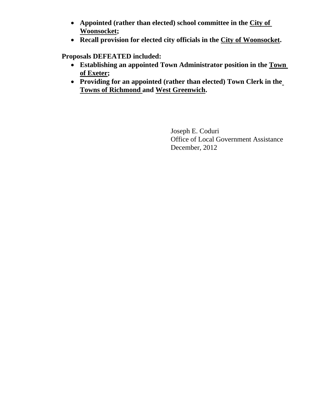- **Appointed (rather than elected) school committee in the City of Woonsocket;**
- **Recall provision for elected city officials in the City of Woonsocket.**

**Proposals DEFEATED included:** 

- **Establishing an appointed Town Administrator position in the Town of Exeter;**
- **Providing for an appointed (rather than elected) Town Clerk in the Towns of Richmond and West Greenwich.**

 Joseph E. Coduri Office of Local Government Assistance December, 2012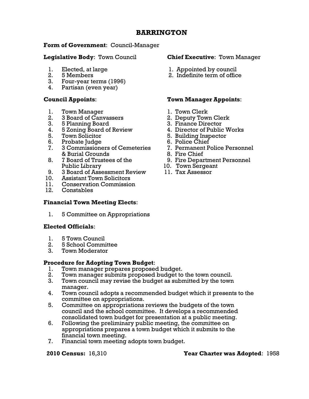# **BARRINGTON**

### **Form of Government**: Council-Manager

#### **Legislative Body**: Town Council **Chief Executive**: Town Manager

- 
- 
- 3. Four-year terms (1996)
- 4. Partisan (even year)

- 1. Town Manager 1. Town Clerk
- 2. 3 Board of Canvassers 2. Deputy Town Clerk
- 3. 5 Planning Board 3. Finance Director
- 4. 5 Zoning Board of Review 4. Director of Public Works
- 
- 6. Probate Judge 6. Police Chief
- 7. 3 Commissioners of Cemeteries 7. Permanent Police Personnel & Burial Grounds 8. Fire Chief
- 8. 7 Board of Trustees of the 9. Fire Department Personnel
- Public Library 10. Town Sergeant 9. 3 Board of Assessment Review
- 10. Assistant Town Solicitors
- 11. Conservation Commission
- 12. Constables

### **Financial Town Meeting Elects**:

1. 5 Committee on Appropriations

### **Elected Officials**:

- 1. 5 Town Council
- 2. 5 School Committee
- 3. Town Moderator

# **Procedure for Adopting Town Budget**:

- 1. Town manager prepares proposed budget.
- 2. Town manager submits proposed budget to the town council.
- 3. Town council may revise the budget as submitted by the town manager.
- 4. Town council adopts a recommended budget which it presents to the committee on appropriations.
- 5. Committee on appropriations reviews the budgets of the town council and the school committee. It develops a recommended consolidated town budget for presentation at a public meeting.
- 6. Following the preliminary public meeting, the committee on appropriations prepares a town budget which it submits to the financial town meeting.
- 7. Financial town meeting adopts town budget.

- 1. Elected, at large 1. Appointed by council<br>
2. 5 Members<br>
2. Indefinite term of office
	- 2. 5 Members 2. Indefinite term of office

### **Council Appoints**: **Town Manager Appoints**:

- 
- 
- 
- 
- 5. Town Solicitor 5. Building Inspector
	-
	-
	-
	-
	-
	-

#### **2010 Census:** 16,310 **Year Charter was Adopted**: 1958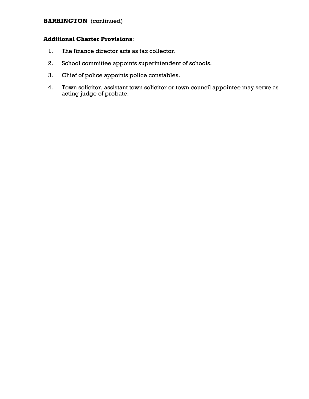## **BARRINGTON** (continued)

- 1. The finance director acts as tax collector.
- 2. School committee appoints superintendent of schools.
- 3. Chief of police appoints police constables.
- 4. Town solicitor, assistant town solicitor or town council appointee may serve as acting judge of probate.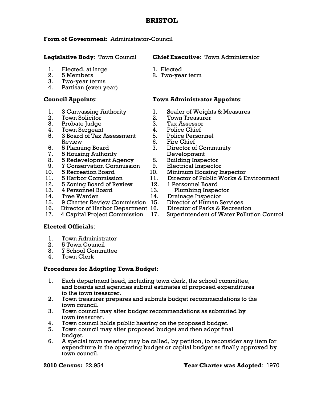# **BRISTOL**

### **Form of Government**: Administrator-Council

- 1. Elected, at large 1. Elected
- 
- 3. Two-year terms
- 4. Partisan (even year)

- 
- 
- 3. Probate Judge 3. Tax Assessor
- 
- 4. Town Sergeant 4. Police Chief<br>5. 3 Board of Tax Assessment 5. Police Persor 5. 3 Board of Tax Assessment 5. Police Personnel Review 6. Fire Chief
- 
- 7. 5 Housing Authority Development
- 8. 5 Redevelopment Agency 8. Building Inspector
- 9. 7 Conservation Commission 9. Electrical Inspector
- 
- 
- 12. 5 Zoning Board of Review 12. 1 Personnel Board
- 
- 
- 14. Tree Warden 14. Drainage Inspector<br>15. 9 Charter Review Commission 15. Director of Human Services 15. 9 Charter Review Commission 15.
- 16. Director of Harbor Department 16. Director of Parks & Recreation
- 

### **Elected Officials**:

- 1. Town Administrator
- 2. 5 Town Council
- 3. 7 School Committee
- 4. Town Clerk

### **Procedures for Adopting Town Budget**:

- 1. Each department head, including town clerk, the school committee, and boards and agencies submit estimates of proposed expenditures to the town treasurer.
- 2. Town treasurer prepares and submits budget recommendations to the town council.
- 3. Town council may alter budget recommendations as submitted by town treasurer.
- 4. Town council holds public hearing on the proposed budget.
- 5. Town council may alter proposed budget and then adopt final budget.
- 6. A special town meeting may be called, by petition, to reconsider any item for expenditure in the operating budget or capital budget as finally approved by town council.

#### **Legislative Body**: Town Council **Chief Executive**: Town Administrator

- 
- 2. 5 Members 2. Two-year term

### **Council Appoints**: **Town Administrator Appoints**:

- 1. 3 Canvassing Authority 1. Sealer of Weights & Measures
- 2. Town Solicitor 2. Town Treasurer
	-
	-
	-
	-
- 6. 5 Planning Board 7. Director of Community
	-
	-
- 10. 5 Recreation Board 10. Minimum Housing Inspector
- 11. 5 Harbor Commission 11. Director of Public Works & Environment
	-
- 13. 4 Personnel Board 13. Plumbing Inspector
	-
	-
	-
- 17. 4 Capital Project Commission 17. Superintendent of Water Pollution Control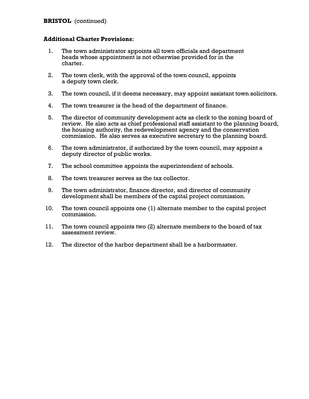- 1. The town administrator appoints all town officials and department heads whose appointment is not otherwise provided for in the charter.
- 2. The town clerk, with the approval of the town council, appoints a deputy town clerk.
- 3. The town council, if it deems necessary, may appoint assistant town solicitors.
- 4. The town treasurer is the head of the department of finance.
- 5. The director of community development acts as clerk to the zoning board of review. He also acts as chief professional staff assistant to the planning board, the housing authority, the redevelopment agency and the conservation commission. He also serves as executive secretary to the planning board.
- 6. The town administrator, if authorized by the town council, may appoint a deputy director of public works.
- 7. The school committee appoints the superintendent of schools.
- 8. The town treasurer serves as the tax collector.
- 9. The town administrator, finance director, and director of community development shall be members of the capital project commission.
- 10. The town council appoints one (1) alternate member to the capital project commission.
- 11. The town council appoints two (2) alternate members to the board of tax assessment review.
- 12. The director of the harbor department shall be a harbormaster.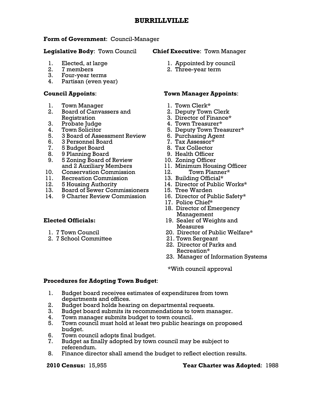# **Form of Government**: Council-Manager

- 
- 
- 3. Four-year terms
- 4. Partisan (even year)

- 1. Town Manager 1. Town Clerk\*
- 2. Board of Canvassers and 2. Deputy Town Clerk Registration 3. Director of Finance\*
- 
- 
- 5. 3 Board of Assessment Review 6. Purchasing Agent
- 6. 3 Personnel Board
- 7. 5 Budget Board 8. Tax Collector
- 8. 9 Planning Board 9. Health Officer
- 9. 5 Zoning Board of Review 10. Zoning Officer
- 10. Conservation Commission 12. Town Planne<br>11. Recreation Commission 13. Building Official\*
- 11. Recreation Commission
- 
- 13. Board of Sewer Commissioners 15. Tree Warden
- 14. 9 Charter Review Commission 16. Director of Public Safety\*

- 
- 2. 7 School Committee 21. Town Sergeant

# **Legislative Body**: Town Council **Chief Executive**: Town Manager

- 1. Elected, at large 1. Appointed by council
- 2. 7 members 2. Three-year term

# **Council Appoints**: **Town Manager Appoints**:

- 
- 
- 
- 3. Probate Judge 2. 2012 1. Town Treasurer\*
- 4. Town Solicitor 5. Deputy Town Treasurer\*
	-
	-
	-
	-
	-
	- and 2 Auxiliary Members 11. Minimum Housing Officer<br>Conservation Commission 12. Town Planner\*
		-
		-
- 12. 5 Housing Authority 14. Director of Public Works\*
	-
	-
	- 17. Police Chief\*
	- 18. Director of Emergency Management
- **Elected Officials:** 19. Sealer of Weights and Measures
	- 1. 7 Town Council 20. Director of Public Welfare\*
		-
		- 22. Director of Parks and Recreation\*
		- 23. Manager of Information Systems

\*With council approval

# **Procedures for Adopting Town Budget**:

- 1. Budget board receives estimates of expenditures from town departments and offices.
- 2. Budget board holds hearing on departmental requests.
- 3. Budget board submits its recommendations to town manager.
- 4. Town manager submits budget to town council.
- 5. Town council must hold at least two public hearings on proposed budget.
- 6. Town council adopts final budget.
- 7. Budget as finally adopted by town council may be subject to referendum.
- 8. Finance director shall amend the budget to reflect election results.

# **2010 Census:** 15,955 **Year Charter was Adopted**: 1988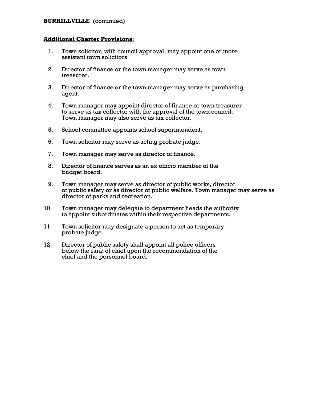#### **BURRILLVILLE** (continued)

- 1. Town solicitor, with council approval, may appoint one or more assistant town solicitors.
- 2. Director of finance or the town manager may serve as town treasurer.
- 3. Director of finance or the town manager may serve as purchasing agent.
- 4. Town manager may appoint director of finance or town treasurer to serve as tax collector with the approval of the town council. Town manager may also serve as tax collector.
- 5. School committee appoints school superintendent.
- 6. Town solicitor may serve as acting probate judge.
- 7. Town manager may serve as director of finance.
- 8. Director of finance serves as an ex officio member of the budget board.
- 9. Town manager may serve as director of public works, director of public safety or as director of public welfare. Town manager may serve as director of parks and recreation.
- 10. Town manager may delegate to department heads the authority to appoint subordinates within their respective departments.
- 11. Town solicitor may designate a person to act as temporary probate judge.
- 12. Director of public safety shall appoint all police officers below the rank of chief upon the recommendation of the chief and the personnel board.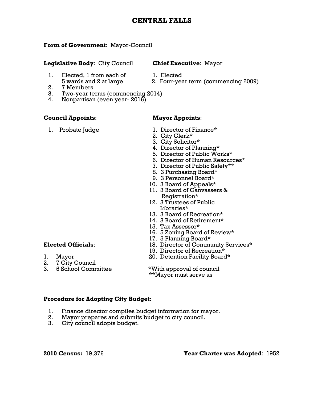# **CENTRAL FALLS**

#### **Form of Government**: Mayor-Council

#### **Legislative Body**: City Council **Chief Executive**: Mayor

- 1. Elected, 1 from each of 1. Elected
	- 5 wards and 2 at large 2. Four-year term (commencing 2009)
- 2. 7 Members
- 3. Two-year terms (commencing 2014)
- 4. Nonpartisan (even year- 2016)

#### **Council Appoints**: **Mayor Appoints**:

- 1. Probate Judge 1. Director of Finance\*
	- 2. City Clerk\*
	- 3. City Solicitor\*
	- 4. Director of Planning\*
	- 5. Director of Public Works\*
	- 6. Director of Human Resources\*
	- 7. Director of Public Safety\*\*
	- 8. 3 Purchasing Board\*
	- 9. 3 Personnel Board\*
	- 10. 3 Board of Appeals\*
	- 11. 3 Board of Canvassers & Registration\*
	- 12. 3 Trustees of Public Libraries\*
	- 13. 3 Board of Recreation\*
	- 14. 3 Board of Retirement\*
	- 15. Tax Assessor\*
	- 16. 5 Zoning Board of Review\*
	- 17. 5 Planning Board\*
- **Elected Officials**: 18. Director of Community Services\*
	- 19. Director of Recreation\*
- 1. Mayor 20. Detention Facility Board\*

2. 7 City Council<br>3. 5 School Committee

\*With approval of council \*\*Mayor must serve as

#### **Procedure for Adopting City Budget**:

- 1. Finance director compiles budget information for mayor.<br>2. Mavor prepares and submits budget to city council.
- Mayor prepares and submits budget to city council.
- 3. City council adopts budget.

**2010 Census:** 19,376 **Year Charter was Adopted**: 1952

- -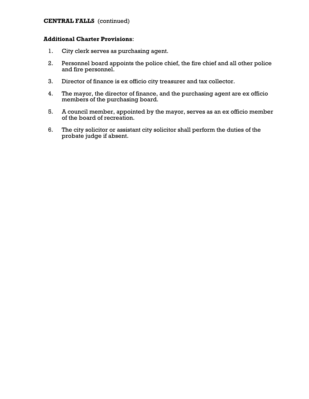### **CENTRAL FALLS** (continued)

- 1. City clerk serves as purchasing agent.
- 2. Personnel board appoints the police chief, the fire chief and all other police and fire personnel.
- 3. Director of finance is ex officio city treasurer and tax collector.
- 4. The mayor, the director of finance, and the purchasing agent are ex officio members of the purchasing board.
- 5. A council member, appointed by the mayor, serves as an ex officio member of the board of recreation.
- 6. The city solicitor or assistant city solicitor shall perform the duties of the probate judge if absent.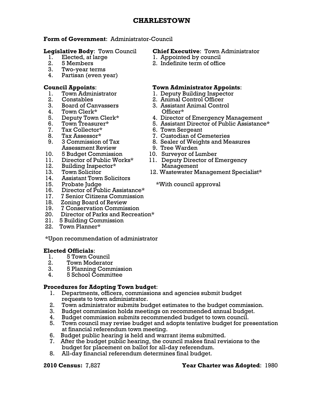### **Form of Government**: Administrator-Council

- 
- 
- 3. Two-year terms
- 4. Partisan (even year)

- 1. Town Administrator 1. Deputy Building Inspector
- 
- 
- 4. Town Clerk\* Officer\*
- 
- 
- 7. Tax Collector\* 6. Town Sergeant
- 
- Assessment Review 9. Tree Warden
- 10. 5 Budget Commission 10. Surveyor of Lumber
- 
- 12. Building Inspector\* Management
- 
- 14. Assistant Town Solicitors
- 
- 16. Director of Public Assistance\*<br>17. 7 Senior Citizens Commission
- 17. 7 Senior Citizens Commission
- 18. Zoning Board of Review
- 19. 7 Conservation Commission
- 20. Director of Parks and Recreation\*
- 21. 5 Building Commission
- 22. Town Planner\*

\*Upon recommendation of administrator

#### **Elected Officials**:

- 1. 5 Town Council
- 2. Town Moderator
- 3. 5 Planning Commission
- 4. 5 School Committee

### **Procedures for Adopting Town budget**:

- 1. Departments, officers, commissions and agencies submit budget requests to town administrator.
- 2. Town administrator submits budget estimates to the budget commission.
- 3. Budget commission holds meetings on recommended annual budget.
- 4. Budget commission submits recommended budget to town council.
- 5. Town council may revise budget and adopts tentative budget for presentation at financial referendum town meeting.
- 6. Budget public hearing is held and warrant items submitted.
- 7. After the budget public hearing, the council makes final revisions to the budget for placement on ballot for all-day referendum.
- 8. All-day financial referendum determines final budget.

## **Legislative Body**: Town Council **Chief Executive**: Town Administrator

- 1. Elected, at large 1. Appointed by council
- 2. 5 Members 2. Indefinite term of office

# **Council Appoints**: **Town Administrator Appoints**:

- 
- 2. Constables 2. Animal Control Officer
- 3. Board of Canvassers 3. Assistant Animal Control
- 5. Deputy Town Clerk\* 4. Director of Emergency Management
- 6. Town Treasurer\* 5. Assistant Director of Public Assistance\*
	-
	-
- 8. Tax Assessor\* 7. Custodian of Cemeteries<br>
9. 3 Commission of Tax 8. Sealer of Weights and Me 9. 3 Commission of Tax 8. Sealer of Weights and Measures
	-
	-
- 11. Director of Public Works\* 11. Deputy Director of Emergency
- 13. Town Solicitor 12. Wastewater Management Specialist\*

15. Probate Judge \*With council approval

### **2010 Census:** 7,827 **Year Charter was Adopted**: 1980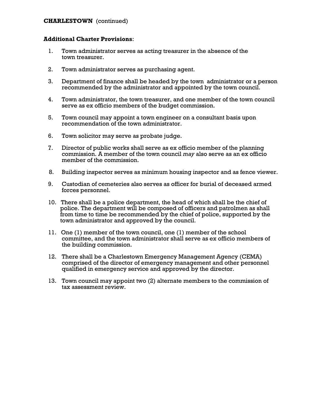#### **CHARLESTOWN** (continued)

- 1. Town administrator serves as acting treasurer in the absence of the town treasurer.
- 2. Town administrator serves as purchasing agent.
- 3. Department of finance shall be headed by the town administrator or a person recommended by the administrator and appointed by the town council.
- 4. Town administrator, the town treasurer, and one member of the town council serve as ex officio members of the budget commission.
- 5. Town council may appoint a town engineer on a consultant basis upon recommendation of the town administrator.
- 6. Town solicitor may serve as probate judge.
- 7. Director of public works shall serve as ex officio member of the planning commission. A member of the town council *may* also serve as an ex officio member of the commission.
- 8. Building inspector serves as minimum housing inspector and as fence viewer.
- 9. Custodian of cemeteries also serves as officer for burial of deceased armed forces personnel.
- 10. There shall be a police department, the head of which shall be the chief of police. The department will be composed of officers and patrolmen as shall from time to time be recommended by the chief of police, supported by the town administrator and approved by the council.
- 11. One (1) member of the town council, one (1) member of the school committee, and the town administrator shall serve as ex officio members of the building commission.
- 12. There shall be a Charlestown Emergency Management Agency (CEMA) comprised of the director of emergency management and other personnel qualified in emergency service and approved by the director.
- 13. Town council may appoint two (2) alternate members to the commission of tax assessment review.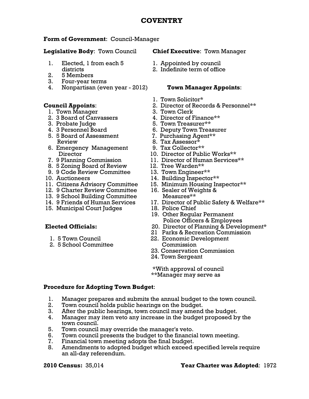# **COVENTRY**

# **Form of Government**: Council-Manager

- 1. Elected, 1 from each 5 1. Appointed by council
- 2. 5 Members
- 3. Four-year terms
- 4. Nonpartisan (even year 2012) **Town Manager Appoints**:

- 1. Town Manager 3. Town Clerk
- 2. 3 Board of Canvassers 4. Director of Finance\*\*
- 
- 
- 5. 5 Board of Assessment 7. Purchasing Agent\*\* Review  $8.$  Tax Assessor $\bar{x}$
- 6. Emergency Management 9. Tax Collector\*\*
- 
- 8. 5 Zoning Board of Review 12. Tree Warden\*\*
- 9. 9 Code Review Committee 13. Town Engineer\*\*
- 
- 
- 12. 9 Charter Review Committee 16. Sealer of Weights &
- 13. 9 School Building Committee Measures\*\*
- 
- 

- 
- 2. 5 School Committee Commission
- **Legislative Body**: Town Council **Chief Executive**: Town Manager
	-
	- districts 2. Indefinite term of office

- 1. Town Solicitor\*
- **Council Appoints**: 2. Director of Records & Personnel\*\*
	-
	-
	- 3. Probate Judge 5. Town Treasurer\*\*
	- 4. 3 Personnel Board 6. Deputy Town Treasurer
		-
		-
		-
		- Director 10. Director of Public Works\*\*
	- 7. 9 Planning Commission 11. Director of Human Services\*\*
		-
		-
- 10. Auctioneers 14. Building Inspector\*\*
- 11. Citizens Advisory Committee 15. Minimum Housing Inspector\*\*
	-
- 14. 9 Friends of Human Services 17. Director of Public Safety & Welfare\*\* 15. Municipal Court Judges 18. Police Chief
	-
	- 19. Other Regular Permanent Police Officers & Employees
- **Elected Officials:** 20. Director of Planning & Development\*
	- 21 Parks & Recreation Commission
	- 1. 5 Town Council 22. Economic Development
		- 23. Conservation Commission
		- 24. Town Sergeant

 \*With approval of council \*\*Manager may serve as

# **Procedure for Adopting Town Budget**:

- 1. Manager prepares and submits the annual budget to the town council.
- 2. Town council holds public hearings on the budget.
- 3. After the public hearings, town council may amend the budget.
- 4. Manager may item veto any increase in the budget proposed by the town council.
- 5. Town council may override the manager's veto.
- 6. Town council presents the budget to the financial town meeting.
- 7. Financial town meeting adopts the final budget.
- 8. Amendments to adopted budget which exceed specified levels require an all-day referendum.

# **2010 Census:** 35,014 **Year Charter was Adopted**: 1972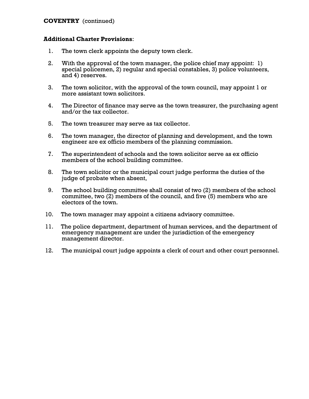### **COVENTRY** (continued)

- 1. The town clerk appoints the deputy town clerk.
- 2. With the approval of the town manager, the police chief may appoint: 1) special policemen, 2) regular and special constables, 3) police volunteers, and 4) reserves.
- 3. The town solicitor, with the approval of the town council, may appoint 1 or more assistant town solicitors.
- 4. The Director of finance may serve as the town treasurer, the purchasing agent and/or the tax collector.
- 5. The town treasurer may serve as tax collector.
- 6. The town manager, the director of planning and development, and the town engineer are ex officio members of the planning commission.
- 7. The superintendent of schools and the town solicitor serve as ex officio members of the school building committee.
- 8. The town solicitor or the municipal court judge performs the duties of the judge of probate when absent,
- 9. The school building committee shall consist of two (2) members of the school committee, two (2) members of the council, and five (5) members who are electors of the town.
- 10. The town manager may appoint a citizens advisory committee.
- 11. The police department, department of human services, and the department of emergency management are under the jurisdiction of the emergency management director.
- 12. The municipal court judge appoints a clerk of court and other court personnel.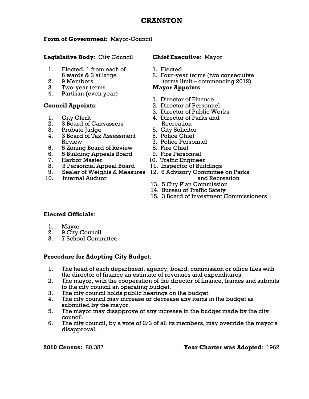# **CRANSTON**

### **Form of Government**: Mayor-Council

**Legislative Body**: City Council **Chief Executive**: Mayor

- 1. Elected, 1 from each of 1. Elected
- 
- 3. Two-year terms **Mayor Appoints**:
- 4. Partisan (even year)

- 
- 2. 3 Board of Canvassers Recreation
- 3. Probate Judge 5. City Solicitor
- 4. 3 Board of Tax Assessment 6. Police Chief Review 7. Police Personnel
- 5. 5 Zoning Board of Review 8. Fire Chief
- 6. 5 Building Appeals Board 9. Fire Personnel
- 7. Harbor Master 10. Traffic Engineer
- 8. 3 Personnel Appeal Board 11. Inspector of Buildings
- 
- 

- 
- 6 wards & 3 at large 2. Four-year terms (two consecutive 2. 9 Members **terms limit – commencing 2012**)

- 1. Director of Finance
- **Council Appoints**: 2. Director of Personnel
	- 3. Director of Public Works
	- 1. City Clerk 4. Director of Parks and
		-
		-
		-
		-
		-
		-
		-
- 9. Sealer of Weights & Measures 12. 6 Advisory Committee on Parks 10. Internal Auditor and Recreation
	- 13. 5 City Plan Commission
	- 14. Bureau of Traffic Safety
	- 15. 3 Board of Investment Commissioners

### **Elected Officials**:

- 1. Mayor
- 2. 9 City Council
- 3. 7 School Committee

### **Procedure for Adopting City Budget**:

- 1. The head of each department, agency, board, commission or office files with the director of finance an estimate of revenues and expenditures.
- 2. The mayor, with the cooperation of the director of finance, frames and submits to the city council an operating budget.
- 3. The city council holds public hearings on the budget.
- 4. The city council may increase or decrease any items in the budget as submitted by the mayor.
- 5. The mayor may disapprove of any increase in the budget made by the city council.
- 6. The city council, by a vote of 2/3 of all its members, may override the mayor's disapproval.

**2010 Census:** 80,387 **Year Charter was Adopted**: 1962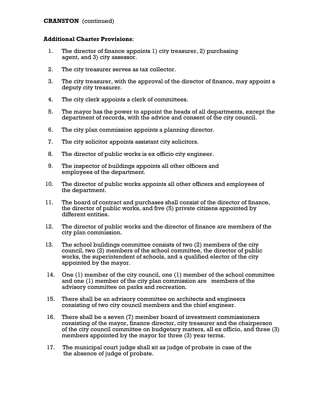### **CRANSTON** (continued)

- 1. The director of finance appoints 1) city treasurer, 2) purchasing agent, and 3) city assessor.
- 2. The city treasurer serves as tax collector.
- 3. The city treasurer, with the approval of the director of finance, may appoint a deputy city treasurer.
- 4. The city clerk appoints a clerk of committees.
- 5. The mayor has the power to appoint the heads of all departments, except the department of records, with the advice and consent of the city council.
- 6. The city plan commission appoints a planning director.
- 7. The city solicitor appoints assistant city solicitors.
- 8. The director of public works is ex officio city engineer.
- 9. The inspector of buildings appoints all other officers and employees of the department.
- 10. The director of public works appoints all other officers and employees of the department.
- 11. The board of contract and purchases shall consist of the director of finance, the director of public works, and five (5) private citizens appointed by different entities.
- 12. The director of public works and the director of finance are members of the city plan commission.
- 13. The school buildings committee consists of two (2) members of the city council, two (2) members of the school committee, the director of public works, the superintendent of schools, and a qualified elector of the city appointed by the mayor.
- 14. One (1) member of the city council, one (1) member of the school committee and one (1) member of the city plan commission are members of the advisory committee on parks and recreation.
- 15. There shall be an advisory committee on architects and engineers consisting of two city council members and the chief engineer.
- 16. There shall be a seven (7) member board of investment commissioners consisting of the mayor, finance director, city treasurer and the chairperson of the city council committee on budgetary matters, all ex officio, and three (3) members appointed by the mayor for three (3) year terms.
- 17. The municipal court judge shall sit as judge of probate in case of the the absence of judge of probate.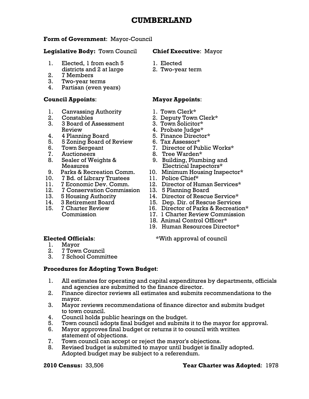# **CUMBERLAND**

### **Form of Government**: Mayor-Council

### **Legislative Body:** Town Council **Chief Executive**: Mayor

- 1. Elected, 1 from each 5 1. Elected districts and 2 at large 2. Two-year term
- 2. 7 Members
- 3. Two-year terms
- 4. Partisan (even years)

### **Council Appoints**: **Mayor Appoints**:

- 1. Canvassing Authority 1. Town Clerk\*
- 
- 3. 3 Board of Assessment 3. Town Solicitor\* Review 4. Probate Judge\*
- 
- 4. 4 Planning Board 5. Finance Director\*<br>5. 5 Zoning Board of Review 6. Tax Assessor\* 5. 5 Zoning Board of Review
- 
- 
- 
- 
- 10. 7 Bd. of Library Trustees
- 
- 12. 7 Conservation Commission 13. 5 Planning Board
- 
- 
- 

- 
- 2. Constables 2. Deputy Town Clerk\*
	-
	-
	-
	-
- 6. Town Sergeant 7. Director of Public Works\*
- 7. Auctioneers 8. Tree Warden\*
- 8. Sealer of Weights & 9. Building, Plumbing and Measures **Electrical Inspectors**\*
- 9. Parks & Recreation Comm. 10. Minimum Housing Inspector\*<br>0. 7 Bd. of Library Trustees 11. Police Chief\*
	-
- 11. 7 Economic Dev. Comm. 12. Director of Human Services\*
	-
- 13. 5 Housing Authority 14. Director of Rescue Service\*
- 14. 3 Retirement Board 15. Dep. Dir. of Rescue Services<br>15. 7 Charter Review 16. Director of Parks & Recreatio
	- 16. Director of Parks & Recreation\*
	- Commission 17. 1 Charter Review Commission
		- 18. Animal Control Officer\*
		- 19. Human Resources Director\*

#### **Elected Officials:**  $*$ With approval of council

- 1. Mayor
- 2. 7 Town Council
- 3. 7 School Committee

#### **Procedures for Adopting Town Budget**:

- 1. All estimates for operating and capital expenditures by departments, officials and agencies are submitted to the finance director.
- 2. Finance director reviews all estimates and submits recommendations to the mayor.
- 3. Mayor reviews recommendations of finance director and submits budget to town council.
- 4. Council holds public hearings on the budget.
- 5. Town council adopts final budget and submits it to the mayor for approval.
- 6. Mayor approves final budget or returns it to council with written statement of objections.
- 7. Town council can accept or reject the mayor's objections.
- 8. Revised budget is submitted to mayor until budget is finally adopted. Adopted budget may be subject to a referendum.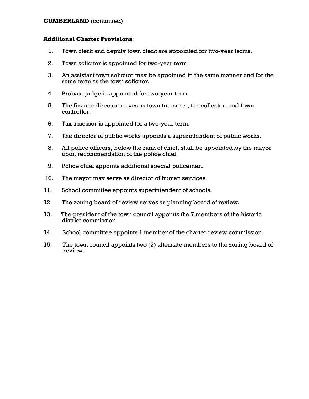#### **CUMBERLAND** (continued)

- 1. Town clerk and deputy town clerk are appointed for two-year terms.
- 2. Town solicitor is appointed for two-year term.
- 3. An assistant town solicitor may be appointed in the same manner and for the same term as the town solicitor.
- 4. Probate judge is appointed for two-year term.
- 5. The finance director serves as town treasurer, tax collector, and town controller.
- 6. Tax assessor is appointed for a two-year term.
- 7. The director of public works appoints a superintendent of public works.
- 8. All police officers, below the rank of chief, shall be appointed by the mayor upon recommendation of the police chief.
- 9. Police chief appoints additional special policemen.
- 10. The mayor may serve as director of human services.
- 11. School committee appoints superintendent of schools.
- 12. The zoning board of review serves as planning board of review.
- 13. The president of the town council appoints the 7 members of the historic district commission.
- 14. School committee appoints 1 member of the charter review commission.
- 15. The town council appoints two (2) alternate members to the zoning board of review.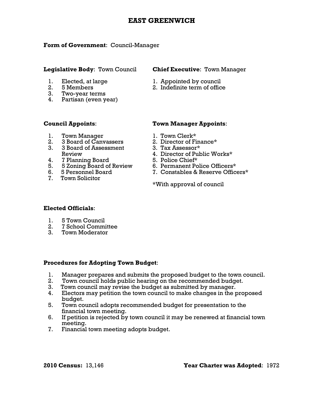# **EAST GREENWICH**

#### **Form of Government**: Council-Manager

- 
- 
- 3. Two-year terms
- 4. Partisan (even year)

#### **Legislative Body**: Town Council **Chief Executive**: Town Manager

- 1. Elected, at large 1. Appointed by council
- 2. 5 Members 2. Indefinite term of office

- 1. Town Manager 1. Town Clerk\*
- 2. 3 Board of Canvassers 2. Director of Finance\*
- 3. 3 Board of Assessment 3. Tax Assessor\*
- 
- 4. 7 Planning Board 5. Police Chief\* 4. 11 Ianuary Board<br>5. 5 Zoning Board of Review<br>6. 5 Personnel Board
- 
- 7. Town Solicitor

### **Council Appoints**: **Town Manager Appoints**:

- 
- 
- 
- Review 4. Director of Public Works\*
	-
	-
	- 7. Constables & Reserve Officers\*

\*With approval of council

#### **Elected Officials**:

- 1. 5 Town Council
- 2. 7 School Committee
- 3. Town Moderator

#### **Procedures for Adopting Town Budget**:

- 1. Manager prepares and submits the proposed budget to the town council.
- 2. Town council holds public hearing on the recommended budget.
- 3. Town council may revise the budget as submitted by manager.<br>4. Electors may petition the town council to make changes in the p
- Electors may petition the town council to make changes in the proposed budget.
- 5. Town council adopts recommended budget for presentation to the financial town meeting.
- 6. If petition is rejected by town council it may be renewed at financial town meeting.
- 7. Financial town meeting adopts budget.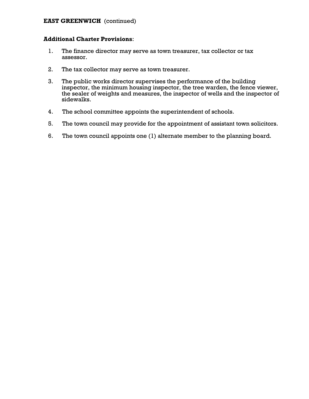### **EAST GREENWICH** (continued)

- 1. The finance director may serve as town treasurer, tax collector or tax assessor.
- 2. The tax collector may serve as town treasurer.
- 3. The public works director supervises the performance of the building inspector, the minimum housing inspector, the tree warden, the fence viewer, the sealer of weights and measures, the inspector of wells and the inspector of sidewalks.
- 4. The school committee appoints the superintendent of schools.
- 5. The town council may provide for the appointment of assistant town solicitors.
- 6. The town council appoints one (1) alternate member to the planning board.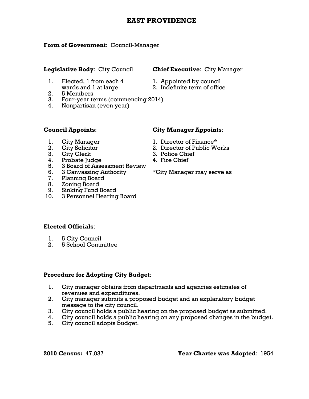# **EAST PROVIDENCE**

### **Form of Government**: Council-Manager

### **Legislative Body**: City Council **Chief Executive**: City Manager

- 1. Elected, 1 from each 4 1. Appointed by council wards and 1 at large 2. Indefinite term of office
	-
	-
- 2. 5 Members
- 3. Four-year terms (commencing 2014)
- 4. Nonpartisan (even year)

- 
- 
- 
- 3. City Clerk 3. Police Chief<br>
4. Probate Iudoe 4. Fire Chief 4. Probate Judge
- 5. 3 Board of Assessment Review
- 6. 3 Canvassing Authority \*City Manager may serve as
- 7. Planning Board
- 8. Zoning Board
- 9. Sinking Fund Board
- 10. 3 Personnel Hearing Board

## **Council Appoints**: **City Manager Appoints**:

- 1. City Manager 1. Director of Finance\*
- 2. City Solicitor 2. Director of Public Works
	-
	-

### **Elected Officials**:

- 1. 5 City Council
- 2. 5 School Committee

#### **Procedure for Adopting City Budget**:

- 1. City manager obtains from departments and agencies estimates of revenues and expenditures.
- 2. City manager submits a proposed budget and an explanatory budget message to the city council.<br>3. City council holds a public h
- City council holds a public hearing on the proposed budget as submitted.
- 4. City council holds a public hearing on any proposed changes in the budget.
- 5. City council adopts budget.

**2010 Census:** 47,037 **Year Charter was Adopted**: 1954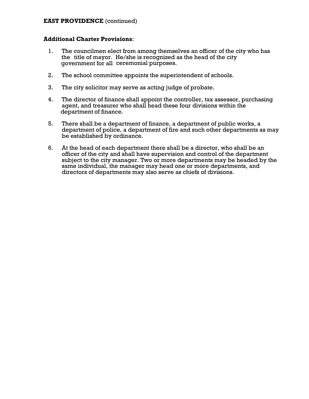#### **EAST PROVIDENCE** (continued)

- 1. The councilmen elect from among themselves an officer of the city who has the title of mayor. He/she is recognized as the head of the city government for all ceremonial purposes.
- 2. The school committee appoints the superintendent of schools.
- 3. The city solicitor may serve as acting judge of probate.
- 4. The director of finance shall appoint the controller, tax assessor, purchasing agent, and treasurer who shall head these four divisions within the department of finance.
- 5. There shall be a department of finance, a department of public works, a department of police, a department of fire and such other departments as may be established by ordinance.
- 6. At the head of each department there shall be a director, who shall be an officer of the city and shall have supervision and control of the department subject to the city manager. Two or more departments may be headed by the same individual, the manager may head one or more departments, and directors of departments may also serve as chiefs of divisions.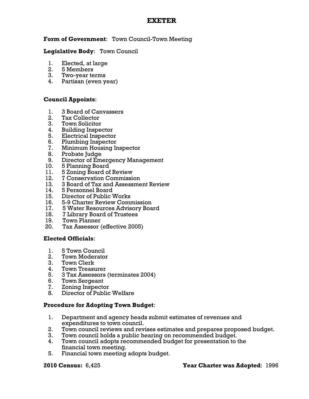# **EXETER**

### **Form of Government**: Town Council-Town Meeting

### **Legislative Body**: Town Council

- 1. Elected, at large
- 2. 5 Members
- 3. Two-year terms
- 4. Partisan (even year)

### **Council Appoints**:

- 1. 3 Board of Canvassers
- 2. Tax Collector
- 3. Town Solicitor
- 4. Building Inspector
- 5. Electrical Inspector
- 6. Plumbing Inspector
- 7. Minimum Housing Inspector
- 8. Probate Judge
- 9. Director of Emergency Management
- 
- 10. 5 Planning Board<br>11. 5 Zoning Board of 11. 5 Zoning Board of Review<br>12. 7 Conservation Commissi
- 12. 7 Conservation Commission<br>13. 3 Board of Tax and Assessme
- 13. 3 Board of Tax and Assessment Review
- 14. 5 Personnel Board
- 15. Director of Public Works
- 16. 5-9 Charter Review Commission
- 17. 5 Water Resources Advisory Board
- 18. 7 Library Board of Trustees
- 19. Town Planner
- 20. Tax Assessor (effective 2005)

#### **Elected Officials**:

- 1. 5 Town Council
- 2. Town Moderator
- 3. Town Clerk
- 4. Town Treasurer
- 5. 3 Tax Assessors (terminates 2004)
- 6. Town Sergeant
- 7. Zoning Inspector
- 8. Director of Public Welfare

#### **Procedure for Adopting Town Budget**:

- 1. Department and agency heads submit estimates of revenues and expenditures to town council.
- 2. Town council reviews and revises estimates and prepares proposed budget.
- 3. Town council holds a public hearing on recommended budget.
- 4. Town council adopts recommended budget for presentation to the financial town meeting.
- 5. Financial town meeting adopts budget.

#### **2010 Census:** 6,425 **Year Charter was Adopted**: 1996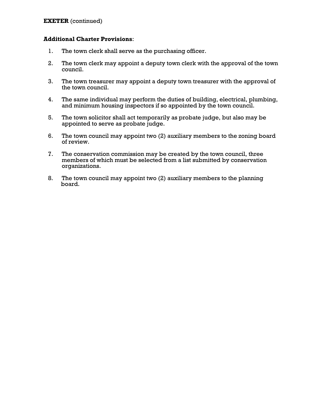- 1. The town clerk shall serve as the purchasing officer.
- 2. The town clerk may appoint a deputy town clerk with the approval of the town council.
- 3. The town treasurer may appoint a deputy town treasurer with the approval of the town council.
- 4. The same individual may perform the duties of building, electrical, plumbing, and minimum housing inspectors if so appointed by the town council.
- 5. The town solicitor shall act temporarily as probate judge, but also may be appointed to serve as probate judge.
- 6. The town council may appoint two (2) auxiliary members to the zoning board of review.
- 7. The conservation commission may be created by the town council, three members of which must be selected from a list submitted by conservation organizations.
- 8. The town council may appoint two (2) auxiliary members to the planning board.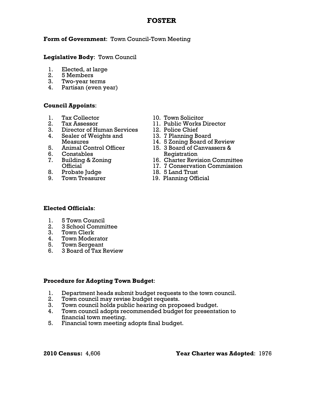# **FOSTER**

### **Form of Government**: Town Council-Town Meeting

#### **Legislative Body**: Town Council

- 1. Elected, at large
- 2. 5 Members
- 3. Two-year terms
- 4. Partisan (even year)

#### **Council Appoints**:

- 1. Tax Collector 10. Town Solicitor
- 
- 3. Director of Human Services 12. Police Chief<br>
4. Sealer of Weights and 13. 7 Planning Board
- 4. Sealer of Weights and
- 
- 6. Constables Registration
- 
- 8. Probate Judge 18. 5 Land Trust
- 
- 
- 2. Tax Assessor 11. Public Works Director
	-
	-
	- Measures 14. 5 Zoning Board of Review
- 5. Animal Control Officer 15. 3 Board of Canvassers &
- 7. Building & Zoning 16. Charter Revision Committee
	- Official 17. 7 Conservation Commission
		-
		- 19. Planning Official

#### **Elected Officials**:

- 1. 5 Town Council
- 2. 3 School Committee
- 3. Town Clerk
- 4. Town Moderator
- 5. Town Sergeant
- 6. 3 Board of Tax Review

#### **Procedure for Adopting Town Budget**:

- 1. Department heads submit budget requests to the town council.
- 2. Town council may revise budget requests.
- 3. Town council holds public hearing on proposed budget.
- 4. Town council adopts recommended budget for presentation to financial town meeting.
- 5. Financial town meeting adopts final budget.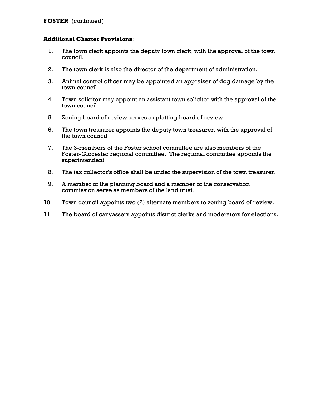- 1. The town clerk appoints the deputy town clerk, with the approval of the town council.
- 2. The town clerk is also the director of the department of administration.
- 3. Animal control officer may be appointed an appraiser of dog damage by the town council.
- 4. Town solicitor may appoint an assistant town solicitor with the approval of the town council.
- 5. Zoning board of review serves as platting board of review.
- 6. The town treasurer appoints the deputy town treasurer, with the approval of the town council.
- 7. The 3-members of the Foster school committee are also members of the Foster-Glocester regional committee. The regional committee appoints the superintendent.
- 8. The tax collector's office shall be under the supervision of the town treasurer.
- 9. A member of the planning board and a member of the conservation commission serve as members of the land trust.
- 10. Town council appoints two (2) alternate members to zoning board of review.
- 11. The board of canvassers appoints district clerks and moderators for elections.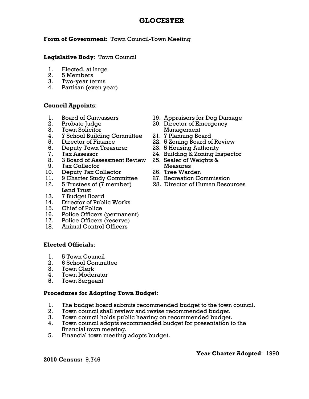# **GLOCESTER**

### **Form of Government**: Town Council-Town Meeting

#### **Legislative Body**: Town Council

- 1. Elected, at large
- 2. 5 Members
- 3. Two-year terms
- 4. Partisan (even year)

#### **Council Appoints**:

- 
- 
- 
- 3. Town Solicitor Management<br>4. 7 School Building Committee 21. 7 Planning Board 4. 7 School Building Committee
- 
- 6. Deputy Town Treasurer 23. 5 Housing Authority
- 
- 8. 3 Board of Assessment Review 25. Sealer of Weights &
- 
- 9. Tax Collector Measures 10. Deputy Tax Collector 26. Tree Warden
- 11. 9 Charter Study Committee
- Land Trust
- 13. 7 Budget Board
- 14. Director of Public Works
- 15. Chief of Police
- 16. Police Officers (permanent)
- 17. Police Officers (reserve)
- 18. Animal Control Officers

#### **Elected Officials**:

- 1. 5 Town Council
- 2. 6 School Committee
- 3. Town Clerk
- 4. Town Moderator
- 5. Town Sergeant

#### **Procedures for Adopting Town Budget**:

- 1. The budget board submits recommended budget to the town council.
- 2. Town council shall review and revise recommended budget.
- 3. Town council holds public hearing on recommended budget.
- 4. Town council adopts recommended budget for presentation to the financial town meeting.
- 5. Financial town meeting adopts budget.
- 1. Board of Canvassers 19. Appraisers for Dog Damage
- 2. Probate Judge 20. Director of Emergency
	-
- 5. Director of Finance 22. 5 Zoning Board of Review
	-
- 7. Tax Assessor 24. Building & Zoning Inspector
	-
	-
	-
- 12. 5 Trustees of (7 member) 28. Director of Human Resources

**2010 Census:** 9,746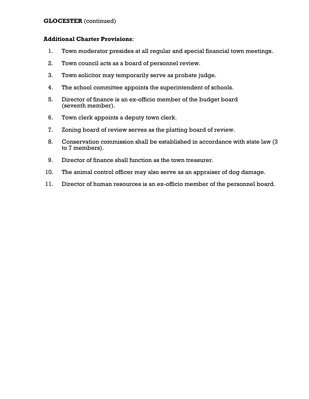### **GLOCESTER** (continued)

- 1. Town moderator presides at all regular and special financial town meetings.
- 2. Town council acts as a board of personnel review.
- 3. Town solicitor may temporarily serve as probate judge.
- 4. The school committee appoints the superintendent of schools.
- 5. Director of finance is an ex-officio member of the budget board (seventh member).
- 6. Town clerk appoints a deputy town clerk.
- 7. Zoning board of review serves as the platting board of review.
- 8. Conservation commission shall be established in accordance with state law (3 to 7 members).
- 9. Director of finance shall function as the town treasurer.
- 10. The animal control officer may also serve as an appraiser of dog damage.
- 11. Director of human resources is an ex-officio member of the personnel board.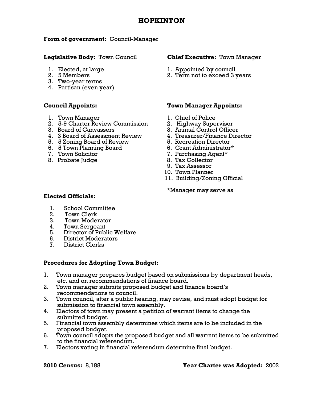#### **2010 Census:** 8,188 **Year Charter was Adopted:** 2002

#### **HOPKINTON**

#### **Form of government:** Council-Manager

#### **Legislative Body:** Town Council **Chief Executive:** Town Manager

- 
- 
- 3. Two-year terms
- 4. Partisan (even year)

- 1. Town Manager 1. Chief of Police
- 2. 5-9 Charter Review Commission 2. Highway Supervisor
- 
- 4. 3 Board of Assessment Review 4. Treasurer/Finance Director
- 5. 5 Zoning Board of Review 5. Recreation Director
- 6. 5 Town Planning Board 6. Grant Administrator\*
- 
- 

- 1. Elected, at large 1. Appointed by council
- 2. 5 Members 2. Term not to exceed 3 years

#### **Council Appoints: Town Manager Appoints:**

- 
- 
- 3. Board of Canvassers 3. Animal Control Officer
	-
	-
	-
	- 7. Purchasing Agent\*
- 8. Probate Judge 8. Tax Collector<br>8. Tax Assessor
	-
	- 10. Town Planner
	- 11. Building/Zoning Official

\*Manager may serve as

#### **Elected Officials:**

- 1. School Committee
- 2. Town Clerk
- 3. Town Moderator
- 4. Town Sergeant
- 5. Director of Public Welfare
- 6. District Moderators
- 7. District Clerks

#### **Procedures for Adopting Town Budget:**

- 1. Town manager prepares budget based on submissions by department heads, etc. and on recommendations of finance board.
- 2. Town manager submits proposed budget and finance board's recommendations to council.
- 3. Town council, after a public hearing, may revise, and must adopt budget for submission to financial town assembly.
- 4. Electors of town may present a petition of warrant items to change the submitted budget.
- 5. Financial town assembly determines which items are to be included in the proposed budget.
- 6. Town council adopts the proposed budget and all warrant items to be submitted to the financial referendum.
- 7. Electors voting in financial referendum determine final budget.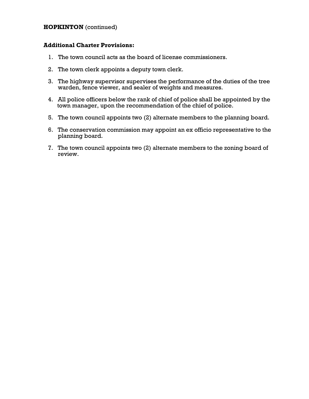### **HOPKINTON** (continued)

- 1. The town council acts as the board of license commissioners.
- 2. The town clerk appoints a deputy town clerk.
- 3. The highway supervisor supervises the performance of the duties of the tree warden, fence viewer, and sealer of weights and measures.
- 4. All police officers below the rank of chief of police shall be appointed by the town manager, upon the recommendation of the chief of police.
- 5. The town council appoints two (2) alternate members to the planning board.
- 6. The conservation commission may appoint an ex officio representative to the planning board.
- 7. The town council appoints two (2) alternate members to the zoning board of review.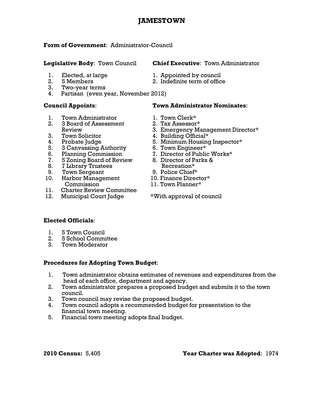# **JAMESTOWN**

#### **Form of Government**: Administrator-Council

- 
- 
- 3. Two-year terms
- 4. Partisan (even year, November 2012)

- 1. Town Administrator 1. Town Clerk\*
- 2. 3 Board of Assessment 2. Tax Assessor\*
- 3. Town Solicitor
- 
- 
- 
- 7. 5 Zoning Board of Review 8. Director of Parks &
- 8. 7 Library Trustees Recreation\*
- 9. Town Sergeant 9. Police Chief\*
- 10. Harbor Management 10. Finance Director\* Commission 11. Town Planner\*
- 11. Charter Review Committee
- 12. Municipal Court Judge \*With approval of council

#### **Legislative Body**: Town Council **Chief Executive**: Town Administrator

2. 5 Members 2. Indefinite term of office

#### **Council Appoints**: **Town Administrator Nominates**:

- 
- 
- Review 3. Emergency Management Director\*<br>Town Solicitor 4. Building Official\*
	-
- 4. Probate Judge 5. Minimum Housing Inspector\*
	-
- 5. 3 Canvassing Authority 6. Town Engineer\*<br>
6. Planning Commission 7. Director of Public Works\* 6. Planning Commission 7. Director of Public Works\*
	-
	-
	-
	-

### **Elected Officials**:

- 1. 5 Town Council
- 2. 5 School Committee
- 3. Town Moderator

#### **Procedures for Adopting Town Budget**:

- 1. Town administrator obtains estimates of revenues and expenditures from the head of each office, department and agency.
- 2. Town administrator prepares a proposed budget and submits it to the town council.
- 3. Town council may revise the proposed budget.
- 4. Town council adopts a recommended budget for presentation to the financial town meeting.
- 5. Financial town meeting adopts final budget.

1. Elected, at large 1. Appointed by council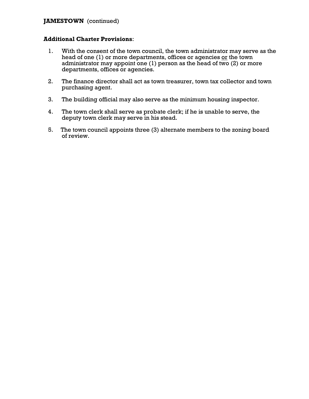### **JAMESTOWN** (continued)

- 1. With the consent of the town council, the town administrator may serve as the head of one (1) or more departments, offices or agencies or the town administrator may appoint one (1) person as the head of two (2) or more departments, offices or agencies.
- 2. The finance director shall act as town treasurer, town tax collector and town purchasing agent.
- 3. The building official may also serve as the minimum housing inspector.
- 4. The town clerk shall serve as probate clerk; if he is unable to serve, the deputy town clerk may serve in his stead.
- 5. The town council appoints three (3) alternate members to the zoning board of review.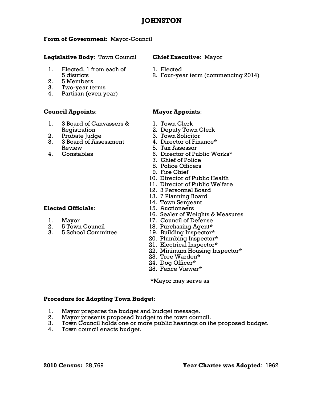# **JOHNSTON**

# **Form of Government**: Mayor-Council

# **Legislative Body**: Town Council **Chief Executive**: Mayor

- 1. Elected, 1 from each of 1. Elected
- 2. 5 Members<br>3. Two-year term
- 3. Two-year terms
- 4. Partisan (even year)

# **Council Appoints**: **Mayor Appoints**:

- 1. 3 Board of Canvassers & 1. Town Clerk Registration 2. Deputy Town Clerk
- 2. Probate Judge 3. Town Solicitor
	- 3. 3 Board of Assessment 4. Director of Finance\* Review 5. Tax Assessor
	-

# **Elected Officials:**

- 
- 
- 

- 
- 5 districts 2. Four-year term (commencing 2014)

- 
- 
- 
- 
- 
- 4. Constables 6. Director of Public Works\*
	- 7. Chief of Police
	- 8. Police Officers
	- 9. Fire Chief
	- 10. Director of Public Health
	- 11. Director of Public Welfare
	- 12. 3 Personnel Board
	- 13. 7 Planning Board
	- 14. Town Sergeant<br>15. Auctioneers
	-
	- 16. Sealer of Weights & Measures
- 1. Mayor 17. Council of Defense
	-
- 2. 5 Town Council 18. Purchasing Agent\*<br>3. 5 School Committee 19. Building Inspector\* 19. Building Inspector\*
	- 20. Plumbing Inspector\*
	- 21. Electrical Inspector\*
	- 22. Minimum Housing Inspector\*
	- 23. Tree Warden\*
	- 24. Dog Officer\*
	- 25. Fence Viewer\*

\*Mayor may serve as

# **Procedure for Adopting Town Budget**:

- 1. Mayor prepares the budget and budget message.
- 2. Mayor presents proposed budget to the town council.
- 3. Town Council holds one or more public hearings on the proposed budget.
- 4. Town council enacts budget.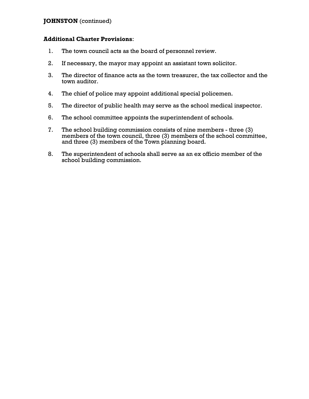# **JOHNSTON** (continued)

- 1. The town council acts as the board of personnel review.
- 2. If necessary, the mayor may appoint an assistant town solicitor.
- 3. The director of finance acts as the town treasurer, the tax collector and the town auditor.
- 4. The chief of police may appoint additional special policemen.
- 5. The director of public health may serve as the school medical inspector.
- 6. The school committee appoints the superintendent of schools.
- 7. The school building commission consists of nine members three (3) members of the town council, three (3) members of the school committee, and three (3) members of the Town planning board.
- 8. The superintendent of schools shall serve as an ex officio member of the school building commission.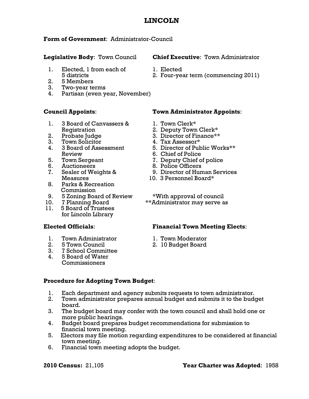# **LINCOLN**

# **Form of Government**: Administrator-Council

- 1. Elected, 1 from each of 1. Elected
- 2. 5 Members
- 3. Two-year terms
- 4. Partisan (even year, November)

- 1. 3 Board of Canvassers & 1. Town Clerk\* Registration 2. Deputy Town Clerk\*
	-
	- 3. Town Solicitor 1. Tax Assessor\*
- Review 6. Chief of Police
	-
	-
- Measures 10. 3 Personnel Board\*
	- 8. Parks & Recreation Commission
- 
- 
- 11. 5 Board of Trustees for Lincoln Library

- 1. Town Administrator 1. Town Moderator
- 2. 5 Town Council 2. 10 Budget Board
- 3. 7 School Committee
- 4. 5 Board of Water Commissioners

# **Council Appoints**: **Town Administrator Appoints**:

- 
- 
- 2. Probate Judge 3. Director of Finance\*\*
	-
- 4. 3 Board of Assessment 5. Director of Public Works\*\*
	-
- 5. Town Sergeant 7. Deputy Chief of police
- 6. Auctioneers 8. Police Officers
- 7. Sealer of Weights & 9. Director of Human Services
	-

9. 5 Zoning Board of Review \*With approval of council<br>10. 7 Planning Board \*\*Administrator may serve a \*\*Administrator may serve as

# **Elected Officials**: **Financial Town Meeting Elects**:

- 
- 

# **Procedure for Adopting Town Budget**:

- 1. Each department and agency submits requests to town administrator.
- 2. Town administrator prepares annual budget and submits it to the budget board.
- 3. The budget board may confer with the town council and shall hold one or more public hearings.
- 4. Budget board prepares budget recommendations for submission to financial town meeting.
- 5. Electors may file motion regarding expenditures to be considered at financial town meeting.
- 6. Financial town meeting adopts the budget.

# **Legislative Body**: Town Council **Chief Executive**: Town Administrator

- 
- 5 districts 2. Four-year term (commencing 2011)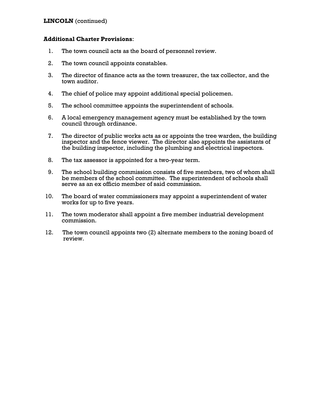# **LINCOLN** (continued)

- 1. The town council acts as the board of personnel review.
- 2. The town council appoints constables.
- 3. The director of finance acts as the town treasurer, the tax collector, and the town auditor.
- 4. The chief of police may appoint additional special policemen.
- 5. The school committee appoints the superintendent of schools.
- 6. A local emergency management agency must be established by the town council through ordinance.
- 7. The director of public works acts as or appoints the tree warden, the building inspector and the fence viewer. The director also appoints the assistants of the building inspector, including the plumbing and electrical inspectors.
- 8. The tax assessor is appointed for a two-year term.
- 9. The school building commission consists of five members, two of whom shall be members of the school committee. The superintendent of schools shall serve as an ex officio member of said commission.
- 10. The board of water commissioners may appoint a superintendent of water works for up to five years.
- 11. The town moderator shall appoint a five member industrial development commission.
- 12. The town council appoints two (2) alternate members to the zoning board of review.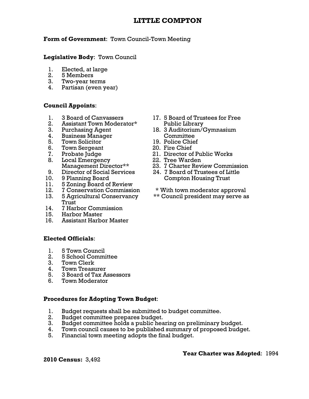# **Form of Government**: Town Council-Town Meeting

# **Legislative Body**: Town Council

- 1. Elected, at large<br>2. 5 Members
- 2. 5 Members
- 3. Two-year terms
- 4. Partisan (even year)

# **Council Appoints**:

- 
- 2. Assistant Town Moderator\* Public Library
- 
- 4. Business Manager Committee
- 5. Town Solicitor 19. Police Chief
- 6. Town Sergeant 20. Fire Chief
- 
- 8. Local Emergency 22. Tree Warden<br>Management Director\*\* 23. 7 Charter Rev
- 
- 
- 11. 5 Zoning Board of Review
- 
- Trust
- 14. 7 Harbor Commission
- 15. Harbor Master
- 16. Assistant Harbor Master

# **Elected Officials**:

- 1. 5 Town Council
- 2. 5 School Committee
- 3. Town Clerk
- 4. Town Treasurer
- 5. 3 Board of Tax Assessors
- 6. Town Moderator

# **Procedures for Adopting Town Budget**:

- 1. Budget requests shall be submitted to budget committee.
- 2. Budget committee prepares budget.
- 3. Budget committee holds a public hearing on preliminary budget.
- 4. Town council causes to be published summary of proposed budget.
- 5. Financial town meeting adopts the final budget.

**2010 Census:** 3,492

- 1. 3 Board of Canvassers 17. 5 Board of Trustees for Free
- 3. Purchasing Agent 18. 3 Auditorium/Gymnasium
	-
	-
- 7. Probate Judge 21. Director of Public Works
	-
	- 23. 7 Charter Review Commission
- 9. Director of Social Services 24. 7 Board of Trustees of Little 10. 9 Planning Board Compton Housing Trust
- 12. 7 Conservation Commission \* With town moderator approval
- 13. 5 Agricultural Conservancy \*\* Council president may serve as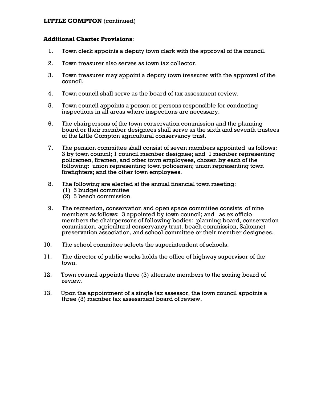# **LITTLE COMPTON** (continued)

- 1. Town clerk appoints a deputy town clerk with the approval of the council.
- 2. Town treasurer also serves as town tax collector.
- 3. Town treasurer may appoint a deputy town treasurer with the approval of the council.
- 4. Town council shall serve as the board of tax assessment review.
- 5. Town council appoints a person or persons responsible for conducting inspections in all areas where inspections are necessary.
- 6. The chairpersons of the town conservation commission and the planning board or their member designees shall serve as the sixth and seventh trustees of the Little Compton agricultural conservancy trust.
- 7. The pension committee shall consist of seven members appointed as follows: 3 by town council; 1 council member designee; and 1 member representing policemen, firemen, and other town employees, chosen by each of the following: union representing town policemen; union representing town firefighters; and the other town employees.
- 8. The following are elected at the annual financial town meeting:
	- (1) 5 budget committee
	- (2) 5 beach commission
- 9. The recreation, conservation and open space committee consists of nine members as follows: 3 appointed by town council; and as ex officio members the chairpersons of following bodies: planning board, conservation commission, agricultural conservancy trust, beach commission, Sakonnet preservation association, and school committee or their member designees.
- 10. The school committee selects the superintendent of schools.
- 11. The director of public works holds the office of highway supervisor of the town.
- 12. Town council appoints three (3) alternate members to the zoning board of review.
- 13. Upon the appointment of a single tax assessor, the town council appoints a three (3) member tax assessment board of review.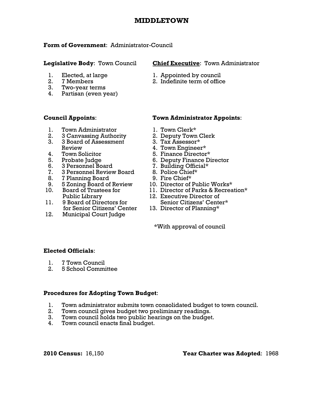# **MIDDLETOWN**

### **Form of Government**: Administrator-Council

- 
- 
- 3. Two-year terms
- 4. Partisan (even year)

- 1. Town Administrator 1. Town Clerk\*
- 2. 3 Canvassing Authority 2. Deputy Town Clerk
- 3. 3 Board of Assessment 3. Tax Assessor\* Review 4. Town Engineer\*
- 
- 
- 6. 3 Personnel Board 7. Building Official\*
- 7. 3 Personnel Review Board 8. Police Chief\*
	- 8. 7 Planning Board 9. Fire Chief\*
	- 9. 5 Zoning Board of Review 10. Director of Public Works\*
- 
- for Senior Citizens' Center 13. Director of Planning\*
- 12. Municipal Court Judge<br>\*With approval of council

# **Legislative Body**: Town Council **Chief Executive**: Town Administrator

- 1. Elected, at large 1. Appointed by council
- 2. 7 Members 2. Indefinite term of office<br>3. Two-vear terms

# **Council Appoints**: **Town Administrator Appoints**:

- 
- 
- 
- 
- 4. Town Solicitor 5. Finance Director\*
- 5. Probate Judge 6. Deputy Finance Director<br>6. 3 Personnel Board 7. Building Official\*
	-
	-
	-
	-
- 10. Board of Trustees for 11. Director of Parks & Recreation\*
- Public Library 12. Executive Director of 11. 9 Board of Directors for Senior Citizens' Center\*
	-

# **Elected Officials**:

- 1. 7 Town Council
- 2. 5 School Committee

# **Procedures for Adopting Town Budget**:

- 1. Town administrator submits town consolidated budget to town council.
- 2. Town council gives budget two preliminary readings.
- 3. Town council holds two public hearings on the budget.
- 4. Town council enacts final budget.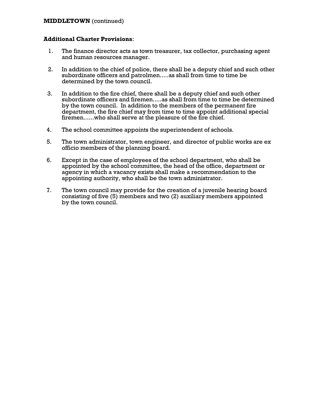### **MIDDLETOWN** (continued)

- 1. The finance director acts as town treasurer, tax collector, purchasing agent and human resources manager.
- 2. In addition to the chief of police, there shall be a deputy chief and such other subordinate officers and patrolmen.....as shall from time to time be determined by the town council.
- 3. In addition to the fire chief, there shall be a deputy chief and such other subordinate officers and firemen.....as shall from time to time be determined by the town council. In addition to the members of the permanent fire department, the fire chief may from time to time appoint additional special firemen......who shall serve at the pleasure of the fire chief.
- 4. The school committee appoints the superintendent of schools.
- 5. The town administrator, town engineer, and director of public works are ex officio members of the planning board.
- 6. Except in the case of employees of the school department, who shall be appointed by the school committee, the head of the office, department or agency in which a vacancy exists shall make a recommendation to the appointing authority, who shall be the town administrator.
- 7. The town council may provide for the creation of a juvenile hearing board consisting of five (5) members and two (2) auxiliary members appointed by the town council.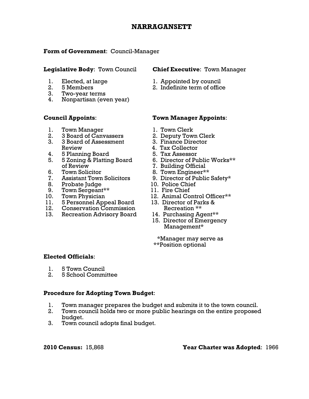# **NARRAGANSETT**

# **Form of Government**: Council-Manager

- 
- 
- 3. Two-year terms
- 4. Nonpartisan (even year)

- 1. Town Manager 1. Town Clerk
- 
- 2. 3 Board of Canvassers 2. Deputy Town Clerk<br>3. 3 Board of Assessment 3. Finance Director 3. 3 Board of Assessment Review 4. Tax Collector<br>5 Planning Board 5. Tax Assessor
- 4. 5 Planning Board
- 5. 5 Zoning & Platting Board 6. Director of Public Works\*\* of Review 7. Building Official
- 
- 7. Assistant Town Solicitors 9. Director of Public Safety\*<br>8. Probate Judge 10. Police Chief
- 8. Probate Judge
- 9. Town Sergeant\*\* 11. Fire Chief<br>10. Town Physician 12. Animal Co
- 
- 
- 12. Conservation Commission Recreation \*\*<br>13. Recreation Advisory Board 14. Purchasing Agent\*\*
- 13. Recreation Advisory Board

# **Legislative Body**: Town Council **Chief Executive**: Town Manager

- 1. Elected, at large 1. Appointed by council
- 2. 5 Members 2. Indefinite term of office

# **Council Appoints**: **Town Manager Appoints**:

- 
- 
- 
- 
- 
- 
- 
- 6. Town Solicitor 8. Town Engineer\*\*
	-
	-
	-
	- 12. Animal Control Officer\*\*
- 11. 5 Personnel Appeal Board 13. Director of Parks & 12. Conservation Commission Recreation \*\*
	-
	- 15. Director of Emergency Management\*

 \*Manager may serve as \*\*Position optional

# **Elected Officials**:

- 1. 5 Town Council
- 2. 5 School Committee

# **Procedure for Adopting Town Budget**:

- 1. Town manager prepares the budget and submits it to the town council.
- 2. Town council holds two or more public hearings on the entire proposed budget.
- 3. Town council adopts final budget.

**2010 Census:** 15,868 **Year Charter was Adopted**: 1966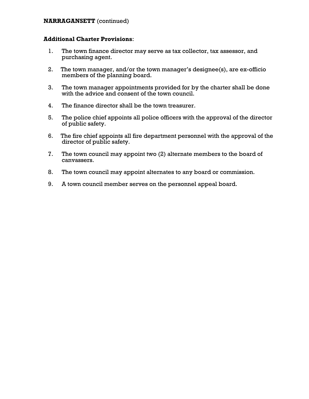# **NARRAGANSETT** (continued)

- 1. The town finance director may serve as tax collector, tax assessor, and purchasing agent.
- 2. The town manager, and/or the town manager's designee(s), are ex-officio members of the planning board.
- 3. The town manager appointments provided for by the charter shall be done with the advice and consent of the town council.
- 4. The finance director shall be the town treasurer.
- 5. The police chief appoints all police officers with the approval of the director of public safety.
- 6. The fire chief appoints all fire department personnel with the approval of the director of public safety.
- 7. The town council may appoint two (2) alternate members to the board of canvassers.
- 8. The town council may appoint alternates to any board or commission.
- 9. A town council member serves on the personnel appeal board.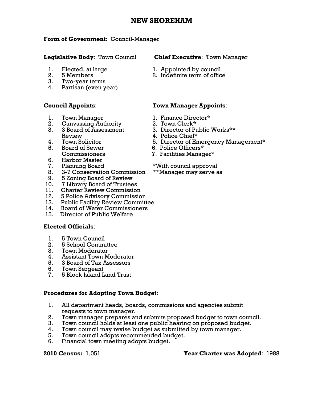# **NEW SHOREHAM**

### **Form of Government**: Council-Manager

### **Legislative Body**: Town Council **Chief Executive**: Town Manager

- 
- 
- 3. Two-year terms
- 4. Partisan (even year)

- 1. Town Manager 1. Finance Director\*
- 2. Canvassing Authority 2. Town Clerk\*<br>3. 3 Board of Assessment 3. Director of Pu
- Review 4. Police Chief\*<br>Town Solicitor 5. Director of Er
- 
- 5. Board of Sewer 6. Police Officers\*
- 6. Harbor Master
- 
- 8. 3-7 Conservation Commission \*\*Manager may serve as
- 9. 5 Zoning Board of Review
- 10. 7 Library Board of Trustees
- 11. Charter Review Commission
- 12. 5 Police Advisory Commission
- 13. Public Facility Review Committee
- 14. Board of Water Commissioners
- 15. Director of Public Welfare

# **Elected Officials**:

- 1. 5 Town Council
- 2. 5 School Committee
- 3. Town Moderator
- 4. Assistant Town Moderator
- 5. 3 Board of Tax Assessors
- Town Sergeant
- 7. 5 Block Island Land Trust

### **Procedures for Adopting Town Budget**:

- 1. All department heads, boards, commissions and agencies submit requests to town manager.
- 2. Town manager prepares and submits proposed budget to town council.
- 3. Town council holds at least one public hearing on proposed budget.
- 4. Town council may revise budget as submitted by town manager.
- 5. Town council adopts recommended budget.
- 6. Financial town meeting adopts budget.

- 1. Elected, at large 1. Appointed by council<br>
2. 5 Members<br>
2. Indefinite term of offic
	- 2. 5 Members 2. Indefinite term of office

# **Council Appoints**: **Town Manager Appoints**:

- 
- 
- 3. 3 Board of Assessment 3. Director of Public Works\*\*
	-
- 4. Town Solicitor **4. Increase S. Director of Emergency Management**\*
	-
	- Commissioners 7. Facilities Manager\*
- 7. Planning Board \*With council approval
	-

### **2010 Census:** 1,051 **Year Charter was Adopted**: 1988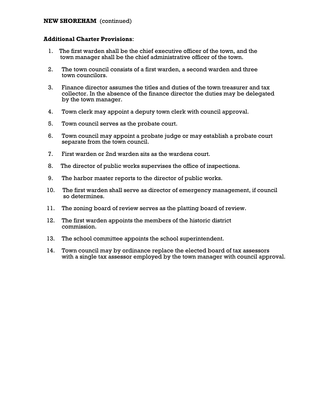### **NEW SHOREHAM** (continued)

- 1. The first warden shall be the chief executive officer of the town, and the town manager shall be the chief administrative officer of the town.
- 2. The town council consists of a first warden, a second warden and three town councilors.
- 3. Finance director assumes the titles and duties of the town treasurer and tax collector. In the absence of the finance director the duties may be delegated by the town manager.
- 4. Town clerk may appoint a deputy town clerk with council approval.
- 5. Town council serves as the probate court.
- 6. Town council may appoint a probate judge or may establish a probate court separate from the town council.
- 7. First warden or 2nd warden sits as the wardens court.
- 8. The director of public works supervises the office of inspections.
- 9. The harbor master reports to the director of public works.
- 10. The first warden shall serve as director of emergency management, if council so determines.
- 11. The zoning board of review serves as the platting board of review.
- 12. The first warden appoints the members of the historic district commission.
- 13. The school committee appoints the school superintendent.
- 14. Town council may by ordinance replace the elected board of tax assessors with a single tax assessor employed by the town manager with council approval.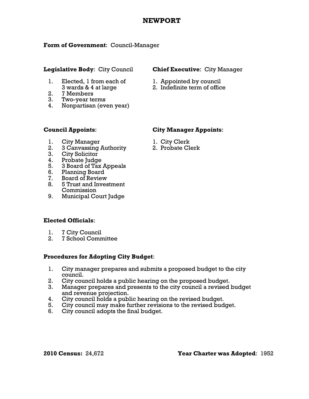# **NEWPORT**

# **Form of Government**: Council-Manager

# **Legislative Body**: City Council **Chief Executive**: City Manager

# 1. Elected, 1 from each of  $1.$  Appointed by council<br>3 wards  $2.4$  of large

- 2. 7 Members
- 3. Two-year terms
- 4. Nonpartisan (even year)

- 
- 3 wards & 4 at large 2. Indefinite term of office

# **Council Appoints**: **City Manager Appoints**:

- 1. City Manager 1. City Clerk
- 2. 3 Canvassing Authority 2. Probate Clerk
- 3. City Solicitor
- 
- 4. Probate Judge 5. 3 Board of Tax Appeals
- 6. Planning Board
- 7. Board of Review
- 8. 5 Trust and Investment Commission
- 9. Municipal Court Judge

# **Elected Officials**:

- 1. 7 City Council
- 2. 7 School Committee

# **Procedures for Adopting City Budget**:

- 1. City manager prepares and submits a proposed budget to the city council.
- 2. City council holds a public hearing on the proposed budget.
- 3. Manager prepares and presents to the city council a revised budget and revenue projection.
- 4. City council holds a public hearing on the revised budget.
- 5. City council may make further revisions to the revised budget.
- 6. City council adopts the final budget.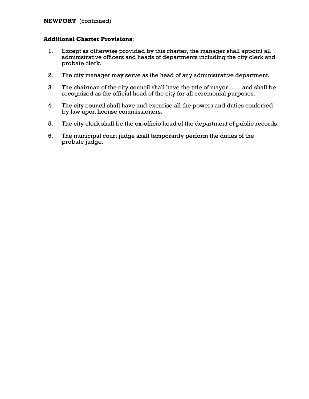# **NEWPORT** (continued)

- 1. Except as otherwise provided by this charter, the manager shall appoint all administrative officers and heads of departments including the city clerk and probate clerk.
- 2. The city manager may serve as the head of any administrative department.
- 3. The chairman of the city council shall have the title of mayor........and shall be recognized as the official head of the city for all ceremonial purposes.
- 4. The city council shall have and exercise all the powers and duties conferred by law upon license commissioners.
- 5. The city clerk shall be the ex-officio head of the department of public records.
- 6. The municipal court judge shall temporarily perform the duties of the probate judge.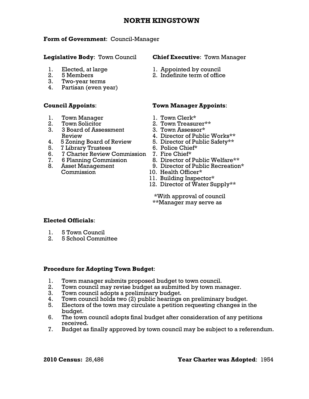# **NORTH KINGSTOWN**

# **Form of Government**: Council-Manager

# **Legislative Body**: Town Council **Chief Executive**: Town Manager

- 
- 
- 3. Two-year terms
- 4. Partisan (even year)

- 1. Town Manager 1. Town Clerk\*
- 
- 3. 3 Board of Assessment 3. Town Assessor\*
- 4. 5 Zoning Board of Review 5. Director of Public Safety\*\*
- 5. 7 Library Trustees 6. Police Chief\*
- 6. 7 Charter Review Commission 7. Fire Chief\*
- 
- Commission 10. Health Officer\*

- 1. Elected, at large 1. Appointed by council<br>
2. 5 Members<br>
2. Indefinite term of offic
	- 2. 5 Members 2. Indefinite term of office

# **Council Appoints**: **Town Manager Appoints**:

- 
- 2. Town Solicitor 2. Town Treasurer\*\*
	-
	- Review 4. Director of Public Works\*\*
		-
		-
		-
- 7. 6 Planning Commission 8. Director of Public Welfare\*\*
- 8. Asset Management 9. Director of Public Recreation\*
	-
	- 11. Building Inspector\*
	- 12. Director of Water Supply\*\*

 \*With approval of council \*\*Manager may serve as

# **Elected Officials**:

- 1. 5 Town Council
- 2. 5 School Committee

# **Procedure for Adopting Town Budget**:

- 1. Town manager submits proposed budget to town council.
- 2. Town council may revise budget as submitted by town manager.
- 3. Town council adopts a preliminary budget.
- 4. Town council holds two (2) public hearings on preliminary budget.
- 5. Electors of the town may circulate a petition requesting changes in the budget.
- 6. The town council adopts final budget after consideration of any petitions received.
- 7. Budget as finally approved by town council may be subject to a referendum.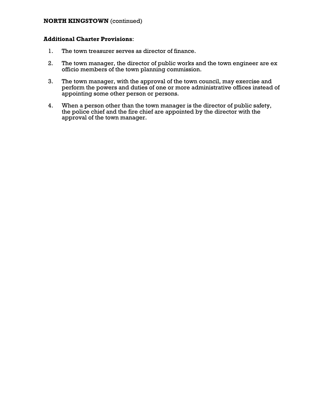# **NORTH KINGSTOWN** (continued)

- 1. The town treasurer serves as director of finance.
- 2. The town manager, the director of public works and the town engineer are ex officio members of the town planning commission.
- 3. The town manager, with the approval of the town council, may exercise and perform the powers and duties of one or more administrative offices instead of appointing some other person or persons.
- 4. When a person other than the town manager is the director of public safety, the police chief and the fire chief are appointed by the director with the approval of the town manager.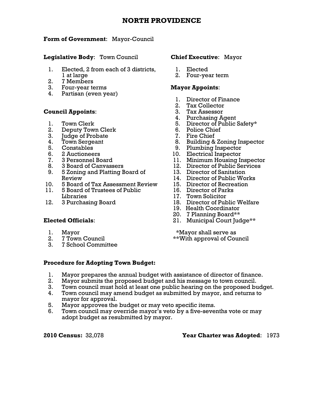# **NORTH PROVIDENCE**

# **Form of Government**: Mayor-Council

**Legislative Body**: Town Council **Chief Executive**: Mayor

- 1. Elected, 2 from each of 3 districts, 1. Elected 1 at large 2. Four-year term
- 2. 7 Members
- 3. Four-year terms **Mayor Appoints**:
- 4. Partisan (even year)

# **Council Appoints:**

- 
- 
- 2. Deputy Town Clerk 6. Police Chief<br>
3. Judge of Probate 7. Fire Chief 3. Judge of Probate
- 
- 
- 
- 
- 
- 9. 5 Zoning and Platting Board of 13. Director of Sanitation Review  $\overline{a}$  14. Director of Public Works
- 10. 5 Board of Tax Assessment Review 15. Director of Recreation
- 11. 5 Board of Trustees of Public 16. Director of Parks Libraries 17. Town Solicitor
- 

- 
- 
- 3. 7 School Committee

- 
- 

- 1. Director of Finance
- 2. Tax Collector
- 
- 4. Purchasing Agent
- 1. Town Clerk 5. Director of Public Safety\*<br>2. Deputy Town Clerk 6. Police Chief
	-
	-
- 4. Town Sergeant 1988 Coning Inspector 1. Building & Zoning Inspector
- 5. Constables 9. Plumbing Inspector
- 6. 2 Auctioneers 10. Electrical Inspector
- 7. 3 Personnel Board 11. Minimum Housing Inspector
	- 8. 3 Board of Canvassers 12. Director of Public Services
		-
		-
		-
		-
		-
- 12. 3 Purchasing Board 18. Director of Public Welfare
	- 19. Health Coordinator
	- 20. 7 Planning Board\*\*
- **Elected Officials**: 21. Municipal Court Judge\*\*

1. Mayor \*Mayor shall serve as<br>2. 7 Town Council 2. The serve in the serve of Council 2. The serve in the serve in the serve in the serve in the serve in the serve in the serve in the serve in the serve in the serve in the 2. 7 Town Council 2. The state of  $\ddot{\text{c}}$  approval of Council

# **Procedure for Adopting Town Budget:**

- 1. Mayor prepares the annual budget with assistance of director of finance.
- 2. Mayor submits the proposed budget and his message to town council.
- 
- 3. Town council must hold at least one public hearing on the proposed budget. 4. Town council may amend budget as submitted by mayor, and returns to mayor for approval.
- 5. Mayor approves the budget or may veto specific items.
- 6. Town council may override mayor's veto by a five-sevenths vote or may adopt budget as resubmitted by mayor.

# **2010 Census:** 32,078 **Year Charter was Adopted**: 1973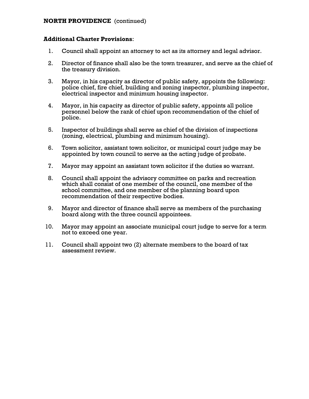# **NORTH PROVIDENCE** (continued)

- 1. Council shall appoint an attorney to act as its attorney and legal advisor.
- 2. Director of finance shall also be the town treasurer, and serve as the chief of the treasury division.
- 3. Mayor, in his capacity as director of public safety, appoints the following: police chief, fire chief, building and zoning inspector, plumbing inspector, electrical inspector and minimum housing inspector.
- 4. Mayor, in his capacity as director of public safety, appoints all police personnel below the rank of chief upon recommendation of the chief of police.
- 5. Inspector of buildings shall serve as chief of the division of inspections (zoning, electrical, plumbing and minimum housing).
- 6. Town solicitor, assistant town solicitor, or municipal court judge may be appointed by town council to serve as the acting judge of probate.
- 7. Mayor may appoint an assistant town solicitor if the duties so warrant.
- 8. Council shall appoint the advisory committee on parks and recreation which shall consist of one member of the council, one member of the school committee, and one member of the planning board upon recommendation of their respective bodies.
- 9. Mayor and director of finance shall serve as members of the purchasing board along with the three council appointees.
- 10. Mayor may appoint an associate municipal court judge to serve for a term not to exceed one year.
- 11. Council shall appoint two (2) alternate members to the board of tax assessment review.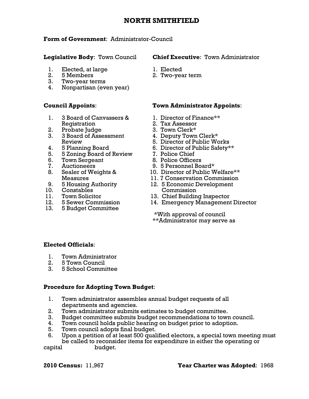# **NORTH SMITHFIELD**

# **Form of Government**: Administrator-Council

- 1. Elected, at large 1. Elected
- 
- 3. Two-year terms
- 4. Nonpartisan (even year)

- 1. 3 Board of Canvassers & 1. Director of Finance\*\* Registration 2. Tax Assessor<br>Probate Judge 2. Town Clerk\*
- 
- 2. Probate Judge<br>3. 3 Board of Assessment 3. 3 Board of Assessment 4. Deputy Town Clerk\*
- 
- 5. 5 Zoning Board of Review<br>6. Pour Sergeant
- 6. Town Sergeant 8. Police Officers
- 
- 8. Sealer of Weights &
- 
- 10. Constables Commission
- 
- 
- 13. 5 Budget Committee

### **Legislative Body**: Town Council **Chief Executive**: Town Administrator

- 
- 2. 5 Members 2. Two-year term

# **Council Appoints**: **Town Administrator Appoints**:

- 
- 
- 
- 
- Review 5. Director of Public Works
- 4. 5 Planning Board 6. Director of Public Safety\*\*<br>5. 5 Zoning Board of Review 7. Police Chief
	-
	-
	-
- 7. Auctioneers 9. 5 Personnel Board\*<br>
8. Sealer of Weights & 10. Director of Public Welfare\*\*
	- Measures 11. 7 Conservation Commission
- 9. 5 Housing Authority 12. 5 Economic Development
- 11. Town Solicitor 13. Chief Building Inspector
- 12. 5 Sewer Commission 14. Emergency Management Director

 \*With approval of council \*\*Administrator may serve as

# **Elected Officials**:

- 1. Town Administrator
- 2. 5 Town Council
- 3. 5 School Committee

# **Procedure for Adopting Town Budget**:

- 1. Town administrator assembles annual budget requests of all departments and agencies.
- 2. Town administrator submits estimates to budget committee.
- 3. Budget committee submits budget recommendations to town council.
- 4. Town council holds public hearing on budget prior to adoption.
- 5. Town council adopts final budget.
- 6. Upon a petition of at least 500 qualified electors, a special town meeting must be called to reconsider items for expenditure in either the operating or

capital budget.

# **2010 Census:** 11,967 **Year Charter was Adopted**: 1968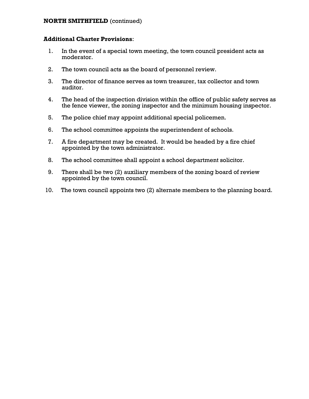# **NORTH SMITHFIELD** (continued)

- 1. In the event of a special town meeting, the town council president acts as moderator.
- 2. The town council acts as the board of personnel review.
- 3. The director of finance serves as town treasurer, tax collector and town auditor.
- 4. The head of the inspection division within the office of public safety serves as the fence viewer, the zoning inspector and the minimum housing inspector.
- 5. The police chief may appoint additional special policemen.
- 6. The school committee appoints the superintendent of schools.
- 7. A fire department may be created. It would be headed by a fire chief appointed by the town administrator.
- 8. The school committee shall appoint a school department solicitor.
- 9. There shall be two (2) auxiliary members of the zoning board of review appointed by the town council.
- 10. The town council appoints two (2) alternate members to the planning board.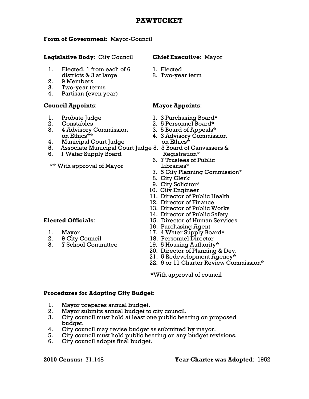# **2010 Census:** 71,148 **Year Charter was Adopted**: 1952

# **PAWTUCKET**

### **Form of Government**: Mayor-Council

# **Legislative Body**: City Council **Chief Executive**: Mayor

- 1. Elected, 1 from each of 6 1. Elected districts & 3 at large 2. Two-year term
- 2. 9 Members
- 3. Two-year terms
- 4. Partisan (even year)

# **Council Appoints**: **Mayor Appoints**:

- 
- 
- 3. 4 Advisory Commission 3. 5 Board of Appeals\*
- 4. Municipal Court Judge on Ethics\*
- 5. Associate Municipal Court Judge 5. 3 Board of Canvassers &
- 6. 1 Water Supply Board **Registration**\*

\*\* With approval of Mayor Libraries\*

- 
- 
- 3. 7 School Committee 19. 5 Housing Authority\*

- 
- 

- 1. Probate Judge 1. 3 Purchasing Board\*
- 2. Constables 2. 5 Personnel Board\*
	-
	- on Ethics<sup>\*\*</sup> 4. 3 Advisory Commission
		-
		- 6. 7 Trustees of Public
		- 7. 5 City Planning Commission\*
		- 8. City Clerk
		- 9. City Solicitor\*
		- 10. City Engineer
		- 11. Director of Public Health
		- 12. Director of Finance
		- 13. Director of Public Works
		- 14. Director of Public Safety
- **Elected Officials**: 15. Director of Human Services
	- 16. Purchasing Agent
	- 1. Mayor 17. 4 Water Supply Board\*
	- 2. 9 City Council 18. Personnel Director
		-
		- 20. Director of Planning & Dev.
		- 21. 5 Redevelopment Agency\*
		- 22. 9 or 11 Charter Review Commission\*

\*With approval of council

# **Procedures for Adopting City Budget**:

- 1. Mayor prepares annual budget.
- 2. Mayor submits annual budget to city council.
- 3. City council must hold at least one public hearing on proposed budget.
- 4. City council may revise budget as submitted by mayor.
- 5. City council must hold public hearing on any budget revisions.
- 6. City council adopts final budget.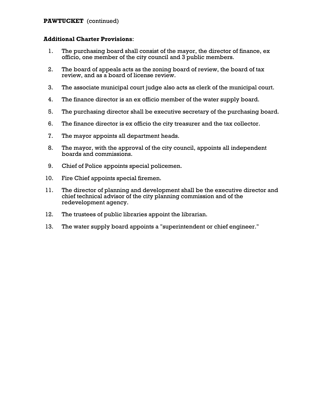# **PAWTUCKET** (continued)

- 1. The purchasing board shall consist of the mayor, the director of finance, ex officio, one member of the city council and 3 public members.
- 2. The board of appeals acts as the zoning board of review, the board of tax review, and as a board of license review.
- 3. The associate municipal court judge also acts as clerk of the municipal court.
- 4. The finance director is an ex officio member of the water supply board.
- 5. The purchasing director shall be executive secretary of the purchasing board.
- 6. The finance director is ex officio the city treasurer and the tax collector.
- 7. The mayor appoints all department heads.
- 8. The mayor, with the approval of the city council, appoints all independent boards and commissions.
- 9. Chief of Police appoints special policemen.
- 10. Fire Chief appoints special firemen.
- 11. The director of planning and development shall be the executive director and chief technical advisor of the city planning commission and of the redevelopment agency.
- 12. The trustees of public libraries appoint the librarian.
- 13. The water supply board appoints a "superintendent or chief engineer."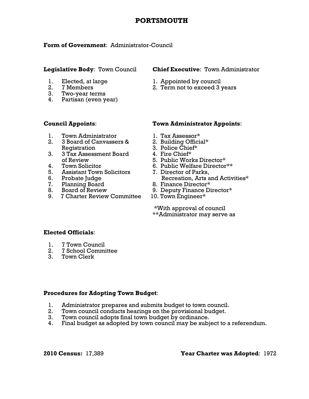# **PORTSMOUTH**

# **Form of Government**: Administrator-Council

- 
- 
- 3. Two-year terms
- 4. Partisan (even year)

# **Legislative Body**: Town Council **Chief Executive**: Town Administrator

- 1. Elected, at large 1. Appointed by council
- 2. 7 Members 2. Term not to exceed 3 years

- 
- 1. Town Administrator 1. Tax Assessor\*<br>
2. 3 Board of Canvassers & 2. Building Official\* 3 Board of Canvassers & Registration 3. Police Chief\*<br>3 Tax Assessment Board 4. Fire Chief\*
- 3. 3 Tax Assessment Board of Review 5. Public Works Director\*<br>4. Town Solicitor 6. Public Welfare Director
- 
- 
- 
- 
- 
- 9. 7 Charter Review Committee 10. Town Engineer\*

# **Council Appoints**: **Town Administrator Appoints**:

- 
- 
- 
- 
- 
- 6. Public Welfare Director\*\*
- 5. Assistant Town Solicitors 7. Director of Parks,<br>6. Probate Judge 6. Recreation. Arts and Activities\* 6. Probate Judge **Recreation, Arts and Activities**\*
- 7. Planning Board 8. Finance Director\*
	- 8. Board of Review 9. Deputy Finance Director\*
		-

 \*With approval of council \*\*Administrator may serve as

# **Elected Officials**:

- 1. 7 Town Council
- 2. 7 School Committee
- 3. Town Clerk

# **Procedures for Adopting Town Budget**:

- 1. Administrator prepares and submits budget to town council.
- 2. Town council conducts hearings on the provisional budget.<br>3. Town council adopts final town budget by ordinance.
- Town council adopts final town budget by ordinance.
- 4. Final budget as adopted by town council may be subject to a referendum.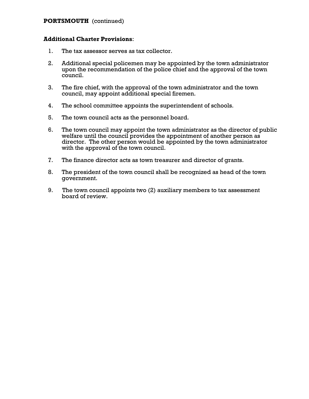# **PORTSMOUTH** (continued)

- 1. The tax assessor serves as tax collector.
- 2. Additional special policemen may be appointed by the town administrator upon the recommendation of the police chief and the approval of the town council.
- 3. The fire chief, with the approval of the town administrator and the town council, may appoint additional special firemen.
- 4. The school committee appoints the superintendent of schools.
- 5. The town council acts as the personnel board.
- 6. The town council may appoint the town administrator as the director of public welfare until the council provides the appointment of another person as director. The other person would be appointed by the town administrator with the approval of the town council.
- 7. The finance director acts as town treasurer and director of grants.
- 8. The president of the town council shall be recognized as head of the town government.
- 9. The town council appoints two (2) auxiliary members to tax assessment board of review.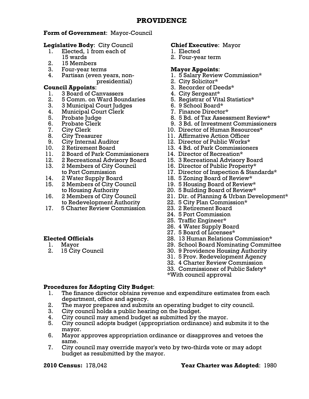# **Form of Government**: Mayor-Council

# **Legislative Body**: City Council **Chief Executive**: Mayor

- 1. Elected, 1 from each of 1. Elected 15 wards 2. Four-year term
- 2. 15 Members
- 3. Four-year terms **Mayor Appoints**:
- 

- 1. 3 Board of Canvassers 4. City Sergeant\*
- 2. 5 Comm. on Ward Boundaries 5. Registrar of Vital Statistics\*
- 3. 3 Municipal Court Judges 6. 9 School Board\*<br>4. Municipal Court Clerk 6. 7. Finance Director\*
- 4. Municipal Court Clerk
- 
- 
- 
- 
- 
- 
- 11. 2 Board of Park Commissioners 14. Director of Recreation\*
- 
- 13. 2 Members of City Council 16. Director of Public Property\*
- 
- 15. 2 Members of City Council 19. 5 Housing Board of Review\*
- to Redevelopment Authority 22. 5 City Plan Commission\*
- 17. 5 Charter Review Commission 23. 2 Retirement Board

- 
- 

- 
- 

- 4. Partisan (even years, non- 1. 5 Salary Review Commission\*
	- presidential) 2. City Solicitor\*
- **Council Appoints**: 3. Recorder of Deeds\*
	-
	-
	-
	-
	- 5. Probate Judge 8. 5 Bd. of Tax Assessment Review\*
	- 6. Probate Clerk 9. 3 Bd. of Investment Commissioners
	- 7. City Clerk 10. Director of Human Resources\*
	- 8. City Treasurer 11. Affirmative Action Officer
	- 9. City Internal Auditor 12. Director of Public Works\*
- 10. 2 Retirement Board 13. 4 Bd. of Park Commissioners
	-
- 12. 2 Recreational Advisory Board 15. 3 Recreational Advisory Board
	-
	- to Port Commission 17. Director of Inspection & Standards\*
- 14. 2 Water Supply Board 18. 5 Zoning Board of Review\*
	-
	- to Housing Authority 20. 5 Building Board of Review\*
- 16. 2 Members of City Council 21. Dir. of Planning & Urban Development\*
	-
	-
	- 24. 5 Port Commission
	- 25. Traffic Engineer\*
	- 26. 4 Water Supply Board
	- 27. 5 Board of Licenses\*
- **Elected Officials** 28. 13 Human Relations Commission\*
	- 1. Mayor 29. School Board Nominating Committee
	- 2. 15 City Council 30. 9 Providence Housing Authority
		- 31. 5 Prov. Redevelopment Agency
		- 32. 4 Charter Review Commission
		- 33. Commissioner of Public Safety\*
		- \*With council approval

# **Procedures for Adopting City Budget**:

- 1. The finance director obtains revenue and expenditure estimates from each department, office and agency.
- 2. The mayor prepares and submits an operating budget to city council.
- 3. City council holds a public hearing on the budget.
- 4. City council may amend budget as submitted by the mayor.
- 5. City council adopts budget (appropriation ordinance) and submits it to the mayor.
- 6. Mayor approves appropriation ordinance or disapproves and vetoes the same.
- 7. City council may override mayor's veto by two-thirds vote or may adopt budget as resubmitted by the mayor.

# **2010 Census:** 178,042 **Year Charter was Adopted**: 1980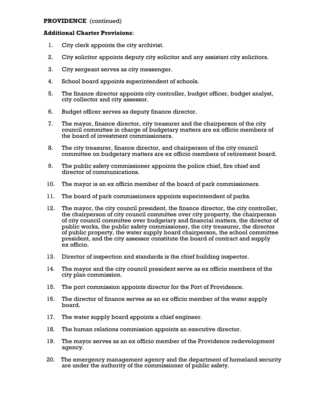# **PROVIDENCE** (continued)

- 1. City clerk appoints the city archivist.
- 2. City solicitor appoints deputy city solicitor and any assistant city solicitors.
- 3. City sergeant serves as city messenger.
- 4. School board appoints superintendent of schools.
- 5. The finance director appoints city controller, budget officer, budget analyst, city collector and city assessor.
- 6. Budget officer serves as deputy finance director.
- 7. The mayor, finance director, city treasurer and the chairperson of the city council committee in charge of budgetary matters are ex officio members of the board of investment commissioners.
- 8. The city treasurer, finance director, and chairperson of the city council committee on budgetary matters are ex officio members of retirement board.
- 9. The public safety commissioner appoints the police chief, fire chief and director of communications.
- 10. The mayor is an ex officio member of the board of park commissioners.
- 11. The board of park commissioners appoints superintendent of parks.
- 12. The mayor, the city council president, the finance director, the city controller, the chairperson of city council committee over city property, the chairperson of city council committee over budgetary and financial matters, the director of public works, the public safety commissioner, the city treasurer, the director of public property, the water supply board chairperson, the school committee president, and the city assessor constitute the board of contract and supply ex officio.
- 13. Director of inspection and standards is the chief building inspector.
- 14. The mayor and the city council president serve as ex officio members of the city plan commission.
- 15. The port commission appoints director for the Port of Providence.
- 16. The director of finance serves as an ex officio member of the water supply board.
- 17. The water supply board appoints a chief engineer.
- 18. The human relations commission appoints an executive director.
- 19. The mayor serves as an ex officio member of the Providence redevelopment agency.
- 20. The emergency management agency and the department of homeland security are under the authority of the commissioner of public safety.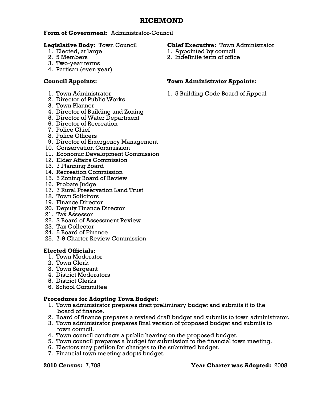# **RICHMOND**

# **Form of Government:** Administrator-Council

- 
- 
- 3. Two-year terms
- 4. Partisan (even year)

- 
- 2. Director of Public Works
- 3. Town Planner
- 4. Director of Building and Zoning
- 5. Director of Water Department
- 6. Director of Recreation
- 7. Police Chief
- 8. Police Officers
- 9. Director of Emergency Management
- 10. Conservation Commission
- 11. Economic Development Commission
- 12. Elder Affairs Commission
- 13. 7 Planning Board
- 14. Recreation Commission
- 15. 5 Zoning Board of Review
- 16. Probate Judge
- 17. 7 Rural Preservation Land Trust
- 18. Town Solicitors
- 19. Finance Director
- 20. Deputy Finance Director
- 21. Tax Assessor
- 22. 3 Board of Assessment Review
- 23. Tax Collector
- 24. 5 Board of Finance
- 25. 7-9 Charter Review Commission

# **Elected Officials:**

- 1. Town Moderator
- 2. Town Clerk
- 3. Town Sergeant
- 4. District Moderators
- 5. District Clerks
- 6. School Committee

# **Procedures for Adopting Town Budget:**

- 1. Town administrator prepares draft preliminary budget and submits it to the board of finance.
- 2. Board of finance prepares a revised draft budget and submits to town administrator.
- 3. Town administrator prepares final version of proposed budget and submits to town council.
- 4. Town council conducts a public hearing on the proposed budget.
- 5. Town council prepares a budget for submission to the financial town meeting.
- 6. Electors may petition for changes to the submitted budget.
- 7. Financial town meeting adopts budget.

# **Legislative Body:** Town Council **Chief Executive:** Town Administrator

- 1. Elected, at large 1. Appointed by council
- 2. 5 Members 2. Indefinite term of office

# **Council Appoints: Town Administrator Appoints:**

1. Town Administrator 1. 5 Building Code Board of Appeal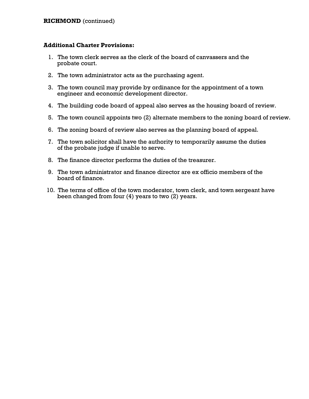- 1. The town clerk serves as the clerk of the board of canvassers and the probate court.
- 2. The town administrator acts as the purchasing agent.
- 3. The town council may provide by ordinance for the appointment of a town engineer and economic development director.
- 4. The building code board of appeal also serves as the housing board of review.
- 5. The town council appoints two (2) alternate members to the zoning board of review.
- 6. The zoning board of review also serves as the planning board of appeal.
- 7. The town solicitor shall have the authority to temporarily assume the duties of the probate judge if unable to serve.
- 8. The finance director performs the duties of the treasurer.
- 9. The town administrator and finance director are ex officio members of the board of finance.
- 10. The terms of office of the town moderator, town clerk, and town sergeant have been changed from four (4) years to two (2) years.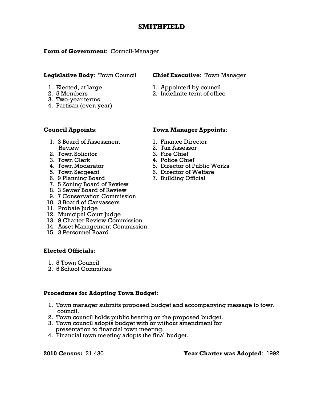# **SMITHFIELD**

# **Form of Government**: Council-Manager

### **Legislative Body**: Town Council **Chief Executive**: Town Manager

- 
- 
- 3. Two-year terms
- 4. Partisan (even year)

- 1. Elected, at large 1. Appointed by council
- 2. 5 Members 2. Indefinite term of office

- 1. 3 Board of Assessment 1. Finance Director Review 2. Tax Assessor<br>Town Solicitor 2. Town Solicitor
- 2. Town Solicitor
- 3. Town Clerk 4. Police Chief
- 
- 
- 6. 9 Planning Board 7. Building Official
- 7. 5 Zoning Board of Review
- 8. 3 Sewer Board of Review
- 9. 7 Conservation Commission
- 10. 3 Board of Canvassers
- 11. Probate Judge
- 12. Municipal Court Judge
- 13. 9 Charter Review Commission
- 14. Asset Management Commission
- 15. 3 Personnel Board

# **Elected Officials**:

- 1. 5 Town Council
- 2. 5 School Committee

# **Procedures for Adopting Town Budget**:

- 1. Town manager submits proposed budget and accompanying message to town council.
- 2. Town council holds public hearing on the proposed budget.
- 3. Town council adopts budget with or without amendment for presentation to financial town meeting.
- 4. Financial town meeting adopts the final budget.

# **Council Appoints**: **Town Manager Appoints**:

- 
- 
- 
- 
- 4. Town Moderator 5. Director of Public Works
- 5. Town Sergeant 6. Director of Welfare
	-

# **2010 Census:** 21,430 **Year Charter was Adopted**: 1992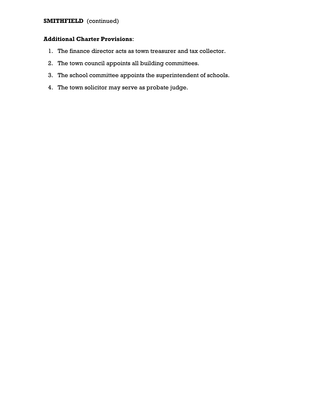# **SMITHFIELD** (continued)

- 1. The finance director acts as town treasurer and tax collector.
- 2. The town council appoints all building committees.
- 3. The school committee appoints the superintendent of schools.
- 4. The town solicitor may serve as probate judge.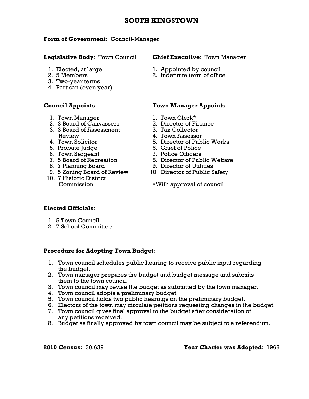# **SOUTH KINGSTOWN**

### **Form of Government**: Council-Manager

- 
- 
- 3. Two-year terms
- 4. Partisan (even year)

- 
- 
- 3. 3 Board of Assessment 3. Tax Collector
	-
	-
	-
	-
	-
	-
	-
- 10. 7 Historic District

### **Legislative Body**: Town Council **Chief Executive**: Town Manager

- 1. Elected, at large 1. Appointed by council
- 2. 5 Members 2. Indefinite term of office

# **Council Appoints**: **Town Manager Appoints**:

- 1. Town Manager 1. Town Clerk\*
- 2. 3 Board of Canvassers 2. Director of Finance
	-
- Review 1. Town Assessor
	- 4. Town Solicitor 5. Director of Public Works
- 5. Probate Judge 6. Chief of Police
- 6. Town Sergeant 7. Police Officers
- 7. 5 Board of Recreation 8. Director of Public Welfare
- 8. 7 Planning Board 9. Director of Utilities
	- 9. 5 Zoning Board of Review 10. Director of Public Safety

Commission \*With approval of council

# **Elected Officials**:

- 1. 5 Town Council
- 2. 7 School Committee

# **Procedure for Adopting Town Budget**:

- 1. Town council schedules public hearing to receive public input regarding the budget.
- 2. Town manager prepares the budget and budget message and submits them to the town council.
- 3. Town council may revise the budget as submitted by the town manager.
- 4. Town council adopts a preliminary budget.
- 5. Town council holds two public hearings on the preliminary budget.
- 6. Electors of the town may circulate petitions requesting changes in the budget.
- 7. Town council gives final approval to the budget after consideration of any petitions received.
- 8. Budget as finally approved by town council may be subject to a referendum.

**2010 Census:** 30,639 **Year Charter was Adopted**: 1968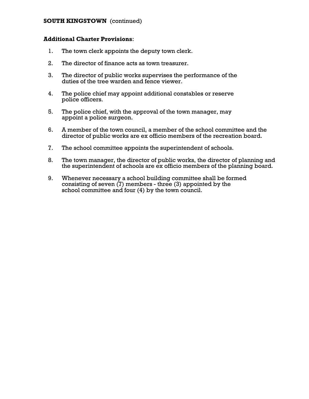# **SOUTH KINGSTOWN** (continued)

- 1. The town clerk appoints the deputy town clerk.
- 2. The director of finance acts as town treasurer.
- 3. The director of public works supervises the performance of the duties of the tree warden and fence viewer.
- 4. The police chief may appoint additional constables or reserve police officers.
- 5. The police chief, with the approval of the town manager, may appoint a police surgeon.
- 6. A member of the town council, a member of the school committee and the director of public works are ex officio members of the recreation board.
- 7. The school committee appoints the superintendent of schools.
- 8. The town manager, the director of public works, the director of planning and the superintendent of schools are ex officio members of the planning board.
- 9. Whenever necessary a school building committee shall be formed consisting of seven (7) members - three (3) appointed by the school committee and four (4) by the town council.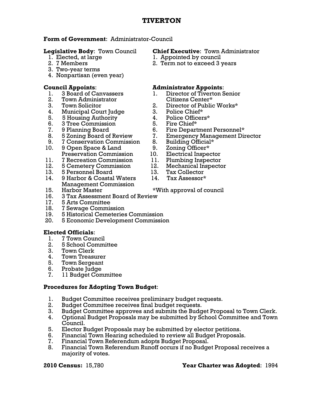# **Form of Government**: Administrator-Council

- 
- 
- 3. Two-year terms
- 4. Nonpartisan (even year)

- 
- 2. Town Administrator Citizens Center\*
- 
- 4. Municipal Court Judge
- 5. 5 Housing Authority 4. Police Officers\*
- 6. 3 Tree Commission 5. Fire Chief\*
- 
- 
- 9. 7 Conservation Commission 8. Building Official\*
- 10. 9 Open Space & Land 9. Zoning Officer\* Preservation Commission 10. Electrical Inspector
- 11. 7 Recreation Commission 11. Plumbing Inspector
- 
- 13. 5 Personnel Board
- 12. 5 Cemetery Commission 12. Mechanical Inspector<br>13. 5 Personnel Board 13. Tax Collector<br>14. 9 Harbor & Coastal Waters 14. Tax Assessor\* 14. 9 Harbor & Coastal Waters Management Commission
- 
- 16. 3 Tax Assessment Board of Review
- 17. 5 Arts Committee
- 18. 7 Sewage Commission
- 19. 5 Historical Cemeteries Commission
- 20. 5 Economic Development Commission

# **Elected Officials**:

- 1. 7 Town Council
- 2. 5 School Committee
- 3. Town Clerk
- 4. Town Treasurer
- 5. Town Sergeant
- 6. Probate Judge
- 7. 11 Budget Committee

# **Procedures for Adopting Town Budget**:

- 1. Budget Committee receives preliminary budget requests.
- 2. Budget Committee receives final budget requests.
- 3. Budget Committee approves and submits the Budget Proposal to Town Clerk.
- 4. Optional Budget Proposals may be submitted by School Committee and Town Council.
- 5. Elector Budget Proposals may be submitted by elector petitions.
- 6. Financial Town Hearing scheduled to review all Budget Proposals.
- 7. Financial Town Referendum adopts Budget Proposal.
- 8. Financial Town Referendum Runoff occurs if no Budget Proposal receives a majority of votes.

# **Legislative Body**: Town Council **Chief Executive**: Town Administrator

- 1. Elected, at large 1. Appointed by council
- 2. 7 Members 2. Term not to exceed 3 years

# **Council Appoints**: **Administrator Appoints**:

- 1. 3 Board of Canvassers 1. Director of Tiverton Senior
- 3. Town Solicitor 2. Director of Public Works\*<br>4. Municipal Court Judge 3. Police Chief\*
	-
	-
	-
- 7. 9 Planning Board 6. Fire Department Personnel\*<br>
8. 5 Zoning Board of Review 7. Emergency Management Direct
- 8. 5 Zoning Board of Review 7. Emergency Management Director
	-
	-
	- -
		-
		-
		-

# 15. Harbor Master \*With approval of council

# **2010 Census:** 15,780 **Year Charter was Adopted**: 1994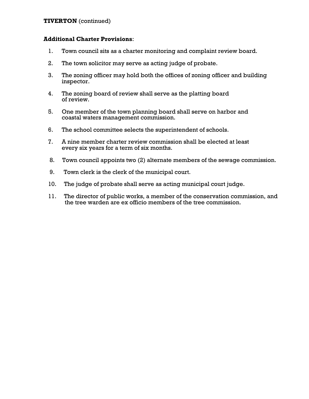# **TIVERTON** (continued)

- 1. Town council sits as a charter monitoring and complaint review board.
- 2. The town solicitor may serve as acting judge of probate.
- 3. The zoning officer may hold both the offices of zoning officer and building inspector.
- 4. The zoning board of review shall serve as the platting board of review.
- 5. One member of the town planning board shall serve on harbor and coastal waters management commission.
- 6. The school committee selects the superintendent of schools.
- 7. A nine member charter review commission shall be elected at least every six years for a term of six months.
- 8. Town council appoints two (2) alternate members of the sewage commission.
- 9. Town clerk is the clerk of the municipal court.
- 10. The judge of probate shall serve as acting municipal court judge.
- 11. The director of public works, a member of the conservation commission, and the tree warden are ex officio members of the tree commission.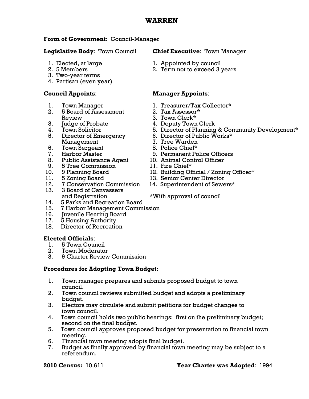# **WARREN**

# **Form of Government**: Council-Manager

# **Legislative Body**: Town Council **Chief Executive**: Town Manager

- 
- 
- 3. Two-year terms
- 4. Partisan (even year)

- 
- 2. 5 Board of Assessment Review 3. Town Clerk\*<br>
Judge of Probate 4. Deputy Town
- 
- 
- 5. Director of Emergency 6. Director of Public Works\*<br>Management 7. Tree Warden Management 7. Tree Warden
- 6. Town Sergeant 8. Police Chief\*
	-
	- 8. Public Assistance Agent 10. Animal Control Officer
- 9. 5 Tree Commission 11. Fire Chief\*
- 
- 
- 12. 7 Conservation Commission
- 13. 3 Board of Canvassers
- 14. 5 Parks and Recreation Board
- 15. 7 Harbor Management Commission
- 16. Juvenile Hearing Board
- 17. 5 Housing Authority
- 18. Director of Recreation

# **Elected Officials**:

- 1. 5 Town Council
- 2. Town Moderator
- 3. 9 Charter Review Commission

# **Procedures for Adopting Town Budget**:

- 1. Town manager prepares and submits proposed budget to town council.
- 2. Town council reviews submitted budget and adopts a preliminary budget.
- 3. Electors may circulate and submit petitions for budget changes to town council.
- 4. Town council holds two public hearings: first on the preliminary budget; second on the final budget.
- 5. Town council approves proposed budget for presentation to financial town meeting.
- 6. Financial town meeting adopts final budget.
- 7. Budget as finally approved by financial town meeting may be subject to a referendum.

- 1. Elected, at large 1. Appointed by council
- 2. 5 Members 2. Term not to exceed 3 years

# **Council Appoints**: **Manager Appoints**:

- 1. Town Manager 1. Treasurer/Tax Collector\*
	-
	-
	-
- 3. Judge of Probate 4. Deputy Town Clerk 4. Town Solicitor **5. Director of Planning & Community Development**\*
	-
	-
	-
- 7. Harbor Master 9. Permanent Police Officers
	-
	-
- 12. Building Official / Zoning Officer\* 10. 9 Planning Board 12. Building Official / Zoning C<br>11. 5 Zoning Board 13. Senior Center Director<br>12. 7 Conservation Commission 14. Superintendent of Sewers\*
	-
	-

# and Registration \*With approval of council

# **2010 Census:** 10,611 **Year Charter was Adopted**: 1994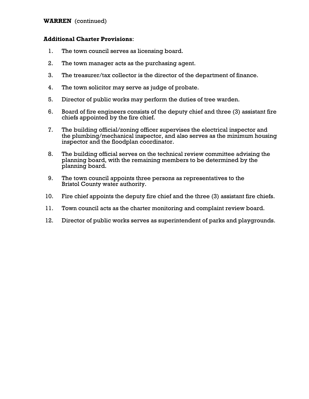### **WARREN** (continued)

- 1. The town council serves as licensing board.
- 2. The town manager acts as the purchasing agent.
- 3. The treasurer/tax collector is the director of the department of finance.
- 4. The town solicitor may serve as judge of probate.
- 5. Director of public works may perform the duties of tree warden.
- 6. Board of fire engineers consists of the deputy chief and three (3) assistant fire chiefs appointed by the fire chief.
- 7. The building official/zoning officer supervises the electrical inspector and the plumbing/mechanical inspector, and also serves as the minimum housing inspector and the floodplan coordinator.
- 8. The building official serves on the technical review committee advising the planning board, with the remaining members to be determined by the planning board.
- 9. The town council appoints three persons as representatives to the Bristol County water authority.
- 10. Fire chief appoints the deputy fire chief and the three (3) assistant fire chiefs.
- 11. Town council acts as the charter monitoring and complaint review board.
- 12. Director of public works serves as superintendent of parks and playgrounds.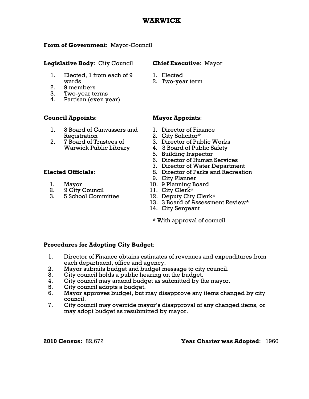## **WARWICK**

## **Form of Government**: Mayor-Council

## **Legislative Body**: City Council **Chief Executive**: Mayor

- 1. Elected, 1 from each of 9 1. Elected wards 2. Two-year term
- 2. 9 members
- 3. Two-year terms
- 4. Partisan (even year)

## **Council Appoints**: **Mayor Appoints**:

- 1. 3 Board of Canvassers and 1. Director of Finance Registration 2. City Solicitor\*
- 

- 
- 2. 9 City Council 11. City Clerk\*
- 3. 5 School Committee 12. Deputy City Clerk\*

- 
- 

- 
- 
- 2. 7 Board of Trustees of 3. Director of Public Works
	- Warwick Public Library 4. 3 Board of Public Safety
		- 5. Building Inspector
		- 6. Director of Human Services
- **2.** Director of Water Department<br>**2.** Director of Parks and Recreation 1. B. Director of Parks and Recreation
	- **Elected Officials**: 8. Director of Parks and Recreation
	- 9. City Planner
	- 1. Mayor 10. 9 Planning Board
		-
		-
		- 13. 3 Board of Assessment Review\*<br>14. City Sergeant
		-
		- \* With approval of council

## **Procedures for Adopting City Budget**:

- 1. Director of Finance obtains estimates of revenues and expenditures from each department, office and agency.<br>2. Mayor submits budget and budget m
- Mayor submits budget and budget message to city council.
- 3. City council holds a public hearing on the budget.
- 4. City council may amend budget as submitted by the mayor.
- 5. City council adopts a budget.
- 6. Mayor approves budget, but may disapprove any items changed by city council.<br>7. City cou
- 7. City council may override mayor's disapproval of any changed items, or may adopt budget as resubmitted by mayor.

## **2010 Census:** 82,672 **Year Charter was Adopted**: 1960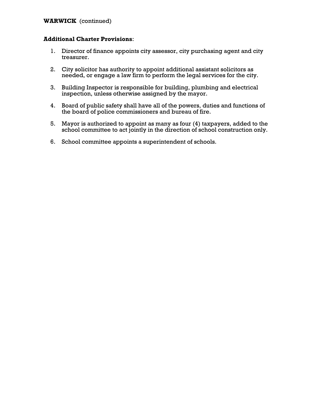## **WARWICK** (continued)

## **Additional Charter Provisions**:

- 1. Director of finance appoints city assessor, city purchasing agent and city treasurer.
- 2. City solicitor has authority to appoint additional assistant solicitors as needed, or engage a law firm to perform the legal services for the city.
- 3. Building Inspector is responsible for building, plumbing and electrical inspection, unless otherwise assigned by the mayor.
- 4. Board of public safety shall have all of the powers, duties and functions of the board of police commissioners and bureau of fire.
- 5. Mayor is authorized to appoint as many as four (4) taxpayers, added to the school committee to act jointly in the direction of school construction only.
- 6. School committee appoints a superintendent of schools.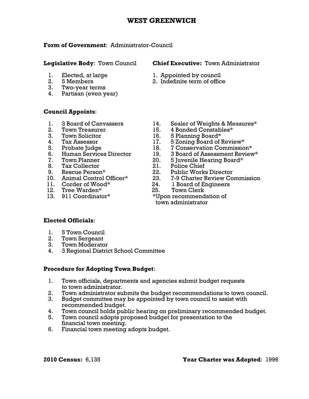# **WEST GREENWICH**

## **Form of Government**: Administrator-Council

- 
- 
- 3. Two-year terms
- 4. Partisan (even year)

# **Council Appoints**:

- 
- 
- 
- 
- 
- 
- 
- 8. Tax Collector 21. Police Chief<br>
9. Rescue Person\* 22. Public Works
- 
- 
- 
- 
- 12. Tree Warden\* 25. Town Clerk<br>13. 911 Coordinator\* \*Upon recommend
- **Legislative Body**: Town Council **Chief Executive:** Town Administrator
	- 1. Elected, at large 1. Appointed by council
	- 2. 5 Members 2. Indefinite term of office<br>3. Two-vear terms
	- 1. 3 Board of Canvassers 14. Sealer of Weights & Measures\*
	- 2. Town Treasurer 15. 4 Bonded Constables\*<br>3. Town Solicitor 16. 5 Planning Board\*
	- 3. Town Solicitor 16. 5 Planning Board\*
	- 4. Tax Assessor 17. 5 Zoning Board of Review\*
	- 5. Probate Judge 18. 7 Conservation Commission\*<br>6. Human Services Director 19. 3 Board of Assessment Reviev
		- 19. 3 Board of Assessment Review\*
	- 7. Town Planner 20. 5 Juvenile Hearing Board\*<br>8. Tax Collector 21. Police Chief
		-
	- 9. Rescue Person\* 22. Public Works Director<br>10. Animal Control Officer\* 23. 7-9 Charter Review Co
		- 7-9 Charter Review Commission
	- 11. Corder of Wood\* 24. 1 Board of Engineers<br>12. Tree Warden\* 25. Town Clerk
		-

 13. 911 Coordinator\* \*Upon recommendation of town administrator

# **Elected Officials**:

- 1. 5 Town Council
- 2. Town Sergeant
- 3. Town Moderator
- 4. 3 Regional District School Committee

# **Procedure for Adopting Town Budget**:

- 1. Town officials, departments and agencies submit budget requests to town administrator.
- 2. Town administrator submits the budget recommendations to town council.
- 3. Budget committee may be appointed by town council to assist with recommended budget.
- 4. Town council holds public hearing on preliminary recommended budget.
- 5. Town council adopts proposed budget for presentation to the financial town meeting.
- 6. Financial town meeting adopts budget.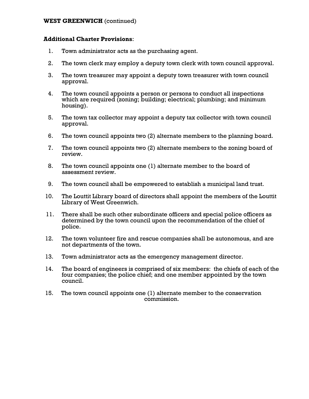## **WEST GREENWICH** (continued)

## **Additional Charter Provisions**:

- 1. Town administrator acts as the purchasing agent.
- 2. The town clerk may employ a deputy town clerk with town council approval.
- 3. The town treasurer may appoint a deputy town treasurer with town council approval.
- 4. The town council appoints a person or persons to conduct all inspections which are required (zoning; building; electrical; plumbing; and minimum housing).
- 5. The town tax collector may appoint a deputy tax collector with town council approval.
- 6. The town council appoints two (2) alternate members to the planning board.
- 7. The town council appoints two (2) alternate members to the zoning board of review.
- 8. The town council appoints one (1) alternate member to the board of assessment review.
- 9. The town council shall be empowered to establish a municipal land trust.
- 10. The Louttit Library board of directors shall appoint the members of the Louttit Library of West Greenwich.
- 11. There shall be such other subordinate officers and special police officers as determined by the town council upon the recommendation of the chief of police.
- 12. The town volunteer fire and rescue companies shall be autonomous, and are not departments of the town.
- 13. Town administrator acts as the emergency management director.
- 14. The board of engineers is comprised of six members: the chiefs of each of the four companies; the police chief; and one member appointed by the town council.
- 15. The town council appoints one (1) alternate member to the conservation commission.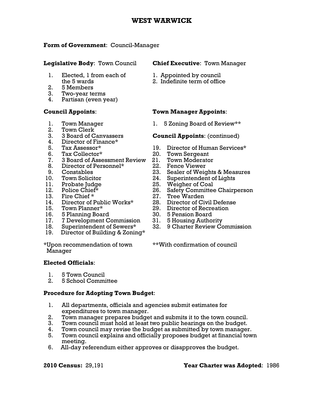# **WEST WARWICK**

## **Form of Government**: Council-Manager

## **Legislative Body**: Town Council **Chief Executive**: Town Manager

- 1. Elected, 1 from each of 1. Appointed by council
- 2. 5 Members
- 3. Two-year terms
- 4. Partisan (even year)

- 
- 2. Town Clerk
- 
- 4. Director of Finance\*
- 
- 
- 7. 3 Board of Assessment Review 21. Town Moderator
- 8. Director of Personnel\* 22. Fence Viewer
- 
- 
- 
- 
- 13. Fire Chief \* 27. Tree Warden
- 14. Director of Public Works\* 28. Director of Civil Defense
- 
- 
- 16. 5 Planning Board 30. 5 Pension Board 17. 7 Development Commission
- 
- 19. Director of Building & Zoning\*

\*Upon recommendation of town \*\*With confirmation of council Manager

## **Elected Officials**:

- 1. 5 Town Council
- 2. 5 School Committee

## **Procedure for Adopting Town Budget**:

- 1. All departments, officials and agencies submit estimates for expenditures to town manager.
- 2. Town manager prepares budget and submits it to the town council.
- 3. Town council must hold at least two public hearings on the budget.
- 4. Town council may revise the budget as submitted by town manager.
- 5. Town council explains and officially proposes budget at financial town meeting.
- 6. All-day referendum either approves or disapproves the budget.

- 
- the 5 wards 2. Indefinite term of office

## **Council Appoints**: **Town Manager Appoints**:

1. Town Manager 1. 5 Zoning Board of Review\*\*

## 3. 3 Board of Canvassers **Council Appoints**: (continued)

- 5. Tax Assessor\* 19. Director of Human Services\*<br>6. Tax Collector\* 20. Town Sergeant
- 6. Tax Collector\* 20. Town Sergeant
	-
	-
- 9. Constables 23. Sealer of Weights & Measures<br>10. Town Solicitor 24. Superintendent of Lights
	- 24. Superintendent of Lights
- 11. Probate Judge 25. Weigher of Coal
- 12. Police Chief\* 26. Safety Committee Chairperson
	-
	-
- 15. Town Planner\* 29. Director of Recreation
	-
	-
- 18. Superintendent of Sewers\* 32. 9 Charter Review Commission

## **2010 Census:** 29,191 **Year Charter was Adopted**: 1986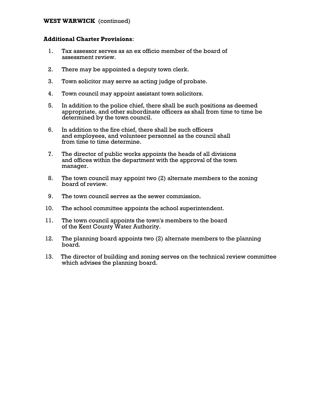## **WEST WARWICK** (continued)

## **Additional Charter Provisions**:

- 1. Tax assessor serves as an ex officio member of the board of assessment review.
- 2. There may be appointed a deputy town clerk.
- 3. Town solicitor may serve as acting judge of probate.
- 4. Town council may appoint assistant town solicitors.
- 5. In addition to the police chief, there shall be such positions as deemed appropriate, and other subordinate officers as shall from time to time be determined by the town council.
- 6. In addition to the fire chief, there shall be such officers and employees, and volunteer personnel as the council shall from time to time determine.
- 7. The director of public works appoints the heads of all divisions and offices within the department with the approval of the town manager.
- 8. The town council may appoint two (2) alternate members to the zoning board of review.
- 9. The town council serves as the sewer commission.
- 10. The school committee appoints the school superintendent.
- 11. The town council appoints the town's members to the board of the Kent County Water Authority.
- 12. The planning board appoints two (2) alternate members to the planning board.
- 13. The director of building and zoning serves on the technical review committee which advises the planning board.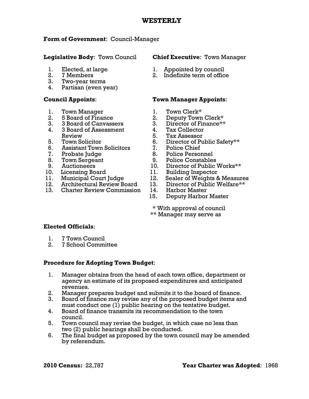# **WESTERLY**

# **Form of Government**: Council-Manager

# **Legislative Body**: Town Council **Chief Executive**: Town Manager

- 
- 
- 3. Two-year terms
- 4. Partisan (even year)

- 1. Town Manager 1. Town Clerk\*
- 
- 3. 3 Board of Canvassers 3. Director of Finance\*\*
- 4. 3 Board of Assessment 4. Tax Collector
- Review 5. Tax Assessor<br>
5. Tax Assessor<br>
5. Tax Assessor<br>
6. Director of Pu
- 6. Assistant Town Solicitors 7. Police Chief
- 
- 
- 
- 
- 
- 
- 13. Charter Review Commission 14. Harbor Master

- 1. Elected, at large 1. Appointed by council<br>
2. 7 Members 2. Indefinite term of offic
	- 2. 7 Members 2. Indefinite term of office

# **Council Appoints**: **Town Manager Appoints**:

- 
- 2. 5 Board of Finance 2. Deputy Town Clerk\*
	-
	-
	-
	- 6. Director of Public Safety\*\*
	-
- 7. Probate Judge 8. Police Personnel
- 8. Town Sergeant 9. Police Constables
- 9. Auctioneers 10. Director of Public Works\*\*
- 10. Licensing Board 11. Building Inspector
- 11. Municipal Court Judge 12. Sealer of Weights & Measures
- 12. Architectural Review Board 13. Director of Public Welfare\*\*
	-
	- 15. Deputy Harbor Master

 \* With approval of council \*\* Manager may serve as

# **Elected Officials**:

- 1. 7 Town Council
- 2. 7 School Committee

# **Procedure for Adopting Town Budget**:

- 1. Manager obtains from the head of each town office, department or agency an estimate of its proposed expenditures and anticipated revenues.
- 2. Manager prepares budget and submits it to the board of finance.
- 3. Board of finance may revise any of the proposed budget items and must conduct one (1) public hearing on the tentative budget.
- 4. Board of finance transmits its recommendation to the town council.
- 5. Town council may revise the budget, in which case no less than two (2) public hearings shall be conducted.
- 6. The final budget as proposed by the town council may be amended by referendum.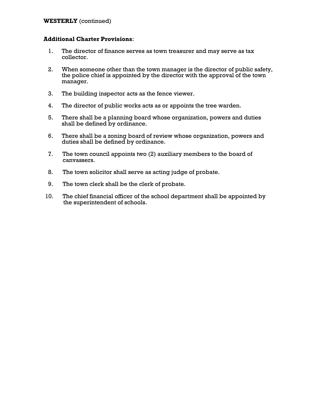## **WESTERLY** (continued)

## **Additional Charter Provisions**:

- 1. The director of finance serves as town treasurer and may serve as tax collector.
- 2. When someone other than the town manager is the director of public safety, the police chief is appointed by the director with the approval of the town manager.
- 3. The building inspector acts as the fence viewer.
- 4. The director of public works acts as or appoints the tree warden.
- 5. There shall be a planning board whose organization, powers and duties shall be defined by ordinance.
- 6. There shall be a zoning board of review whose organization, powers and duties shall be defined by ordinance.
- 7. The town council appoints two (2) auxiliary members to the board of canvassers.
- 8. The town solicitor shall serve as acting judge of probate.
- 9. The town clerk shall be the clerk of probate.
- 10. The chief financial officer of the school department shall be appointed by the superintendent of schools.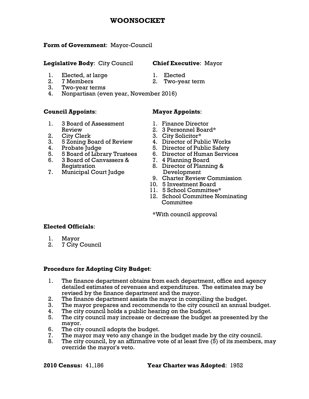## **WOONSOCKET**

## **Form of Government**: Mayor-Council

## **Legislative Body**: City Council **Chief Executive**: Mayor

- 1. Elected, at large 1. Elected
- 2. 7 Members 2. Two-year term
- 3. Two-year terms
- 4. Nonpartisan (even year, November 2016)

## **Council Appoints**: **Mayor Appoints**:

- 1. 3 Board of Assessment 1. Finance Director Review 2. 3 Personnel Board\*<br>
2. City Clerk 3. City Solicitor\*
- 
- 3. 5 Zoning Board of Review 4. Director of Public Works
- 
- 5. 5 Board of Library Trustees 6. Director of Human Services
- 6. 3 Board of Canvassers & 7. 4 Planning Board
- 7. Municipal Court Judge Development

- 
- 

- 
- 
- 2. City Clerk 3. City Solicitor\*
	-
- 4. Probate Judge 5. Director of Public Safety
	-
	-
	- Registration 8. Director of Planning &
		- 9. Charter Review Commission
		- 10. 5 Investment Board
		- 11. 5 School Committee\*
		- 12. School Committee Nominating **Committee**

\*With council approval

## **Elected Officials**:

- 1. Mayor
- 2. 7 City Council

## **Procedure for Adopting City Budget**:

- 1. The finance department obtains from each department, office and agency detailed estimates of revenues and expenditures. The estimates may be revised by the finance department and the mayor.
- 2. The finance department assists the mayor in compiling the budget.
- 3. The mayor prepares and recommends to the city council an annual budget.
- 4. The city council holds a public hearing on the budget.
- 5. The city council may increase or decrease the budget as presented by the mayor.
- 6. The city council adopts the budget.
- 7. The mayor may veto any change in the budget made by the city council.
- 8. The city council, by an affirmative vote of at least five (5) of its members, may override the mayor's veto.

**2010 Census:** 41,186 **Year Charter was Adopted**: 1952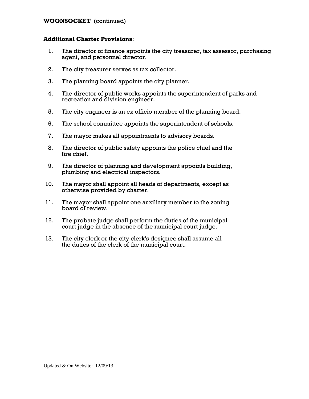## **WOONSOCKET** (continued)

## **Additional Charter Provisions**:

- 1. The director of finance appoints the city treasurer, tax assessor, purchasing agent, and personnel director.
- 2. The city treasurer serves as tax collector.
- 3. The planning board appoints the city planner.
- 4. The director of public works appoints the superintendent of parks and recreation and division engineer.
- 5. The city engineer is an ex officio member of the planning board.
- 6. The school committee appoints the superintendent of schools.
- 7. The mayor makes all appointments to advisory boards.
- 8. The director of public safety appoints the police chief and the fire chief.
- 9. The director of planning and development appoints building, plumbing and electrical inspectors.
- 10. The mayor shall appoint all heads of departments, except as otherwise provided by charter.
- 11. The mayor shall appoint one auxiliary member to the zoning board of review.
- 12. The probate judge shall perform the duties of the municipal court judge in the absence of the municipal court judge.
- 13. The city clerk or the city clerk's designee shall assume all the duties of the clerk of the municipal court.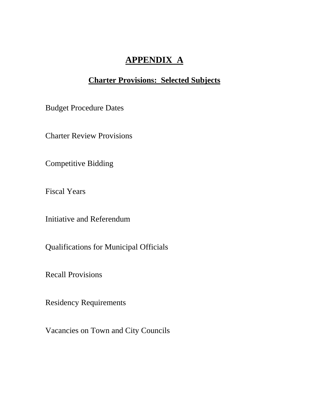# **APPENDIX A**

# **Charter Provisions: Selected Subjects**

Budget Procedure Dates

Charter Review Provisions

Competitive Bidding

Fiscal Years

Initiative and Referendum

Qualifications for Municipal Officials

Recall Provisions

Residency Requirements

Vacancies on Town and City Councils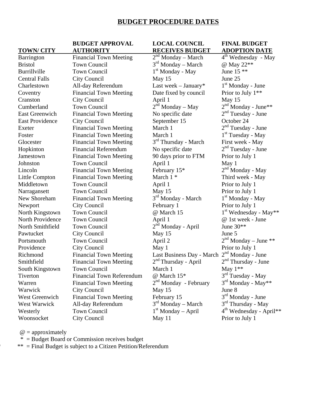## **BUDGET PROCEDURE DATES**

# **BUDGET APPROVAL LOCAL COUNCIL FINAL BUDGET**

**TOWN/ CITY AUTHORITY RECEIVES BUDGET ADOPTION DATE**

| <u>IUWIV CILI</u>      | <u>AUTHUNITI</u>                 | <u>KECEIVES BUDGET</u>                                  | <u>ADUI HUN DATE</u>                |
|------------------------|----------------------------------|---------------------------------------------------------|-------------------------------------|
| Barrington             | <b>Financial Town Meeting</b>    | $2nd$ Monday – March                                    | 4 <sup>th</sup> Wednesday - May     |
| <b>Bristol</b>         | <b>Town Council</b>              | $3rd$ Monday – March                                    | @ May 22**                          |
| Burrillville           | <b>Town Council</b>              | $1st$ Monday - May                                      | June 15 **                          |
| <b>Central Falls</b>   | City Council                     | May 15                                                  | June 25                             |
| Charlestown            | All-day Referendum               | Last week $-$ January*                                  | $1st$ Monday - June                 |
| Coventry               | <b>Financial Town Meeting</b>    | Date fixed by council                                   | Prior to July 1 <sup>**</sup>       |
| Cranston               | <b>City Council</b>              | April 1                                                 | May 15                              |
| Cumberland             | <b>Town Council</b>              | $2nd$ Monday – May                                      | $2nd$ Monday - June**               |
| <b>East Greenwich</b>  | <b>Financial Town Meeting</b>    | No specific date                                        | $2nd Tuesday - June$                |
| <b>East Providence</b> | <b>City Council</b>              | September 15                                            | October 24                          |
| Exeter                 | <b>Financial Town Meeting</b>    | March 1                                                 | $2nd Tuesday - June$                |
| Foster                 | <b>Financial Town Meeting</b>    | March 1                                                 | $1st$ Tuesday - May                 |
| Glocester              | <b>Financial Town Meeting</b>    | 3 <sup>rd</sup> Thursday - March                        | First week - May                    |
| Hopkinton              | <b>Financial Referendum</b>      | No specific date                                        | $2nd Tuesday - June$                |
| Jamestown              | <b>Financial Town Meeting</b>    | 90 days prior to FTM                                    | Prior to July 1                     |
| Johnston               | <b>Town Council</b>              | April 1                                                 | May 1                               |
| Lincoln                | <b>Financial Town Meeting</b>    | February 15*                                            | $2nd$ Monday - May                  |
| Little Compton         | <b>Financial Town Meeting</b>    | March $1*$                                              | Third week - May                    |
| Middletown             | <b>Town Council</b>              | April 1                                                 | Prior to July 1                     |
| Narragansett           | <b>Town Council</b>              | May 15                                                  | Prior to July 1                     |
| New Shoreham           | <b>Financial Town Meeting</b>    | 3 <sup>rd</sup> Monday - March                          | $1st$ Monday - May                  |
| Newport                | <b>City Council</b>              | February 1                                              | Prior to July 1                     |
| North Kingstown        | <b>Town Council</b>              | @ March 15                                              | $1st$ Wednesday - May**             |
| North Providence       | <b>Town Council</b>              | April 1                                                 | @ 1st week - June                   |
| North Smithfield       | <b>Town Council</b>              | 2 <sup>nd</sup> Monday - April                          | June $30**$                         |
| Pawtucket              | <b>City Council</b>              | May 15                                                  | June 5                              |
| Portsmouth             | <b>Town Council</b>              | April 2                                                 | $2nd$ Monday – June **              |
| Providence             | <b>City Council</b>              | May 1                                                   | Prior to July 1                     |
| Richmond               | <b>Financial Town Meeting</b>    | Last Business Day - March 2 <sup>nd</sup> Monday - June |                                     |
| Smithfield             | <b>Financial Town Meeting</b>    | $2nd Thursday - April$                                  | $2nd$ Thursday - June               |
| South Kingstown        | <b>Town Council</b>              | March 1                                                 | May $1**$                           |
| <b>Tiverton</b>        | <b>Financial Town Referendum</b> | @ March $15^*$                                          | 3 <sup>rd</sup> Tuesday - May       |
| Warren                 | <b>Financial Town Meeting</b>    | $2nd$ Monday - February                                 | $3rd$ Monday - May**                |
| Warwick                | <b>City Council</b>              | May 15                                                  | June 8                              |
| West Greenwich         | <b>Financial Town Meeting</b>    | February 15                                             | $3rd$ Monday - June                 |
| West Warwick           | All-day Referendum               | $3rd$ Monday – March                                    | $3rd$ Thursday - May                |
| Westerly               | <b>Town Council</b>              | $1st$ Monday – April                                    | 4 <sup>th</sup> Wednesday - April** |
| Woonsocket             | <b>City Council</b>              | May 11                                                  | Prior to July 1                     |
|                        |                                  |                                                         |                                     |

 $\omega$  = approximately

\* = Budget Board or Commission receives budget

 $**$  = Final Budget is subject to a Citizen Petition/Referendum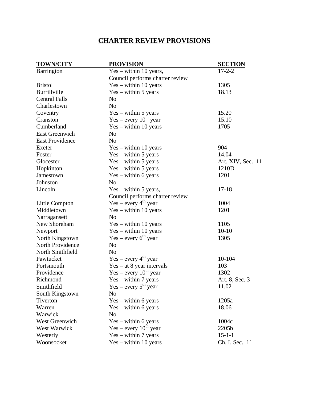# **CHARTER REVIEW PROVISIONS**

| <b>TOWN/CITY</b>       | <b>PROVISION</b>                | <b>SECTION</b>    |
|------------------------|---------------------------------|-------------------|
| Barrington             | $Yes - within 10 years,$        | $17 - 2 - 2$      |
|                        | Council performs charter review |                   |
| <b>Bristol</b>         | $Yes - within 10 years$         | 1305              |
| Burrillville           | $Yes - within 5 years$          | 18.13             |
| <b>Central Falls</b>   | N <sub>o</sub>                  |                   |
| Charlestown            | N <sub>o</sub>                  |                   |
| Coventry               | $Yes - within 5 years$          | 15.20             |
| Cranston               | Yes – every $10^{th}$ year      | 15.10             |
| Cumberland             | $Yes - within 10 years$         | 1705              |
| <b>East Greenwich</b>  | N <sub>o</sub>                  |                   |
| <b>East Providence</b> | N <sub>o</sub>                  |                   |
| Exeter                 | Yes - within 10 years           | 904               |
| Foster                 | $Yes - within 5 years$          | 14.04             |
| Glocester              | $Yes - within 5 years$          | Art. XIV, Sec. 11 |
| Hopkinton              | $Yes - within 5 years$          | 1210D             |
| Jamestown              | $Yes - within 6 years$          | 1201              |
| Johnston               | N <sub>o</sub>                  |                   |
| Lincoln                | $Yes - within 5 years,$         | $17 - 18$         |
|                        | Council performs charter review |                   |
| Little Compton         | $Yes - every 4th year$          | 1004              |
| Middletown             | Yes - within 10 years           | 1201              |
| Narragansett           | N <sub>o</sub>                  |                   |
| New Shoreham           | $Yes - within 10 years$         | 1105              |
| Newport                | $Yes - within 10 years$         | $10-10$           |
| North Kingstown        | $Yes - every 6th year$          | 1305              |
| North Providence       | N <sub>o</sub>                  |                   |
| North Smithfield       | N <sub>o</sub>                  |                   |
| Pawtucket              | $Yes - every 4th year$          | 10-104            |
| Portsmouth             | $Yes - at 8 year intervals$     | 103               |
| Providence             | $Yes - every 10th year$         | 1302              |
| Richmond               | $Yes - within 7 years$          | Art. 8, Sec. 3    |
| Smithfield             | $Yes - every 5th year$          | 11.02             |
| South Kingstown        | No                              |                   |
| Tiverton               | $Yes - within 6 years$          | 1205a             |
| Warren                 | $Yes - within 6 years$          | 18.06             |
| Warwick                | N <sub>o</sub>                  |                   |
| <b>West Greenwich</b>  | $Yes - within 6 years$          | 1004c             |
| West Warwick           | $Yes - every 10th year$         | 2205b             |
| Westerly               | $Yes - within 7 years$          | $15 - 1 - 1$      |
| Woonsocket             | $Yes - within 10 years$         | Ch. I, Sec. 11    |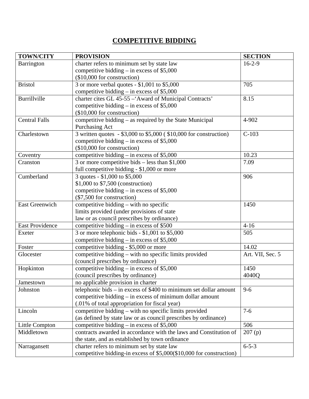# **COMPETITIVE BIDDING**

| <b>TOWN/CITY</b>       | <b>PROVISION</b>                                                    | <b>SECTION</b>   |
|------------------------|---------------------------------------------------------------------|------------------|
| Barrington             | charter refers to minimum set by state law                          | $16 - 2 - 9$     |
|                        | competitive bidding $-$ in excess of \$5,000                        |                  |
|                        | (\$10,000 for construction)                                         |                  |
| <b>Bristol</b>         | 3 or more verbal quotes - \$1,001 to \$5,000                        | 705              |
|                        | competitive bidding $-$ in excess of \$5,000                        |                  |
| Burrillville           | charter cites GL 45-55 - 'Award of Municipal Contracts'             | 8.15             |
|                        | competitive bidding $-$ in excess of \$5,000                        |                  |
|                        | (\$10,000 for construction)                                         |                  |
| <b>Central Falls</b>   | competitive bidding - as required by the State Municipal            | 4-902            |
|                        | Purchasing Act                                                      |                  |
| Charlestown            | 3 written quotes - \$3,000 to \$5,000 (\$10,000 for construction)   | $C-103$          |
|                        | competitive bidding – in excess of $$5,000$                         |                  |
|                        | (\$10,000 for construction)                                         |                  |
| Coventry               | competitive bidding – in excess of $$5,000$                         | 10.23            |
| Cranston               | 3 or more competitive bids $-$ less than \$1,000                    | 7.09             |
|                        | full competitive bidding - \$1,000 or more                          |                  |
| Cumberland             | 3 quotes - \$1,000 to \$5,000                                       | 906              |
|                        | \$1,000 to \$7,500 (construction)                                   |                  |
|                        | competitive bidding $-$ in excess of \$5,000                        |                  |
|                        | (\$7,500 for construction)                                          |                  |
| <b>East Greenwich</b>  | competitive bidding $-$ with no specific                            | 1450             |
|                        | limits provided (under provisions of state                          |                  |
|                        | law or as council prescribes by ordinance)                          |                  |
| <b>East Providence</b> | competitive bidding - in excess of \$500                            | $4 - 16$         |
| Exeter                 | 3 or more telephonic bids - \$1,001 to \$5,000                      | 505              |
|                        | competitive bidding – in excess of $$5,000$                         |                  |
| Foster                 | competitive bidding - \$5,000 or more                               | 14.02            |
| Glocester              | competitive bidding - with no specific limits provided              | Art. VII, Sec. 5 |
|                        | (council prescribes by ordinance)                                   |                  |
| Hopkinton              | competitive bidding $-$ in excess of \$5,000                        | 1450             |
|                        | (council prescribes by ordinance)                                   | 4040Q            |
| Jamestown              | no applicable provision in charter                                  |                  |
| Johnston               | telephonic bids – in excess of \$400 to minimum set dollar amount   | $9 - 6$          |
|                        | competitive bidding - in excess of minimum dollar amount            |                  |
|                        | (.01% of total appropriation for fiscal year)                       |                  |
| Lincoln                | competitive bidding - with no specific limits provided              | $7 - 6$          |
|                        | (as defined by state law or as council prescribes by ordinance)     |                  |
| Little Compton         | competitive bidding $-$ in excess of \$5,000                        | 506              |
| Middletown             | contracts awarded in accordance with the laws and Constitution of   | 207(p)           |
|                        | the state, and as established by town ordinance                     |                  |
| Narragansett           | charter refers to minimum set by state law                          | $6 - 5 - 3$      |
|                        | competitive bidding-in excess of \$5,000(\$10,000 for construction) |                  |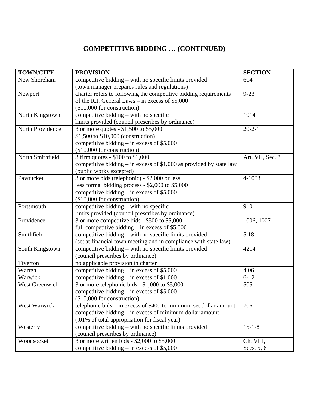# **COMPETITIVE BIDDING … (CONTINUED)**

| <b>TOWN/CITY</b>    | <b>PROVISION</b>                                                      | <b>SECTION</b>   |
|---------------------|-----------------------------------------------------------------------|------------------|
| New Shoreham        | competitive bidding – with no specific limits provided                | 604              |
|                     | (town manager prepares rules and regulations)                         |                  |
| Newport             | charter refers to following the competitive bidding requirements      | $9 - 23$         |
|                     | of the R.I. General Laws – in excess of $$5,000$                      |                  |
|                     | (\$10,000 for construction)                                           |                  |
| North Kingstown     | competitive bidding – with no specific                                | 1014             |
|                     | limits provided (council prescribes by ordinance)                     |                  |
| North Providence    | 3 or more quotes - \$1,500 to \$5,000                                 | $20 - 2 - 1$     |
|                     | \$1,500 to \$10,000 (construction)                                    |                  |
|                     | competitive bidding – in excess of $$5,000$                           |                  |
|                     | (\$10,000 for construction)                                           |                  |
| North Smithfield    | 3 firm quotes - \$100 to \$1,000                                      | Art. VII, Sec. 3 |
|                     | competitive bidding $-$ in excess of \$1,000 as provided by state law |                  |
|                     | (public works excepted)                                               |                  |
| Pawtucket           | 3 or more bids (telephonic) - \$2,000 or less                         | 4-1003           |
|                     | less formal bidding process - \$2,000 to \$5,000                      |                  |
|                     | competitive bidding $-$ in excess of \$5,000                          |                  |
|                     | $($10,000$ for construction)                                          |                  |
| Portsmouth          | competitive bidding – with no specific                                | 910              |
|                     | limits provided (council prescribes by ordinance)                     |                  |
| Providence          | 3 or more competitive bids - \$500 to \$5,000                         | 1006, 1007       |
|                     | full competitive bidding $-$ in excess of \$5,000                     |                  |
| Smithfield          | competitive bidding – with no specific limits provided                | 5.18             |
|                     | (set at financial town meeting and in compliance with state law)      |                  |
| South Kingstown     | competitive bidding – with no specific limits provided                | 4214             |
|                     | (council prescribes by ordinance)                                     |                  |
| Tiverton            | no applicable provision in charter                                    |                  |
| Warren              | competitive bidding – in excess of $$5,000$                           | 4.06             |
| Warwick             | competitive bidding – in excess of $$1,000$                           | $6 - 12$         |
| West Greenwich      | 3 or more telephonic bids - \$1,000 to \$5,000                        | 505              |
|                     | competitive bidding – in excess of $$5,000$                           |                  |
|                     | $($10,000$ for construction)                                          |                  |
| <b>West Warwick</b> | telephonic bids $-$ in excess of \$400 to minimum set dollar amount   | 706              |
|                     | competitive bidding $-$ in excess of minimum dollar amount            |                  |
|                     | (.01% of total appropriation for fiscal year)                         |                  |
| Westerly            | competitive bidding - with no specific limits provided                | $15 - 1 - 8$     |
|                     | (council prescribes by ordinance)                                     |                  |
| Woonsocket          | 3 or more written bids - \$2,000 to \$5,000                           | Ch. VIII,        |
|                     | competitive bidding $-$ in excess of \$5,000                          | Secs. 5, 6       |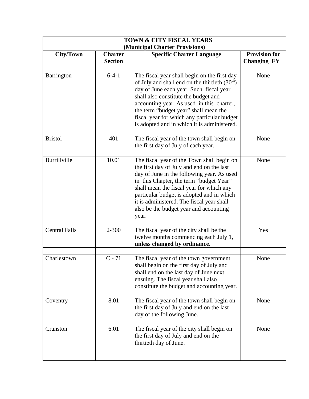| <b>City/Town</b>     | <b>Charter</b><br><b>Section</b> | (Municipal Charter Provisions)<br><b>Specific Charter Language</b>                                                                                                                                                                                                                                                                                                        | <b>Provision for</b><br><b>Changing FY</b> |
|----------------------|----------------------------------|---------------------------------------------------------------------------------------------------------------------------------------------------------------------------------------------------------------------------------------------------------------------------------------------------------------------------------------------------------------------------|--------------------------------------------|
| Barrington           | $6-4-1$                          | The fiscal year shall begin on the first day<br>of July and shall end on the thirtieth $(30th)$<br>day of June each year. Such fiscal year<br>shall also constitute the budget and<br>accounting year. As used in this charter,<br>the term "budget year" shall mean the<br>fiscal year for which any particular budget<br>is adopted and in which it is administered.    | None                                       |
| <b>Bristol</b>       | 401                              | The fiscal year of the town shall begin on<br>the first day of July of each year.                                                                                                                                                                                                                                                                                         | None                                       |
| <b>Burrillville</b>  | 10.01                            | The fiscal year of the Town shall begin on<br>the first day of July and end on the last<br>day of June in the following year. As used<br>in this Chapter, the term "budget Year"<br>shall mean the fiscal year for which any<br>particular budget is adopted and in which<br>it is administered. The fiscal year shall<br>also be the budget year and accounting<br>year. | None                                       |
| <b>Central Falls</b> | $2 - 300$                        | The fiscal year of the city shall be the<br>twelve months commencing each July 1,<br>unless changed by ordinance.                                                                                                                                                                                                                                                         | Yes                                        |
| Charlestown          | $C - 71$                         | The fiscal year of the town government<br>shall begin on the first day of July and<br>shall end on the last day of June next<br>ensuing. The fiscal year shall also<br>constitute the budget and accounting year.                                                                                                                                                         | None                                       |
| Coventry             | 8.01                             | The fiscal year of the town shall begin on<br>the first day of July and end on the last<br>day of the following June.                                                                                                                                                                                                                                                     | None                                       |
| Cranston             | 6.01                             | The fiscal year of the city shall begin on<br>the first day of July and end on the<br>thirtieth day of June.                                                                                                                                                                                                                                                              | None                                       |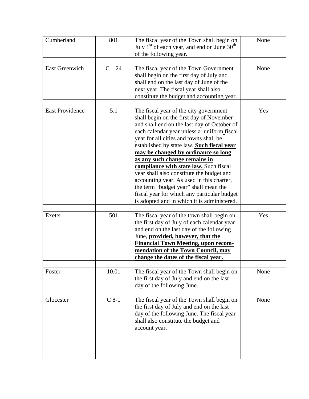| 801     | The fiscal year of the Town shall begin on<br>July $1st$ of each year, and end on June 30 <sup>th</sup><br>of the following year.                                                                                                                                                                                                                                                                                                                                                                                                                                                                                          | None |
|---------|----------------------------------------------------------------------------------------------------------------------------------------------------------------------------------------------------------------------------------------------------------------------------------------------------------------------------------------------------------------------------------------------------------------------------------------------------------------------------------------------------------------------------------------------------------------------------------------------------------------------------|------|
| $C-24$  | The fiscal year of the Town Government<br>shall begin on the first day of July and<br>shall end on the last day of June of the<br>next year. The fiscal year shall also<br>constitute the budget and accounting year.                                                                                                                                                                                                                                                                                                                                                                                                      | None |
| 5.1     | The fiscal year of the city government<br>shall begin on the first day of November<br>and shall end on the last day of October of<br>each calendar year unless a uniform fiscal<br>year for all cities and towns shall be<br>established by state law. Such fiscal year<br>may be changed by ordinance so long<br>as any such change remains in<br>compliance with state law. Such fiscal<br>year shall also constitute the budget and<br>accounting year. As used in this charter,<br>the term "budget year" shall mean the<br>fiscal year for which any particular budget<br>is adopted and in which it is administered. | Yes  |
| 501     | The fiscal year of the town shall begin on<br>the first day of July of each calendar year<br>and end on the last day of the following<br>June, provided, however, that the<br><b>Financial Town Meeting, upon recom-</b><br>mendation of the Town Council, may<br>change the dates of the fiscal year.                                                                                                                                                                                                                                                                                                                     | Yes  |
| 10.01   | The fiscal year of the Town shall begin on<br>the first day of July and end on the last<br>day of the following June.                                                                                                                                                                                                                                                                                                                                                                                                                                                                                                      | None |
| $C_8-1$ | The fiscal year of the Town shall begin on<br>the first day of July and end on the last<br>day of the following June. The fiscal year<br>shall also constitute the budget and<br>account year.                                                                                                                                                                                                                                                                                                                                                                                                                             | None |
|         |                                                                                                                                                                                                                                                                                                                                                                                                                                                                                                                                                                                                                            |      |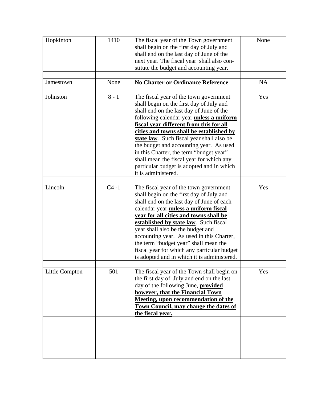| Hopkinton      | 1410     | The fiscal year of the Town government<br>shall begin on the first day of July and<br>shall end on the last day of June of the<br>next year. The fiscal year shall also con-<br>stitute the budget and accounting year.                                                                                                                                                                                                                                                                                                     | None      |
|----------------|----------|-----------------------------------------------------------------------------------------------------------------------------------------------------------------------------------------------------------------------------------------------------------------------------------------------------------------------------------------------------------------------------------------------------------------------------------------------------------------------------------------------------------------------------|-----------|
| Jamestown      | None     | <b>No Charter or Ordinance Reference</b>                                                                                                                                                                                                                                                                                                                                                                                                                                                                                    | <b>NA</b> |
| Johnston       | $8 - 1$  | The fiscal year of the town government<br>shall begin on the first day of July and<br>shall end on the last day of June of the<br>following calendar year <i>unless a uniform</i><br>fiscal year different from this for all<br>cities and towns shall be established by<br>state law. Such fiscal year shall also be<br>the budget and accounting year. As used<br>in this Charter, the term "budget year"<br>shall mean the fiscal year for which any<br>particular budget is adopted and in which<br>it is administered. | Yes       |
| Lincoln        | $C4 - 1$ | The fiscal year of the town government<br>shall begin on the first day of July and<br>shall end on the last day of June of each<br>calendar year <i>unless a uniform fiscal</i><br>year for all cities and towns shall be<br>established by state law. Such fiscal<br>year shall also be the budget and<br>accounting year. As used in this Charter,<br>the term "budget year" shall mean the<br>fiscal year for which any particular budget<br>is adopted and in which it is administered.                                 | Yes       |
| Little Compton | 501      | The fiscal year of the Town shall begin on<br>the first day of July and end on the last<br>day of the following June, <b>provided</b><br>however, that the Financial Town<br><b>Meeting, upon recommendation of the</b><br><b>Town Council, may change the dates of</b><br>the fiscal year.                                                                                                                                                                                                                                 | Yes       |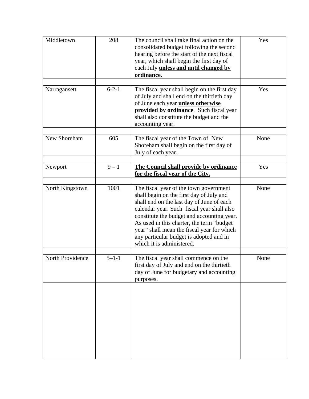| Middletown       | 208         | The council shall take final action on the<br>consolidated budget following the second<br>hearing before the start of the next fiscal<br>year, which shall begin the first day of<br>each July <i>unless and until changed by</i><br>ordinance.                                                                                                                                                 | Yes  |
|------------------|-------------|-------------------------------------------------------------------------------------------------------------------------------------------------------------------------------------------------------------------------------------------------------------------------------------------------------------------------------------------------------------------------------------------------|------|
| Narragansett     | $6 - 2 - 1$ | The fiscal year shall begin on the first day<br>of July and shall end on the thirtieth day<br>of June each year <i>unless otherwise</i><br>provided by ordinance. Such fiscal year<br>shall also constitute the budget and the<br>accounting year.                                                                                                                                              | Yes  |
| New Shoreham     | 605         | The fiscal year of the Town of New<br>Shoreham shall begin on the first day of<br>July of each year.                                                                                                                                                                                                                                                                                            | None |
| Newport          | $9 - 1$     | The Council shall provide by ordinance<br>for the fiscal year of the City.                                                                                                                                                                                                                                                                                                                      | Yes  |
| North Kingstown  | 1001        | The fiscal year of the town government<br>shall begin on the first day of July and<br>shall end on the last day of June of each<br>calendar year. Such fiscal year shall also<br>constitute the budget and accounting year.<br>As used in this charter, the term "budget"<br>year" shall mean the fiscal year for which<br>any particular budget is adopted and in<br>which it is administered. | None |
| North Providence | $5 - 1 - 1$ | The fiscal year shall commence on the<br>first day of July and end on the thirtieth<br>day of June for budgetary and accounting<br>purposes.                                                                                                                                                                                                                                                    | None |
|                  |             |                                                                                                                                                                                                                                                                                                                                                                                                 |      |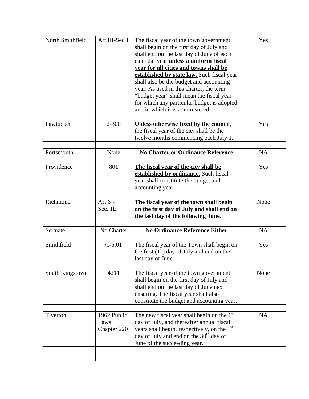| North Smithfield | Art.III-Sec 1                       | The fiscal year of the town government<br>shall begin on the first day of July and<br>shall end on the last day of June of each<br>calendar year <i>unless a uniform fiscal</i><br>year for all cities and towns shall be<br>established by state law. Such fiscal year<br>shall also be the budget and accounting<br>year. As used in this charter, the term<br>"budget year" shall mean the fiscal year<br>for which any particular budget is adopted<br>and in which it is administered. | Yes       |
|------------------|-------------------------------------|---------------------------------------------------------------------------------------------------------------------------------------------------------------------------------------------------------------------------------------------------------------------------------------------------------------------------------------------------------------------------------------------------------------------------------------------------------------------------------------------|-----------|
| Pawtucket        | 2-300                               | Unless otherwise fixed by the council,<br>the fiscal year of the city shall be the<br>twelve months commencing each July 1.                                                                                                                                                                                                                                                                                                                                                                 | Yes       |
| Portsmouth       | None                                | <b>No Charter or Ordinance Reference</b>                                                                                                                                                                                                                                                                                                                                                                                                                                                    | <b>NA</b> |
| Providence       | 801                                 | The fiscal year of the city shall be<br>established by ordinance. Such fiscal<br>year shall constitute the budget and<br>accounting year.                                                                                                                                                                                                                                                                                                                                                   | Yes       |
| Richmond         | $Art.6-$<br>Sec. 1E                 | The fiscal year of the town shall begin<br>on the first day of July and shall end on<br>the last day of the following June.                                                                                                                                                                                                                                                                                                                                                                 | None      |
| Scituate         | No Charter                          | <b>No Ordinance Reference Either</b>                                                                                                                                                                                                                                                                                                                                                                                                                                                        | <b>NA</b> |
| Smithfield       | $C-5.01$                            | The fiscal year of the Town shall begin on<br>the first $(1st)$ day of July and end on the<br>last day of June.                                                                                                                                                                                                                                                                                                                                                                             | Yes       |
| South Kingstown  | 4211                                | The fiscal year of the town government<br>shall begin on the first day of July and<br>shall end on the last day of June next<br>ensuring. The fiscal year shall also<br>constitute the budget and accounting year.                                                                                                                                                                                                                                                                          | None      |
| Tiverton         | 1962 Public<br>Laws:<br>Chapter 220 | The new fiscal year shall begin on the $1st$<br>day of July, and thereafter annual fiscal<br>years shall begin, respectively, on the 1 <sup>st</sup><br>day of July and end on the $30th$ day of<br>June of the succeeding year.                                                                                                                                                                                                                                                            | <b>NA</b> |
|                  |                                     |                                                                                                                                                                                                                                                                                                                                                                                                                                                                                             |           |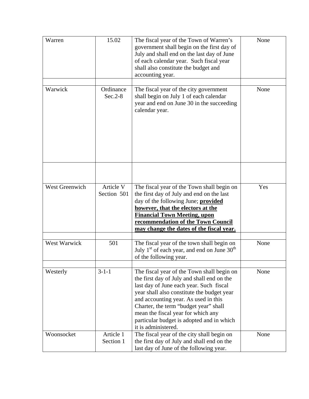| Warren                                                                                                                                                                               | 15.02                    | The fiscal year of the Town of Warren's<br>government shall begin on the first day of<br>July and shall end on the last day of June<br>of each calendar year. Such fiscal year<br>shall also constitute the budget and<br>accounting year.                                                                                                                                   | None |
|--------------------------------------------------------------------------------------------------------------------------------------------------------------------------------------|--------------------------|------------------------------------------------------------------------------------------------------------------------------------------------------------------------------------------------------------------------------------------------------------------------------------------------------------------------------------------------------------------------------|------|
| Warwick<br>Ordinance<br>The fiscal year of the city government<br>$Sec.2-8$<br>shall begin on July 1 of each calendar<br>year and end on June 30 in the succeeding<br>calendar year. |                          | None                                                                                                                                                                                                                                                                                                                                                                         |      |
|                                                                                                                                                                                      |                          |                                                                                                                                                                                                                                                                                                                                                                              |      |
| West Greenwich                                                                                                                                                                       | Article V<br>Section 501 | The fiscal year of the Town shall begin on<br>the first day of July and end on the last<br>day of the following June; <b>provided</b><br>however, that the electors at the<br><b>Financial Town Meeting, upon</b><br>recommendation of the Town Council<br>may change the dates of the fiscal year.                                                                          | Yes  |
| West Warwick                                                                                                                                                                         | 501                      | The fiscal year of the town shall begin on<br>July $1st$ of each year, and end on June 30 <sup>th</sup><br>of the following year.                                                                                                                                                                                                                                            | None |
| Westerly                                                                                                                                                                             | $3 - 1 - 1$              | The fiscal year of the Town shall begin on<br>the first day of July and shall end on the<br>last day of June each year. Such fiscal<br>year shall also constitute the budget year<br>and accounting year. As used in this<br>Charter, the term "budget year" shall<br>mean the fiscal year for which any<br>particular budget is adopted and in which<br>it is administered. | None |
| Woonsocket                                                                                                                                                                           | Article 1<br>Section 1   | The fiscal year of the city shall begin on<br>the first day of July and shall end on the<br>last day of June of the following year.                                                                                                                                                                                                                                          | None |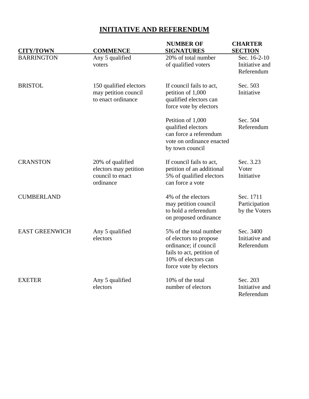| <b>CITY/TOWN</b>      | <b>COMMENCE</b>                                                            | <b>NUMBER OF</b><br><b>SIGNATURES</b>                                                                                                                   | <b>CHARTER</b><br><b>SECTION</b>             |
|-----------------------|----------------------------------------------------------------------------|---------------------------------------------------------------------------------------------------------------------------------------------------------|----------------------------------------------|
| <b>BARRINGTON</b>     | Any 5 qualified<br>voters                                                  | 20% of total number<br>of qualified voters                                                                                                              | Sec. 16-2-10<br>Initiative and<br>Referendum |
| <b>BRISTOL</b>        | 150 qualified electors<br>may petition council<br>to enact ordinance       | If council fails to act,<br>petition of 1,000<br>qualified electors can<br>force vote by electors                                                       | Sec. 503<br>Initiative                       |
|                       |                                                                            | Petition of 1,000<br>qualified electors<br>can force a referendum<br>vote on ordinance enacted<br>by town council                                       | Sec. 504<br>Referendum                       |
| <b>CRANSTON</b>       | 20% of qualified<br>electors may petition<br>council to enact<br>ordinance | If council fails to act,<br>petition of an additional<br>5% of qualified electors<br>can force a vote                                                   | Sec. 3.23<br>Voter<br>Initiative             |
| <b>CUMBERLAND</b>     |                                                                            | 4% of the electors<br>may petition council<br>to hold a referendum<br>on proposed ordinance                                                             | Sec. 1711<br>Participation<br>by the Voters  |
| <b>EAST GREENWICH</b> | Any 5 qualified<br>electors                                                | 5% of the total number<br>of electors to propose<br>ordinance; if council<br>fails to act, petition of<br>10% of electors can<br>force vote by electors | Sec. 3400<br>Initiative and<br>Referendum    |
| <b>EXETER</b>         | Any 5 qualified<br>electors                                                | 10% of the total<br>number of electors                                                                                                                  | Sec. 203<br>Initiative and<br>Referendum     |

# **INITIATIVE AND REFERENDUM**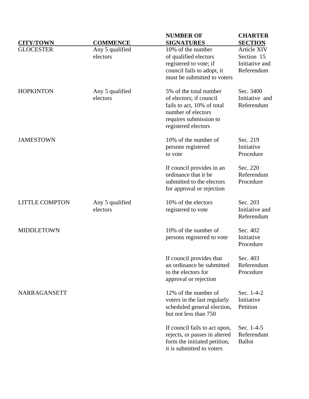|                       |                 | <b>NUMBER OF</b>                                               | <b>CHARTER</b>           |
|-----------------------|-----------------|----------------------------------------------------------------|--------------------------|
| <b>CITY/TOWN</b>      | <b>COMMENCE</b> | <b>SIGNATURES</b>                                              | <b>SECTION</b>           |
| <b>GLOCESTER</b>      | Any 5 qualified | 10% of the number                                              | Article XIV              |
|                       | electors        | of qualified electors                                          | Section 15               |
|                       |                 | registered to vote; if                                         | Initiative and           |
|                       |                 | council fails to adopt, it                                     | Referendum               |
|                       |                 | must be submitted to voters                                    |                          |
| <b>HOPKINTON</b>      | Any 5 qualified | 5% of the total number                                         | Sec. 3400                |
|                       | electors        | of electors; if council                                        | Initiative and           |
|                       |                 | fails to act, 10% of total                                     | Referendum               |
|                       |                 | number of electors                                             |                          |
|                       |                 | requires submission to                                         |                          |
|                       |                 | registered electors                                            |                          |
| <b>JAMESTOWN</b>      |                 | 10% of the number of                                           | Sec. 219                 |
|                       |                 | persons registered                                             | Initiative               |
|                       |                 | to vote                                                        | Procedure                |
|                       |                 | If council provides in an                                      | Sec. 220                 |
|                       |                 | ordinance that it be                                           | Referendum               |
|                       |                 | submitted to the electors                                      | Procedure                |
|                       |                 | for approval or rejection                                      |                          |
| <b>LITTLE COMPTON</b> | Any 5 qualified | 10% of the electors                                            | Sec. 203                 |
|                       | electors        | registered to vote                                             | Initiative and           |
|                       |                 |                                                                | Referendum               |
| <b>MIDDLETOWN</b>     |                 | 10% of the number of                                           | Sec. 402                 |
|                       |                 | persons registered to vote                                     | Initiative               |
|                       |                 |                                                                | Procedure                |
|                       |                 | If council provides that                                       | Sec. 403                 |
|                       |                 | an ordinance be submitted                                      | Referendum               |
|                       |                 | to the electors for                                            | Procedure                |
|                       |                 | approval or rejection                                          |                          |
| NARRAGANSETT          |                 | 12% of the number of                                           | Sec. 1-4-2               |
|                       |                 | voters in the last regularly                                   | Initiative               |
|                       |                 | scheduled general election,<br>but not less than 750           | Petition                 |
|                       |                 |                                                                |                          |
|                       |                 | If council fails to act upon,<br>rejects, or passes in altered | Sec. 1-4-5<br>Referendum |
|                       |                 | form the initiated petition,                                   | <b>Ballot</b>            |
|                       |                 | it is submitted to voters                                      |                          |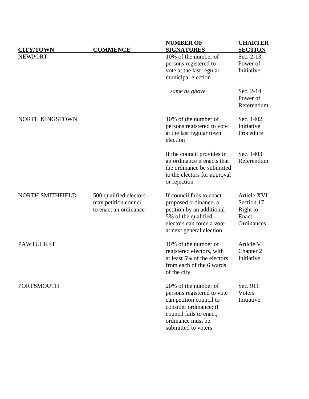| <b>CITY/TOWN</b>        | <b>COMMENCE</b>                                                         | <b>NUMBER OF</b><br><b>SIGNATURES</b>                                                                                                                                          | <b>CHARTER</b><br><b>SECTION</b>                             |
|-------------------------|-------------------------------------------------------------------------|--------------------------------------------------------------------------------------------------------------------------------------------------------------------------------|--------------------------------------------------------------|
| <b>NEWPORT</b>          |                                                                         | 10% of the number of                                                                                                                                                           | Sec. 2-13                                                    |
|                         |                                                                         | persons registered to                                                                                                                                                          | Power of                                                     |
|                         |                                                                         | vote at the last regular<br>municipal election                                                                                                                                 | Initiative                                                   |
|                         |                                                                         | same as above                                                                                                                                                                  | Sec. 2-14<br>Power of<br>Referendum                          |
| <b>NORTH KINGSTOWN</b>  |                                                                         | 10% of the number of<br>persons registered to vote<br>at the last regular town<br>election                                                                                     | Sec. 1402<br>Initiative<br>Procedure                         |
|                         |                                                                         | If the council provides in<br>an ordinance it enacts that<br>the ordinance be submitted<br>to the electors for approval<br>or rejection                                        | Sec. 1403<br>Referendum                                      |
| <b>NORTH SMITHFIELD</b> | 500 qualified electors<br>may petition council<br>to enact an ordinance | If council fails to enact<br>proposed ordinance, a<br>petition by an additional<br>5% of the qualified<br>electors can force a vote<br>at next general election                | Article XVI<br>Section 17<br>Right to<br>Enact<br>Ordinances |
| <b>PAWTUCKET</b>        |                                                                         | 10% of the number of<br>registered electors, with<br>at least 5% of the electors<br>from each of the 6 wards<br>of the city                                                    | Article VI<br>Chapter 2<br>Initiative                        |
| <b>PORTSMOUTH</b>       |                                                                         | 20% of the number of<br>persons registered to vote<br>can petition council to<br>consider ordinance; if<br>council fails to enact,<br>ordinance must be<br>submitted to voters | Sec. 911<br>Voters<br>Initiative                             |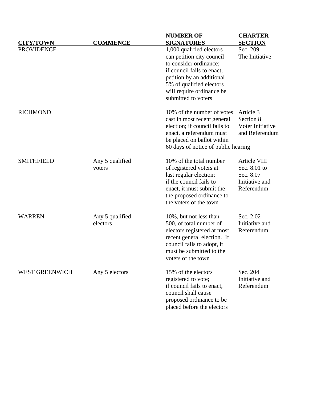|                                       |                             | <b>NUMBER OF</b>                                                                                                                                                                                                                                | <b>CHARTER</b>                                                            |
|---------------------------------------|-----------------------------|-------------------------------------------------------------------------------------------------------------------------------------------------------------------------------------------------------------------------------------------------|---------------------------------------------------------------------------|
| <b>CITY/TOWN</b><br><b>PROVIDENCE</b> | <b>COMMENCE</b>             | <b>SIGNATURES</b><br>1,000 qualified electors<br>can petition city council<br>to consider ordinance;<br>if council fails to enact,<br>petition by an additional<br>5% of qualified electors<br>will require ordinance be<br>submitted to voters | <b>SECTION</b><br>Sec. 209<br>The Initiative                              |
| <b>RICHMOND</b>                       |                             | 10% of the number of votes<br>cast in most recent general<br>election; if council fails to<br>enact, a referendum must<br>be placed on ballot within<br>60 days of notice of public hearing                                                     | Article 3<br>Section 8<br>Voter Initiative<br>and Referendum              |
| <b>SMITHFIELD</b>                     | Any 5 qualified<br>voters   | 10% of the total number<br>of registered voters at<br>last regular election;<br>if the council fails to<br>enact, it must submit the<br>the proposed ordinance to<br>the voters of the town                                                     | Article VIII<br>Sec. 8.01 to<br>Sec. 8.07<br>Initiative and<br>Referendum |
| <b>WARREN</b>                         | Any 5 qualified<br>electors | 10%, but not less than<br>500, of total number of<br>electors registered at most<br>recent general election. If<br>council fails to adopt, it<br>must be submitted to the<br>voters of the town                                                 | Sec. 2.02<br>Initiative and<br>Referendum                                 |
| <b>WEST GREENWICH</b>                 | Any 5 electors              | 15% of the electors<br>registered to vote;<br>if council fails to enact,<br>council shall cause<br>proposed ordinance to be<br>placed before the electors                                                                                       | Sec. 204<br>Initiative and<br>Referendum                                  |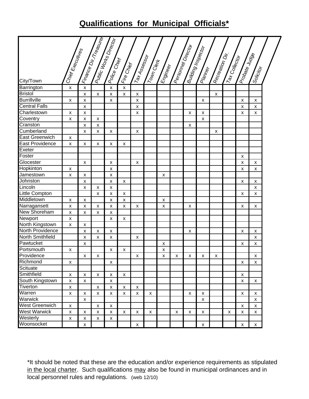# **Qualifications for Municipal Officials\***

|                       |                    |                    | <b>Finance Dir. Tready</b><br><b>Additional Property Director</b> |                           |                    |                    |                    |          |   |                                                        |                    |                    |                |                    |                    |  |
|-----------------------|--------------------|--------------------|-------------------------------------------------------------------|---------------------------|--------------------|--------------------|--------------------|----------|---|--------------------------------------------------------|--------------------|--------------------|----------------|--------------------|--------------------|--|
|                       |                    |                    |                                                                   |                           |                    |                    |                    |          |   |                                                        |                    |                    |                |                    |                    |  |
|                       |                    |                    |                                                                   |                           |                    |                    |                    |          |   |                                                        |                    |                    |                |                    |                    |  |
|                       |                    |                    |                                                                   |                           |                    |                    |                    |          |   |                                                        |                    |                    |                |                    |                    |  |
|                       |                    |                    |                                                                   |                           |                    |                    |                    |          |   |                                                        |                    |                    |                |                    |                    |  |
|                       |                    |                    |                                                                   |                           |                    |                    |                    |          |   |                                                        |                    |                    |                |                    |                    |  |
| City/Town             | Chief Executives   |                    |                                                                   | Poice Crier               | Irie Grief         | Trax Assessor      | <b>Trown Clerk</b> | Engineer |   | <b>Personnel Director</b><br><b>Building Inspector</b> | <b>Panner</b>      | Recreation Dir.    | Trax Collector | Probate Judge      | Solicitor          |  |
| Barrington            | X                  | X                  |                                                                   | $\boldsymbol{\mathsf{x}}$ | $\pmb{\mathsf{x}}$ |                    |                    |          |   |                                                        |                    |                    |                |                    |                    |  |
| <b>Bristol</b>        |                    | $\pmb{\mathsf{X}}$ | $\pmb{\mathsf{X}}$                                                | $\pmb{\mathsf{x}}$        | $\pmb{\mathsf{X}}$ | $\pmb{\mathsf{x}}$ |                    |          |   |                                                        |                    | $\pmb{\mathsf{x}}$ |                |                    |                    |  |
| <b>Burrillville</b>   | $\pmb{\mathsf{x}}$ | X                  |                                                                   | $\boldsymbol{\mathsf{x}}$ |                    | $\pmb{\mathsf{X}}$ |                    |          |   |                                                        | X                  |                    |                | X                  | X                  |  |
| <b>Central Falls</b>  |                    | X                  |                                                                   |                           |                    | $\pmb{\mathsf{X}}$ |                    |          |   |                                                        |                    |                    |                | X                  | X                  |  |
| Charlestown           | x                  | $\pmb{\mathsf{x}}$ |                                                                   |                           |                    | $\pmb{\mathsf{X}}$ |                    |          |   | X                                                      | $\pmb{\mathsf{X}}$ |                    |                | X                  | X                  |  |
| Coventry              | x                  | $\pmb{\mathsf{x}}$ | X                                                                 |                           |                    |                    |                    |          |   |                                                        | $\pmb{\mathsf{X}}$ |                    |                |                    |                    |  |
| Cranston              |                    | $\pmb{\times}$     | $\pmb{\mathsf{x}}$                                                |                           |                    |                    |                    |          |   | $\mathsf{x}$                                           |                    |                    |                |                    |                    |  |
| Cumberland            |                    | $\pmb{\times}$     | $\pmb{\mathsf{x}}$                                                | X                         |                    | X                  |                    |          |   |                                                        |                    | X                  |                |                    |                    |  |
| <b>East Greenwich</b> | X                  |                    |                                                                   |                           |                    |                    |                    |          |   |                                                        |                    |                    |                |                    |                    |  |
| East Providence       | X                  | X                  | X                                                                 | X                         | X                  |                    |                    |          |   |                                                        |                    |                    |                |                    |                    |  |
| Exeter                |                    |                    |                                                                   |                           |                    |                    |                    |          |   |                                                        |                    |                    |                |                    |                    |  |
| Foster                |                    |                    |                                                                   |                           |                    |                    |                    |          |   |                                                        |                    |                    |                | X                  |                    |  |
| Glocester             |                    | X                  |                                                                   | x                         |                    | X                  |                    |          |   |                                                        |                    |                    |                | $\pmb{\times}$     | х                  |  |
| Hopkinton             | X                  |                    |                                                                   | $\pmb{\times}$            |                    |                    |                    |          |   |                                                        |                    |                    |                | $\pmb{\times}$     | X                  |  |
| Jamestown             | X                  | $\pmb{\chi}$       |                                                                   | $\pmb{\mathsf{x}}$        |                    |                    |                    | X        |   |                                                        |                    |                    |                |                    |                    |  |
| Johnston              |                    | $\pmb{\mathsf{x}}$ |                                                                   | $\pmb{\mathsf{x}}$        | X                  |                    |                    |          |   |                                                        |                    |                    |                | X                  | X                  |  |
| Lincoln               |                    | X                  | X                                                                 | $\pmb{\times}$            |                    |                    |                    |          |   |                                                        |                    |                    |                |                    | x                  |  |
| Little Compton        |                    |                    | $\pmb{\mathsf{x}}$                                                | $\pmb{\mathsf{x}}$        | $\pmb{\mathsf{X}}$ |                    |                    |          |   |                                                        |                    |                    |                | X                  | X                  |  |
| Middletown            | x                  | X                  |                                                                   | $\pmb{\mathsf{x}}$        | $\pmb{\mathsf{x}}$ |                    |                    | X        |   |                                                        |                    |                    |                |                    |                    |  |
| Narragansett          | x                  | X                  | X                                                                 | x                         | $\pmb{\mathsf{x}}$ | X                  |                    | X        |   | X                                                      |                    |                    |                | X                  | X                  |  |
| New Shoreham          | X                  | X                  | $\pmb{\times}$                                                    | $\pmb{\times}$            |                    |                    |                    |          |   |                                                        |                    |                    |                |                    |                    |  |
| Newport               | X                  |                    |                                                                   | $\pmb{\times}$            | $\pmb{\mathsf{x}}$ |                    |                    |          |   |                                                        |                    |                    |                |                    |                    |  |
| North Kingstown       | X                  | $\pmb{\chi}$       |                                                                   |                           |                    |                    |                    |          |   |                                                        |                    |                    |                |                    |                    |  |
| North Providence      |                    | X                  | $\pmb{\times}$                                                    | $\boldsymbol{\mathsf{x}}$ |                    |                    |                    |          |   | X                                                      |                    |                    |                | X                  | X                  |  |
| North Smithfield      |                    | $\pmb{\times}$     | $\pmb{\mathsf{X}}$                                                | $\pmb{\times}$            |                    | X                  |                    |          |   |                                                        |                    |                    |                |                    | X                  |  |
| Pawtucket             |                    | $\pmb{\times}$     |                                                                   |                           |                    |                    |                    | X        |   |                                                        |                    |                    |                | X                  | x                  |  |
| Portsmouth            | X                  |                    |                                                                   | X                         | X                  |                    |                    | x        |   |                                                        |                    |                    |                |                    |                    |  |
| Providence            |                    | X                  | $\pmb{\mathsf{x}}$                                                |                           |                    | $\pmb{\mathsf{X}}$ |                    | x        | X | X                                                      | X                  | X                  |                |                    | x                  |  |
| Richmond              | X                  |                    |                                                                   | $\pmb{\mathsf{X}}$        |                    |                    |                    |          |   |                                                        |                    |                    |                | $\pmb{\mathsf{X}}$ | $\pmb{\mathsf{X}}$ |  |
| Scituate              |                    |                    |                                                                   |                           |                    |                    |                    |          |   |                                                        |                    |                    |                |                    |                    |  |
| Smithfield            | X                  | X                  | X                                                                 | X                         | $\pmb{\mathsf{X}}$ |                    |                    |          |   |                                                        |                    |                    |                | X                  |                    |  |
| South Kingstown       | X                  | $\pmb{\mathsf{x}}$ |                                                                   | $\pmb{\mathsf{x}}$        |                    |                    |                    |          |   |                                                        |                    |                    |                | $\pmb{\mathsf{x}}$ | X                  |  |
| Tiverton              | X                  |                    | $\pmb{\mathsf{x}}$                                                | $\pmb{\mathsf{x}}$        | X                  | X                  |                    |          |   |                                                        |                    |                    |                |                    |                    |  |
| Warren                | x                  | X                  | X                                                                 | $\pmb{\mathsf{x}}$        | X                  | X                  | X                  |          |   | X                                                      | X                  |                    |                | X                  | X                  |  |
| Warwick               |                    | X                  |                                                                   |                           |                    |                    |                    |          |   |                                                        | X                  |                    |                |                    | X                  |  |
| West Greenwich        | $\pmb{\mathsf{x}}$ |                    | X                                                                 | X                         |                    |                    |                    |          |   |                                                        |                    |                    |                | X                  | X                  |  |
| <b>West Warwick</b>   | $\pmb{\mathsf{x}}$ | X                  | $\pmb{\mathsf{x}}$                                                | $\pmb{\mathsf{x}}$        | $\pmb{\mathsf{X}}$ | X                  | X                  |          | x | X                                                      | X                  |                    | X              | X                  | X                  |  |
| Westerly              | $\pmb{\mathsf{X}}$ | $\pmb{\mathsf{X}}$ | $\pmb{\mathsf{x}}$                                                | X                         |                    |                    |                    |          |   |                                                        |                    |                    |                |                    |                    |  |
| Woonsocket            |                    | $\pmb{\mathsf{X}}$ |                                                                   |                           |                    | $\pmb{\mathsf{x}}$ |                    |          |   |                                                        | $\pmb{\mathsf{X}}$ |                    |                | $\pmb{\mathsf{X}}$ | $\pmb{\mathsf{X}}$ |  |

\*It should be noted that these are the education and/or experience requirements as stipulated in the local charter. Such qualifications may also be found in municipal ordinances and in local personnel rules and regulations. (web 12/10)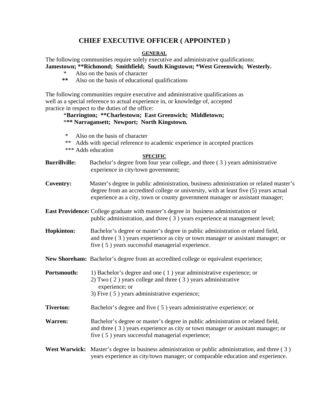# **CHIEF EXECUTIVE OFFICER ( APPOINTED )**

## **GENERAL**

The following communities require solely executive and administrative qualifications: **Jamestown; \*\*Richmond; Smithfield; South Kingstown; \*West Greenwich; Westerly.** 

- Also on the basis of character
- **\*\*** Also on the basis of educational qualifications

The following communities require executive and administrative qualifications as well as a special reference to actual experience in, or knowledge of, accepted practice in respect to the duties of the office:

## \***Barrington; \*\*Charlestown; East Greenwich; Middletown;** \***\*\* Narragansett; Newport; North Kingstown.**

- Also on the basis of character
- \*\* Adds with special reference to academic experience in accepted practices
- \*\*\* Adds education

### **SPECIFIC**

- **Burrillville:** Bachelor's degree from four year college, and three (3) years administrative experience in city/town government;
- **Coventry:** Master's degree in public administration, business administration or related master's degree from an accredited college or university, with at least five (5) years actual experience as a city, town or county government manager or assistant manager;
- **East Providence:** College graduate with master's degree in business administration or public administration, and three ( 3 ) years experience at management level;
- **Hopkinton:** Bachelor's degree or master's degree in public administration or related field, and three ( 3 ) years experience as city or town manager or assistant manager; or five ( 5 ) years successful managerial experience.
- **New Shoreham:** Bachelor's degree from an accredited college or equivalent experience;

**Portsmouth:** 1) Bachelor's degree and one (1) year administrative experience; or 2) Two ( 2 ) years college and three ( 3 ) years administrative experience; or 3) Five ( 5 ) years administrative experience;

- **Tiverton:** Bachelor's degree and five (5) years administrative experience; or
- **Warren:** Bachelor's degree or master's degree in public administration or related field, and three ( 3 ) years experience as city or town manager or assistant manager; or five ( 5 ) years successful managerial experience;
- West Warwick: Master's degree in business administration or public administration, and three (3) years experience as city/town manager; or comparable education and experience.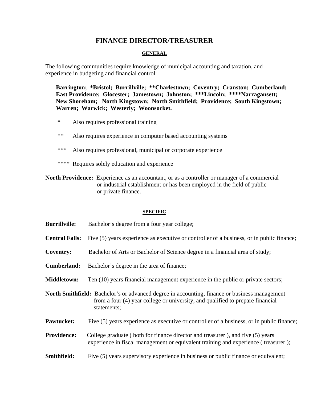# **FINANCE DIRECTOR/TREASURER**

### **GENERAL**

The following communities require knowledge of municipal accounting and taxation, and experience in budgeting and financial control:

 **Barrington; \*Bristol; Burrillville; \*\*Charlestown; Coventry; Cranston; Cumberland; East Providence; Glocester; Jamestown; Johnston; \*\*\*Lincoln; \*\*\*\*Narragansett; New Shoreham; North Kingstown; North Smithfield; Providence; South Kingstown; Warren; Warwick; Westerly; Woonsocket.** 

- **\*** Also requires professional training
- \*\* Also requires experience in computer based accounting systems
- \*\*\* Also requires professional, municipal or corporate experience
- \*\*\*\* Requires solely education and experience

**North Providence:** Experience as an accountant, or as a controller or manager of a commercial or industrial establishment or has been employed in the field of public or private finance.

### **SPECIFIC**

- **Burrillville:** Bachelor's degree from a four year college;
- **Central Falls:** Five (5) years experience as executive or controller of a business, or in public finance;
- **Coventry:** Bachelor of Arts or Bachelor of Science degree in a financial area of study;
- **Cumberland:** Bachelor's degree in the area of finance;
- **Middletown:** Ten (10) years financial management experience in the public or private sectors;
- **North Smithfield:** Bachelor's or advanced degree in accounting, finance or business management from a four (4) year college or university, and qualified to prepare financial statements;
- **Pawtucket:** Five (5) years experience as executive or controller of a business, or in public finance;
- **Providence:** College graduate ( both for finance director and treasurer ), and five (5) years experience in fiscal management or equivalent training and experience ( treasurer );
- **Smithfield:** Five (5) years supervisory experience in business or public finance or equivalent;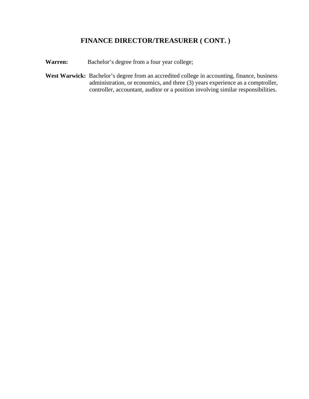# **FINANCE DIRECTOR/TREASURER ( CONT. )**

**Warren:** Bachelor's degree from a four year college;

West Warwick: Bachelor's degree from an accredited college in accounting, finance, business administration, or economics, and three (3) years experience as a comptroller, controller, accountant, auditor or a position involving similar responsibilities.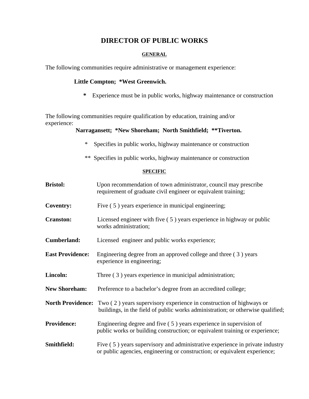# **DIRECTOR OF PUBLIC WORKS**

## **GENERAL**

The following communities require administrative or management experience:

## **Little Compton; \*West Greenwich.**

 **\*** Experience must be in public works, highway maintenance or construction

The following communities require qualification by education, training and/or experience:

## **Narragansett; \*New Shoreham; North Smithfield; \*\*Tiverton.**

- \* Specifies in public works, highway maintenance or construction
- \*\* Specifies in public works, highway maintenance or construction

## **SPECIFIC**

| <b>Bristol:</b>         | Upon recommendation of town administrator, council may prescribe<br>requirement of graduate civil engineer or equivalent training;                                              |
|-------------------------|---------------------------------------------------------------------------------------------------------------------------------------------------------------------------------|
| <b>Coventry:</b>        | Five (5) years experience in municipal engineering;                                                                                                                             |
| <b>Cranston:</b>        | Licensed engineer with five $(5)$ years experience in highway or public<br>works administration;                                                                                |
| <b>Cumberland:</b>      | Licensed engineer and public works experience;                                                                                                                                  |
| <b>East Providence:</b> | Engineering degree from an approved college and three (3) years<br>experience in engineering;                                                                                   |
| Lincoln:                | Three (3) years experience in municipal administration;                                                                                                                         |
| <b>New Shoreham:</b>    | Preference to a bachelor's degree from an accredited college;                                                                                                                   |
|                         | <b>North Providence:</b> Two (2) years supervisory experience in construction of highways or<br>buildings, in the field of public works administration; or otherwise qualified; |
| <b>Providence:</b>      | Engineering degree and five $(5)$ years experience in supervision of<br>public works or building construction; or equivalent training or experience;                            |
| Smithfield:             | Five (5) years supervisory and administrative experience in private industry<br>or public agencies, engineering or construction; or equivalent experience;                      |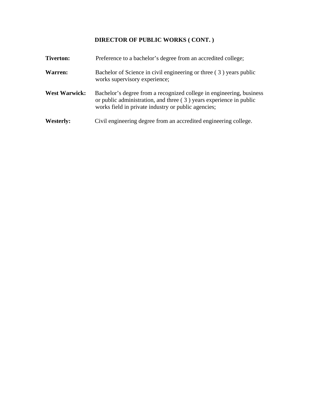# **DIRECTOR OF PUBLIC WORKS ( CONT. )**

| <b>Tiverton:</b>     | Preference to a bachelor's degree from an accredited college;                                                                                                                                       |
|----------------------|-----------------------------------------------------------------------------------------------------------------------------------------------------------------------------------------------------|
| Warren:              | Bachelor of Science in civil engineering or three (3) years public<br>works supervisory experience;                                                                                                 |
| <b>West Warwick:</b> | Bachelor's degree from a recognized college in engineering, business<br>or public administration, and three $(3)$ years experience in public<br>works field in private industry or public agencies; |
| <b>Westerly:</b>     | Civil engineering degree from an accredited engineering college.                                                                                                                                    |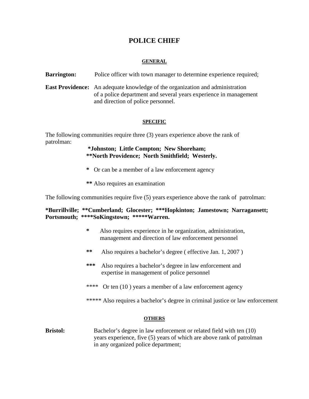# **POLICE CHIEF**

## **GENERAL**

**Barrington:** Police officer with town manager to determine experience required;

**East Providence:** An adequate knowledge of the organization and administration of a police department and several years experience in management and direction of police personnel.

## **SPECIFIC**

The following communities require three (3) years experience above the rank of patrolman:

> **\*Johnston; Little Compton; New Shoreham; \*\*North Providence; North Smithfield; Westerly.**

- **\*** Or can be a member of a law enforcement agency
- **\*\*** Also requires an examination

The following communities require five (5) years experience above the rank of patrolman:

## **\*Burrillville; \*\*Cumberland; Glocester; \*\*\*Hopkinton; Jamestown; Narragansett; Portsmouth; \*\*\*\*SoKingstown; \*\*\*\*\*Warren.**

- **\*** Also requires experience in he organization, administration, management and direction of law enforcement personnel
- **\*\*** Also requires a bachelor's degree ( effective Jan. 1, 2007 )
- **\*\*\*** Also requires a bachelor's degree in law enforcement and expertise in management of police personnel
- \*\*\*\* Or ten (10) years a member of a law enforcement agency

\*\*\*\*\* Also requires a bachelor's degree in criminal justice or law enforcement

### **OTHERS**

**Bristol:** Bachelor's degree in law enforcement or related field with ten (10) years experience, five (5) years of which are above rank of patrolman in any organized police department;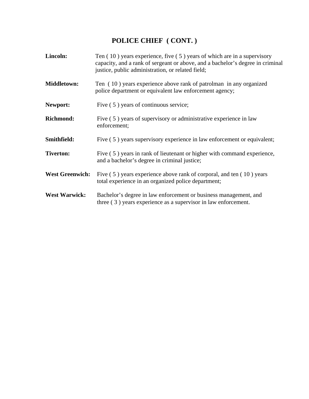# **POLICE CHIEF ( CONT. )**

| Lincoln:               | Ten $(10)$ years experience, five $(5)$ years of which are in a supervisory<br>capacity, and a rank of sergeant or above, and a bachelor's degree in criminal<br>justice, public administration, or related field; |
|------------------------|--------------------------------------------------------------------------------------------------------------------------------------------------------------------------------------------------------------------|
| <b>Middletown:</b>     | Ten (10) years experience above rank of patrolman in any organized<br>police department or equivalent law enforcement agency;                                                                                      |
| Newport:               | Five (5) years of continuous service;                                                                                                                                                                              |
| <b>Richmond:</b>       | Five (5) years of supervisory or administrative experience in law<br>enforcement;                                                                                                                                  |
| Smithfield:            | Five (5) years supervisory experience in law enforcement or equivalent;                                                                                                                                            |
| <b>Tiverton:</b>       | Five (5) years in rank of lieutenant or higher with command experience,<br>and a bachelor's degree in criminal justice;                                                                                            |
| <b>West Greenwich:</b> | Five (5) years experience above rank of corporal, and ten (10) years<br>total experience in an organized police department;                                                                                        |
| <b>West Warwick:</b>   | Bachelor's degree in law enforcement or business management, and<br>three $(3)$ years experience as a supervisor in law enforcement.                                                                               |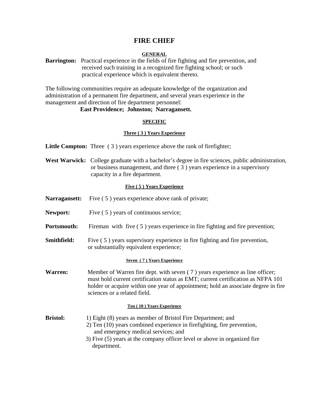## **FIRE CHIEF**

## **GENERAL**

**Barrington:** Practical experience in the fields of fire fighting and fire prevention, and received such training in a recognized fire fighting school; or such practical experience which is equivalent thereto.

The following communities require an adequate knowledge of the organization and administration of a permanent fire department, and several years experience in the management and direction of fire department personnel:

## **East Providence; Johnston; Narragansett.**

### **SPECIFIC**

### **Three ( 3 ) Years Experience**

**Little Compton:** Three (3) years experience above the rank of firefighter;

West Warwick: College graduate with a bachelor's degree in fire sciences, public administration, or business management, and three ( 3 ) years experience in a supervisory capacity in a fire department.

### **Five ( 5 ) Years Experience**

- **Narragansett:** Five (5) years experience above rank of private;
- **Newport:** Five (5) years of continuous service;
- **Portsmouth:** Fireman with five (5) years experience in fire fighting and fire prevention;
- **Smithfield:** Five (5) years supervisory experience in fire fighting and fire prevention, or substantially equivalent experience;

### **Seven ( 7 ) Years Experience**

**Warren:** Member of Warren fire dept. with seven (7) years experience as line officer; must hold current certification status as EMT; current certification as NFPA 101 holder or acquire within one year of appointment; hold an associate degree in fire sciences or a related field.

### **Ten ( 10 ) Years Experience**

- **Bristol:** 1) Eight (8) years as member of Bristol Fire Department; and 2) Ten (10) years combined experience in firefighting, fire prevention, and emergency medical services; and 3) Five (5) years at the company officer level or above in organized fire
	- department.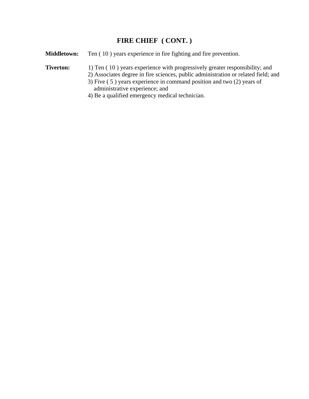# **FIRE CHIEF ( CONT. )**

**Middletown:** Ten (10) years experience in fire fighting and fire prevention.

## **Tiverton:** 1) Ten (10) years experience with progressively greater responsibility; and

2) Associates degree in fire sciences, public administration or related field; and

- 3) Five ( 5 ) years experience in command position and two (2) years of administrative experience; and
- 4) Be a qualified emergency medical technician.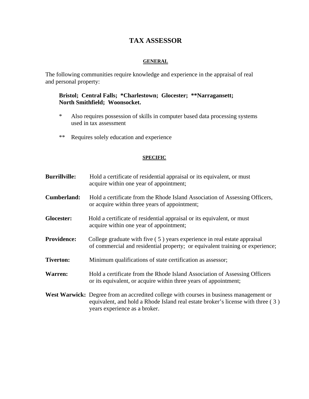# **TAX ASSESSOR**

## **GENERAL**

The following communities require knowledge and experience in the appraisal of real and personal property:

## **Bristol; Central Falls; \*Charlestown; Glocester; \*\*Narragansett; North Smithfield; Woonsocket.**

- \* Also requires possession of skills in computer based data processing systems used in tax assessment
- \*\* Requires solely education and experience

### **SPECIFIC**

| <b>Burrillville:</b> | Hold a certificate of residential appraisal or its equivalent, or must<br>acquire within one year of appointment;                                                                                          |
|----------------------|------------------------------------------------------------------------------------------------------------------------------------------------------------------------------------------------------------|
| <b>Cumberland:</b>   | Hold a certificate from the Rhode Island Association of Assessing Officers,<br>or acquire within three years of appointment;                                                                               |
| Glocester:           | Hold a certificate of residential appraisal or its equivalent, or must<br>acquire within one year of appointment;                                                                                          |
| <b>Providence:</b>   | College graduate with five (5) years experience in real estate appraisal<br>of commercial and residential property; or equivalent training or experience;                                                  |
| <b>Tiverton:</b>     | Minimum qualifications of state certification as assessor;                                                                                                                                                 |
| <b>Warren:</b>       | Hold a certificate from the Rhode Island Association of Assessing Officers<br>or its equivalent, or acquire within three years of appointment;                                                             |
|                      | West Warwick: Degree from an accredited college with courses in business management or<br>equivalent, and hold a Rhode Island real estate broker's license with three (3)<br>years experience as a broker. |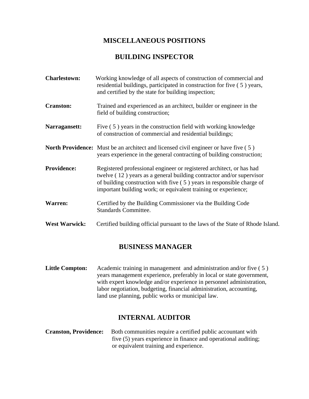### **MISCELLANEOUS POSITIONS**

### **BUILDING INSPECTOR**

**Charlestown:** Working knowledge of all aspects of construction of commercial and residential buildings, participated in construction for five ( 5 ) years, and certified by the state for building inspection; **Cranston:** Trained and experienced as an architect, builder or engineer in the field of building construction; **Narragansett:** Five (5) years in the construction field with working knowledge of construction of commercial and residential buildings; **North Providence:** Must be an architect and licensed civil engineer or have five (5) years experience in the general contracting of building construction; **Providence:** Registered professional engineer or registered architect, or has had twelve ( 12 ) years as a general building contractor and/or supervisor of building construction with five ( 5 ) years in responsible charge of important building work; or equivalent training or experience; **Warren:** Certified by the Building Commissioner via the Building Code Standards Committee. West Warwick: Certified building official pursuant to the laws of the State of Rhode Island.

### **BUSINESS MANAGER**

**Little Compton:** Academic training in management and administration and/or five (5) years management experience, preferably in local or state government, with expert knowledge and/or experience in personnel administration, labor negotiation, budgeting, financial administration, accounting, land use planning, public works or municipal law.

### **INTERNAL AUDITOR**

**Cranston, Providence:** Both communities require a certified public accountant with five (5) years experience in finance and operational auditing; or equivalent training and experience.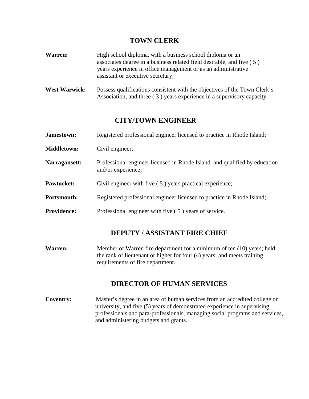### **TOWN CLERK**

- **Warren:** High school diploma, with a business school diploma or an associates degree in a business related field desirable, and five ( 5 ) years experience in office management or as an administrative assistant or executive secretary;
- West Warwick: Possess qualifications consistent with the objectives of the Town Clerk's Association, and three ( 3 ) years experience in a supervisory capacity.

### **CITY/TOWN ENGINEER**

| Jamestown:         | Registered professional engineer licensed to practice in Rhode Island;                          |
|--------------------|-------------------------------------------------------------------------------------------------|
| <b>Middletown:</b> | Civil engineer;                                                                                 |
| Narragansett:      | Professional engineer licensed in Rhode Island and qualified by education<br>and/or experience; |
| <b>Pawtucket:</b>  | Civil engineer with five (5) years practical experience;                                        |
| <b>Portsmouth:</b> | Registered professional engineer licensed to practice in Rhode Island;                          |
| <b>Providence:</b> | Professional engineer with five (5) years of service.                                           |

### **DEPUTY / ASSISTANT FIRE CHIEF**

**Warren:** Member of Warren fire department for a minimum of ten (10) years; held the rank of lieutenant or higher for four (4) years; and meets training requirements of fire department.

## **DIRECTOR OF HUMAN SERVICES**

**Coventry:** Master's degree in an area of human services from an accredited college or university, and five (5) years of demonstrated experience in supervising professionals and para-professionals, managing social programs and services, and administering budgets and grants.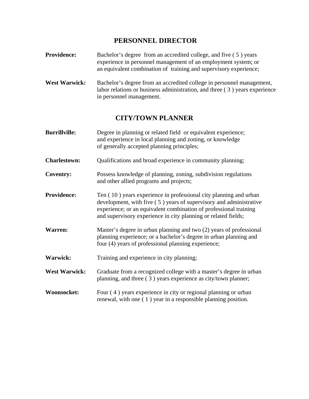### **PERSONNEL DIRECTOR**

- **Providence:** Bachelor's degree from an accredited college, and five (5) years experience in personnel management of an employment system; or an equivalent combination of training and supervisory experience;
- West Warwick: Bachelor's degree from an accredited college in personnel management, labor relations or business administration, and three ( 3 ) years experience in personnel management.

### **CITY/TOWN PLANNER**

- **Burrillville:** Degree in planning or related field or equivalent experience; and experience in local planning and zoning, or knowledge of generally accepted planning principles;
- **Charlestown:** Qualifications and broad experience in community planning;
- **Coventry:** Possess knowledge of planning, zoning, subdivision regulations and other allied programs and projects;
- **Providence:** Ten (10) years experience in professional city planning and urban development, with five ( 5 ) years of supervisory and administrative experience; or an equivalent combination of professional training and supervisory experience in city planning or related fields;
- **Warren:** Master's degree in urban planning and two (2) years of professional planning experience; or a bachelor's degree in urban planning and four (4) years of professional planning experience;
- **Warwick:** Training and experience in city planning;
- West Warwick: Graduate from a recognized college with a master's degree in urban planning, and three ( 3 ) years experience as city/town planner;
- **Woonsocket:** Four (4) years experience in city or regional planning or urban renewal, with one ( 1 ) year in a responsible planning position.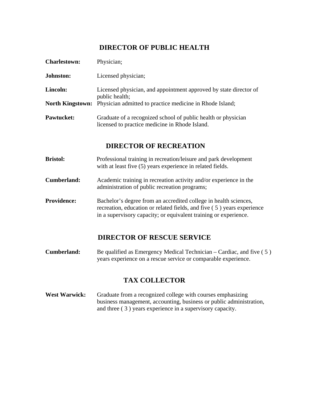## **DIRECTOR OF PUBLIC HEALTH**

| <b>Charlestown:</b> | Physician;                                                                                                      |
|---------------------|-----------------------------------------------------------------------------------------------------------------|
| Johnston:           | Licensed physician;                                                                                             |
| Lincoln:            | Licensed physician, and appointment approved by state director of<br>public health;                             |
|                     | <b>North Kingstown:</b> Physician admitted to practice medicine in Rhode Island;                                |
| Pawtucket:          | Graduate of a recognized school of public health or physician<br>licensed to practice medicine in Rhode Island. |

### **DIRECTOR OF RECREATION**

- **Bristol:** Professional training in recreation/leisure and park development with at least five (5) years experience in related fields.
- **Cumberland:** Academic training in recreation activity and/or experience in the administration of public recreation programs;
- **Providence:** Bachelor's degree from an accredited college in health sciences, recreation, education or related fields, and five ( 5 ) years experience in a supervisory capacity; or equivalent training or experience.

### **DIRECTOR OF RESCUE SERVICE**

**Cumberland:** Be qualified as Emergency Medical Technician – Cardiac, and five (5) years experience on a rescue service or comparable experience.

## **TAX COLLECTOR**

West Warwick: Graduate from a recognized college with courses emphasizing business management, accounting, business or public administration, and three ( 3 ) years experience in a supervisory capacity.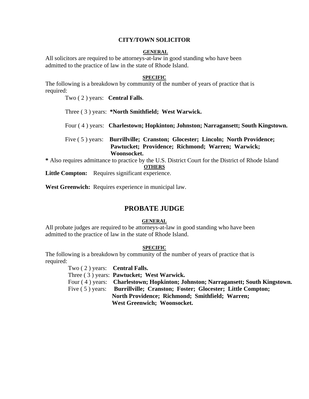#### **CITY/TOWN SOLICITOR**

#### **GENERAL**

All solicitors are required to be attorneys-at-law in good standing who have been admitted to the practice of law in the state of Rhode Island.

#### **SPECIFIC**

The following is a breakdown by community of the number of years of practice that is required:

Two ( 2 ) years: **Central Falls**.

Three ( 3 ) years: **\*North Smithfield; West Warwick.**

Four ( 4 ) years: **Charlestown; Hopkinton; Johnston; Narragansett; South Kingstown.**

 Five ( 5 ) years: **Burrillville; Cranston; Glocester; Lincoln; North Providence; Pawtucket; Providence; Richmond; Warren; Warwick; Woonsocket.** 

**\*** Also requires admittance to practice by the U.S. District Court for the District of Rhode Island

**OTHERS**

Little Compton: Requires significant experience.

**West Greenwich:** Requires experience in municipal law.

### **PROBATE JUDGE**

#### **GENERAL**

All probate judges are required to be attorneys-at-law in good standing who have been admitted to the practice of law in the state of Rhode Island.

#### **SPECIFIC**

The following is a breakdown by community of the number of years of practice that is required:

> Two ( 2 ) years: **Central Falls.** Three ( 3 ) years: **Pawtucket; West Warwick.** Four ( 4 ) years: **Charlestown; Hopkinton; Johnston; Narragansett; South Kingstown.** Five ( 5 ) years: **Burrillville; Cranston; Foster; Glocester; Little Compton; North Providence; Richmond; Smithfield; Warren; West Greenwich; Woonsocket.**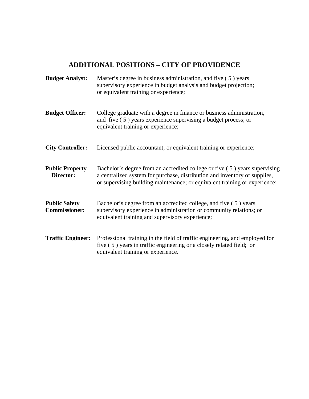### **ADDITIONAL POSITIONS – CITY OF PROVIDENCE**

**Budget Analyst:** Master's degree in business administration, and five (5) years supervisory experience in budget analysis and budget projection; or equivalent training or experience; **Budget Officer:** College graduate with a degree in finance or business administration, and five ( 5 ) years experience supervising a budget process; or equivalent training or experience; **City Controller:** Licensed public accountant; or equivalent training or experience; **Public Property** Bachelor's degree from an accredited college or five (5) years supervising **Director:** a centralized system for purchase, distribution and inventory of supplies, or supervising building maintenance; or equivalent training or experience; **Public Safety** Bachelor's degree from an accredited college, and five (5) years **Commissioner:** supervisory experience in administration or community relations; or equivalent training and supervisory experience; **Traffic Engineer:** Professional training in the field of traffic engineering, and employed for five ( 5 ) years in traffic engineering or a closely related field; or equivalent training or experience.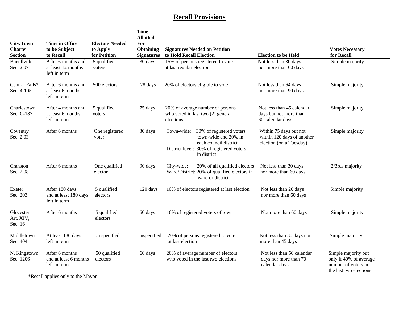### **Recall Provisions**

| City/Town<br><b>Charter</b><br><b>Section</b> | Time in Office<br>to be Subject<br>to Recall             | <b>Electors Needed</b><br>to Apply<br>for Petition | Time<br><b>Allotted</b><br>For<br><b>Obtaining</b><br><b>Signatures</b> | <b>Signatures Needed on Petition</b><br>to Hold Recall Election                    |                                                                                                                                      | <b>Election to be Held</b>                                                      | <b>Votes Necessary</b><br>for Recall                                                           |
|-----------------------------------------------|----------------------------------------------------------|----------------------------------------------------|-------------------------------------------------------------------------|------------------------------------------------------------------------------------|--------------------------------------------------------------------------------------------------------------------------------------|---------------------------------------------------------------------------------|------------------------------------------------------------------------------------------------|
| Burrillville<br>Sec. 2.07                     | After 6 months and<br>at least 12 months<br>left in term | 5 qualified<br>voters                              | 30 days                                                                 | 15% of persons registered to vote<br>at last regular election                      |                                                                                                                                      | Not less than 30 days<br>nor more than 60 days                                  | Simple majority                                                                                |
| Central Falls*<br>Sec. 4-105                  | After 6 months and<br>at least 6 months<br>left in term  | 500 electors                                       | 28 days                                                                 | 20% of electors eligible to vote                                                   |                                                                                                                                      | Not less than 64 days<br>nor more than 90 days                                  | Simple majority                                                                                |
| Charlestown<br>Sec. C-187                     | After 4 months and<br>at least 6 months<br>left in term  | 5 qualified<br>voters                              | 75 days                                                                 | 20% of average number of persons<br>who voted in last two (2) general<br>elections |                                                                                                                                      | Not less than 45 calendar<br>days but not more than<br>60 calendar days         | Simple majority                                                                                |
| Coventry<br>Sec. 2.03                         | After 6 months                                           | One registered<br>voter                            | 30 days                                                                 | Town-wide:                                                                         | 30% of registered voters<br>town-wide and 20% in<br>each council district<br>District level: 30% of registered voters<br>in district | Within 75 days but not<br>within 120 days of another<br>election (on a Tuesday) | Simple majority                                                                                |
| Cranston<br>Sec. 2.08                         | After 6 months                                           | One qualified<br>elector                           | 90 days                                                                 | City-wide:                                                                         | 20% of all qualified electors<br>Ward/District: 20% of qualified electors in<br>ward or district                                     | Not less than 30 days<br>nor more than 60 days                                  | 2/3rds majority                                                                                |
| Exeter<br>Sec. 203                            | After 180 days<br>and at least 180 days<br>left in term  | 5 qualified<br>electors                            | 120 days                                                                |                                                                                    | 10% of electors registered at last election                                                                                          | Not less than 20 days<br>nor more than 60 days                                  | Simple majority                                                                                |
| Glocester<br>Art. XIV,<br>Sec. 16             | After 6 months                                           | 5 qualified<br>electors                            | 60 days                                                                 | 10% of registered voters of town                                                   |                                                                                                                                      | Not more than 60 days                                                           | Simple majority                                                                                |
| Middletown<br>Sec. 404                        | At least 180 days<br>left in term                        | Unspecified                                        | Unspecified                                                             | 20% of persons registered to vote<br>at last election                              |                                                                                                                                      | Not less than 30 days nor<br>more than 45 days                                  | Simple majority                                                                                |
| N. Kingstown<br>Sec. 1206                     | After 6 months<br>and at least 6 months<br>left in term  | 50 qualified<br>electors                           | 60 days                                                                 | 20% of average number of electors<br>who voted in the last two elections           |                                                                                                                                      | Not less than 50 calendar<br>days nor more than 70<br>calendar days             | Simple majority but<br>only if 40% of average<br>number of voters in<br>the last two elections |

\*Recall applies only to the Mayor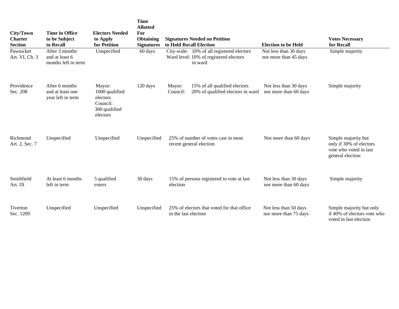| City/Town<br><b>Charter</b><br><b>Section</b> | <b>Time in Office</b><br>to be Subject<br>to Recall     | <b>Electors Needed</b><br>to Apply<br>for Petition                            | Time<br><b>Allotted</b><br>For<br><b>Obtaining</b><br><b>Signatures</b> | <b>Signatures Needed on Petition</b><br>to Hold Recall Election                                | <b>Election to be Held</b>                     | <b>Votes Necessary</b><br>for Recall                                                         |
|-----------------------------------------------|---------------------------------------------------------|-------------------------------------------------------------------------------|-------------------------------------------------------------------------|------------------------------------------------------------------------------------------------|------------------------------------------------|----------------------------------------------------------------------------------------------|
| Pawtucket<br>Art. VI, Ch. 3                   | After 3 months<br>and at least 6<br>months left in term | Unspecified                                                                   | 60 days                                                                 | City-wide: 10% of all registered electors<br>Ward level: 10% of registered electors<br>in ward | Not less than 30 days<br>nor more than 45 days | Simple majority                                                                              |
| Providence<br>Sec. 208                        | After 6 months<br>and at least one<br>year left in term | Mayor:<br>1000 qualified<br>electors<br>Council:<br>300 qualified<br>electors | 120 days                                                                | 15% of all qualified electors<br>Mayor:<br>20% of qualified electors in ward<br>Council:       | Not less than 30 days<br>nor more than 60 days | Simple majority                                                                              |
| Richmond<br>Art. 2, Sec. 7                    | Unspecified                                             | Unspecified                                                                   | Unspecified                                                             | 25% of number of votes cast in most<br>recent general election                                 | Not more than 60 days                          | Simple majority but<br>only if 30% of electors<br>vote who voted in last<br>general election |
| Smithfield<br>Art. IX                         | At least 6 months<br>left in term                       | 5 qualified<br>voters                                                         | 30 days                                                                 | 15% of persons registered to vote at last<br>election                                          | Not less than 30 days<br>nor more than 60 days | Simple majority                                                                              |
| Tiverton<br>Sec. 1209                         | Unspecified                                             | Unspecified                                                                   | Unspecified                                                             | 25% of electors that voted for that office<br>in the last election                             | Not less than 50 days<br>nor more than 75 days | Simple majority but only<br>if 40% of electors vote who<br>voted in last election            |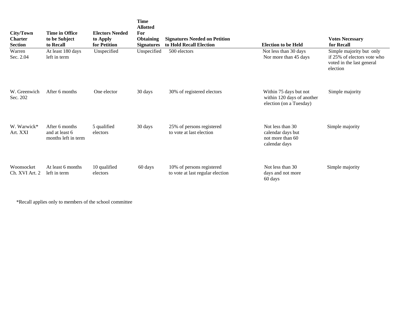| City/Town<br><b>Charter</b><br><b>Section</b> | Time in Office<br>to be Subject<br>to Recall            | <b>Electors Needed</b><br>to Apply<br>for Petition | Time<br><b>Allotted</b><br>For<br><b>Obtaining</b><br><b>Signatures</b> | <b>Signatures Needed on Petition</b><br>to Hold Recall Election | <b>Election to be Held</b>                                                      | <b>Votes Necessary</b><br>for Recall                                                             |
|-----------------------------------------------|---------------------------------------------------------|----------------------------------------------------|-------------------------------------------------------------------------|-----------------------------------------------------------------|---------------------------------------------------------------------------------|--------------------------------------------------------------------------------------------------|
| Warren<br>Sec. 2.04                           | At least 180 days<br>left in term                       | Unspecified                                        | Unspecified                                                             | 500 electors                                                    | Not less than 30 days<br>Nor more than 45 days                                  | Simple majority but only<br>if 25% of electors vote who<br>voted in the last general<br>election |
| W. Greenwich<br>Sec. 202                      | After 6 months                                          | One elector                                        | 30 days                                                                 | 30% of registered electors                                      | Within 75 days but not<br>within 120 days of another<br>election (on a Tuesday) | Simple majority                                                                                  |
| W. Warwick*<br>Art. XXI                       | After 6 months<br>and at least 6<br>months left in term | 5 qualified<br>electors                            | 30 days                                                                 | 25% of persons registered<br>to vote at last election           | Not less than 30<br>calendar days but<br>not more than 60<br>calendar days      | Simple majority                                                                                  |
| Woonsocket<br>Ch. XVI Art. 2                  | At least 6 months<br>left in term                       | 10 qualified<br>electors                           | 60 days                                                                 | 10% of persons registered<br>to vote at last regular election   | Not less than 30<br>days and not more<br>60 days                                | Simple majority                                                                                  |

\*Recall applies only to members of the school committee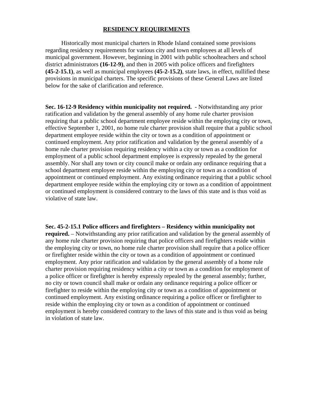#### **RESIDENCY REQUIREMENTS**

 Historically most municipal charters in Rhode Island contained some provisions regarding residency requirements for various city and town employees at all levels of municipal government. However, beginning in 2001 with public schoolteachers and school district administrators **(16-12-9)**, and then in 2005 with police officers and firefighters **(45-2-15.1)**, as well as municipal employees **(45-2-15.2)**, state laws, in effect, nullified these provisions in municipal charters. The specific provisions of these General Laws are listed below for the sake of clarification and reference.

**Sec. 16-12-9 Residency within municipality not required.** - Notwithstanding any prior ratification and validation by the general assembly of any home rule charter provision requiring that a public school department employee reside within the employing city or town, effective September 1, 2001, no home rule charter provision shall require that a public school department employee reside within the city or town as a condition of appointment or continued employment. Any prior ratification and validation by the general assembly of a home rule charter provision requiring residency within a city or town as a condition for employment of a public school department employee is expressly repealed by the general assembly. Nor shall any town or city council make or ordain any ordinance requiring that a school department employee reside within the employing city or town as a condition of appointment or continued employment. Any existing ordinance requiring that a public school department employee reside within the employing city or town as a condition of appointment or continued employment is considered contrary to the laws of this state and is thus void as violative of state law.

**Sec. 45-2-15.1 Police officers and firefighters – Residency within municipality not required.** – Notwithstanding any prior ratification and validation by the general assembly of any home rule charter provision requiring that police officers and firefighters reside within the employing city or town, no home rule charter provision shall require that a police officer or firefighter reside within the city or town as a condition of appointment or continued employment. Any prior ratification and validation by the general assembly of a home rule charter provision requiring residency within a city or town as a condition for employment of a police officer or firefighter is hereby expressly repealed by the general assembly; further, no city or town council shall make or ordain any ordinance requiring a police officer or firefighter to reside within the employing city or town as a condition of appointment or continued employment. Any existing ordinance requiring a police officer or firefighter to reside within the employing city or town as a condition of appointment or continued employment is hereby considered contrary to the laws of this state and is thus void as being in violation of state law.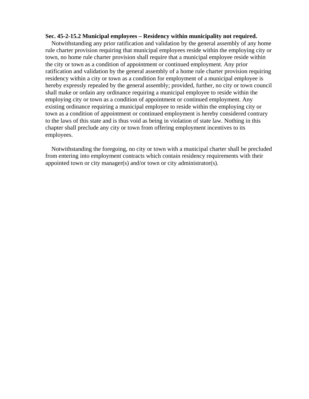#### **Sec. 45-2-15.2 Municipal employees – Residency within municipality not required.**

 Notwithstanding any prior ratification and validation by the general assembly of any home rule charter provision requiring that municipal employees reside within the employing city or town, no home rule charter provision shall require that a municipal employee reside within the city or town as a condition of appointment or continued employment. Any prior ratification and validation by the general assembly of a home rule charter provision requiring residency within a city or town as a condition for employment of a municipal employee is hereby expressly repealed by the general assembly; provided, further, no city or town council shall make or ordain any ordinance requiring a municipal employee to reside within the employing city or town as a condition of appointment or continued employment. Any existing ordinance requiring a municipal employee to reside within the employing city or town as a condition of appointment or continued employment is hereby considered contrary to the laws of this state and is thus void as being in violation of state law. Nothing in this chapter shall preclude any city or town from offering employment incentives to its employees.

 Notwithstanding the foregoing, no city or town with a municipal charter shall be precluded from entering into employment contracts which contain residency requirements with their appointed town or city manager(s) and/or town or city administrator(s).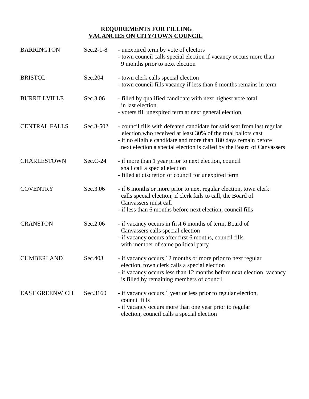#### **REQUIREMENTS FOR FILLING VACANCIES ON CITY/TOWN COUNCIL**

| <b>BARRINGTON</b>     | $Sec.2-1-8$ | - unexpired term by vote of electors<br>- town council calls special election if vacancy occurs more than<br>9 months prior to next election                                                                                                                                        |
|-----------------------|-------------|-------------------------------------------------------------------------------------------------------------------------------------------------------------------------------------------------------------------------------------------------------------------------------------|
| <b>BRISTOL</b>        | Sec.204     | - town clerk calls special election<br>- town council fills vacancy if less than 6 months remains in term                                                                                                                                                                           |
| <b>BURRILLVILLE</b>   | Sec.3.06    | - filled by qualified candidate with next highest vote total<br>in last election<br>- voters fill unexpired term at next general election                                                                                                                                           |
| <b>CENTRAL FALLS</b>  | Sec.3-502   | - council fills with defeated candidate for said seat from last regular<br>election who received at least 30% of the total ballots cast<br>- if no eligible candidate and more than 180 days remain before<br>next election a special election is called by the Board of Canvassers |
| <b>CHARLESTOWN</b>    | $Sec.C-24$  | - if more than 1 year prior to next election, council<br>shall call a special election<br>- filled at discretion of council for unexpired term                                                                                                                                      |
| <b>COVENTRY</b>       | Sec.3.06    | - if 6 months or more prior to next regular election, town clerk<br>calls special election; if clerk fails to call, the Board of<br>Canvassers must call<br>- if less than 6 months before next election, council fills                                                             |
| <b>CRANSTON</b>       | Sec.2.06    | - if vacancy occurs in first 6 months of term, Board of<br>Canvassers calls special election<br>- if vacancy occurs after first 6 months, council fills<br>with member of same political party                                                                                      |
| <b>CUMBERLAND</b>     | Sec.403     | - if vacancy occurs 12 months or more prior to next regular<br>election, town clerk calls a special election<br>- if vacancy occurs less than 12 months before next election, vacancy<br>is filled by remaining members of council                                                  |
| <b>EAST GREENWICH</b> | Sec.3160    | - if vacancy occurs 1 year or less prior to regular election,<br>council fills<br>- if vacancy occurs more than one year prior to regular<br>election, council calls a special election                                                                                             |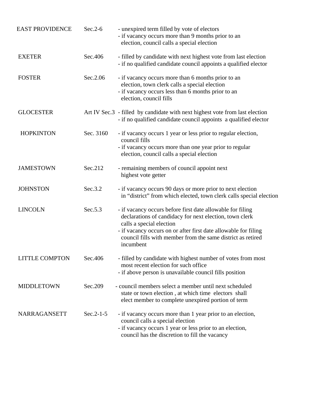| <b>EAST PROVIDENCE</b> | $Sec.2-6$   | - unexpired term filled by vote of electors<br>- if vacancy occurs more than 9 months prior to an<br>election, council calls a special election                                                                                                                                                  |
|------------------------|-------------|--------------------------------------------------------------------------------------------------------------------------------------------------------------------------------------------------------------------------------------------------------------------------------------------------|
| <b>EXETER</b>          | Sec.406     | - filled by candidate with next highest vote from last election<br>- if no qualified candidate council appoints a qualified elector                                                                                                                                                              |
| <b>FOSTER</b>          | Sec.2.06    | - if vacancy occurs more than 6 months prior to an<br>election, town clerk calls a special election<br>- if vacancy occurs less than 6 months prior to an<br>election, council fills                                                                                                             |
| <b>GLOCESTER</b>       |             | Art IV Sec.3 - filled by candidate with next highest vote from last election<br>- if no qualified candidate council appoints a qualified elector                                                                                                                                                 |
| <b>HOPKINTON</b>       | Sec. 3160   | - if vacancy occurs 1 year or less prior to regular election,<br>council fills<br>- if vacancy occurs more than one year prior to regular<br>election, council calls a special election                                                                                                          |
| <b>JAMESTOWN</b>       | Sec.212     | - remaining members of council appoint next<br>highest vote getter                                                                                                                                                                                                                               |
| <b>JOHNSTON</b>        | Sec.3.2     | - if vacancy occurs 90 days or more prior to next election<br>in "district" from which elected, town clerk calls special election                                                                                                                                                                |
| <b>LINCOLN</b>         | Sec.5.3     | - if vacancy occurs before first date allowable for filing<br>declarations of candidacy for next election, town clerk<br>calls a special election<br>- if vacancy occurs on or after first date allowable for filing<br>council fills with member from the same district as retired<br>incumbent |
| <b>LITTLE COMPTON</b>  | Sec.406     | - filled by candidate with highest number of votes from most<br>most recent election for such office<br>- if above person is unavailable council fills position                                                                                                                                  |
| <b>MIDDLETOWN</b>      | Sec.209     | - council members select a member until next scheduled<br>state or town election, at which time electors shall<br>elect member to complete unexpired portion of term                                                                                                                             |
| NARRAGANSETT           | $Sec.2-1-5$ | - if vacancy occurs more than 1 year prior to an election,<br>council calls a special election<br>- if vacancy occurs 1 year or less prior to an election,<br>council has the discretion to fill the vacancy                                                                                     |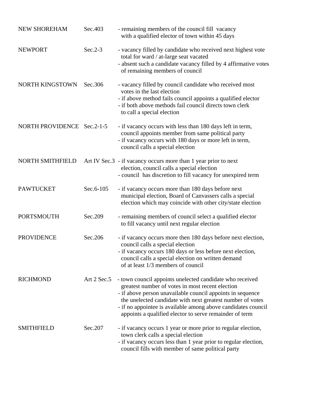| <b>NEW SHOREHAM</b>        | Sec.403     | - remaining members of the council fill vacancy<br>with a qualified elector of town within 45 days                                                                                                                                                                                                                                                                   |
|----------------------------|-------------|----------------------------------------------------------------------------------------------------------------------------------------------------------------------------------------------------------------------------------------------------------------------------------------------------------------------------------------------------------------------|
| <b>NEWPORT</b>             | $Sec.2-3$   | - vacancy filled by candidate who received next highest vote<br>total for ward / at-large seat vacated<br>- absent such a candidate vacancy filled by 4 affirmative votes<br>of remaining members of council                                                                                                                                                         |
| NORTH KINGSTOWN            | Sec.306     | - vacancy filled by council candidate who received most<br>votes in the last election<br>- if above method fails council appoints a qualified elector<br>- if both above methods fail council directs town clerk<br>to call a special election                                                                                                                       |
| NORTH PROVIDENCE Sec.2-1-5 |             | - if vacancy occurs with less than 180 days left in term,<br>council appoints member from same political party<br>- if vacancy occurs with 180 days or more left in term,<br>council calls a special election                                                                                                                                                        |
| NORTH SMITHFIELD           |             | Art IV Sec.3 - if vacancy occurs more than 1 year prior to next<br>election, council calls a special election<br>- council has discretion to fill vacancy for unexpired term                                                                                                                                                                                         |
| <b>PAWTUCKET</b>           | Sec.6-105   | - if vacancy occurs more than 180 days before next<br>municipal election, Board of Canvassers calls a special<br>election which may coincide with other city/state election                                                                                                                                                                                          |
| <b>PORTSMOUTH</b>          | Sec.209     | - remaining members of council select a qualified elector<br>to fill vacancy until next regular election                                                                                                                                                                                                                                                             |
| <b>PROVIDENCE</b>          | Sec.206     | - if vacancy occurs more then 180 days before next election,<br>council calls a special election<br>- if vacancy occurs 180 days or less before next election,<br>council calls a special election on written demand<br>of at least 1/3 members of council                                                                                                           |
| <b>RICHMOND</b>            | Art 2 Sec.5 | - town council appoints unelected candidate who received<br>greatest number of votes in most recent election<br>- if above person unavailable council appoints in sequence<br>the unelected candidate with next greatest number of votes<br>- if no appointee is available among above candidates council<br>appoints a qualified elector to serve remainder of term |
| <b>SMITHFIELD</b>          | Sec.207     | - if vacancy occurs 1 year or more prior to regular election,<br>town clerk calls a special election<br>- if vacancy occurs less than 1 year prior to regular election,<br>council fills with member of same political party                                                                                                                                         |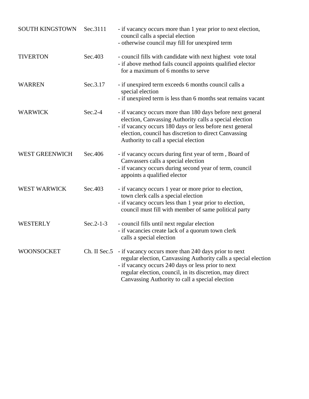| <b>SOUTH KINGSTOWN</b> | Sec.3111    | - if vacancy occurs more than 1 year prior to next election,<br>council calls a special election<br>- otherwise council may fill for unexpired term                                                                                                                                                       |
|------------------------|-------------|-----------------------------------------------------------------------------------------------------------------------------------------------------------------------------------------------------------------------------------------------------------------------------------------------------------|
| <b>TIVERTON</b>        | Sec.403     | - council fills with candidate with next highest vote total<br>- if above method fails council appoints qualified elector<br>for a maximum of 6 months to serve                                                                                                                                           |
| <b>WARREN</b>          | Sec.3.17    | - if unexpired term exceeds 6 months council calls a<br>special election<br>- if unexpired term is less than 6 months seat remains vacant                                                                                                                                                                 |
| <b>WARWICK</b>         | $Sec.2-4$   | - if vacancy occurs more than 180 days before next general<br>election, Canvassing Authority calls a special election<br>- if vacancy occurs 180 days or less before next general<br>election, council has discretion to direct Canvassing<br>Authority to call a special election                        |
| <b>WEST GREENWICH</b>  | Sec.406     | - if vacancy occurs during first year of term, Board of<br>Canvassers calls a special election<br>- if vacancy occurs during second year of term, council<br>appoints a qualified elector                                                                                                                 |
| <b>WEST WARWICK</b>    | Sec.403     | - if vacancy occurs 1 year or more prior to election,<br>town clerk calls a special election<br>- if vacancy occurs less than 1 year prior to election,<br>council must fill with member of same political party                                                                                          |
| WESTERLY               | $Sec.2-1-3$ | - council fills until next regular election<br>- if vacancies create lack of a quorum town clerk<br>calls a special election                                                                                                                                                                              |
| <b>WOONSOCKET</b>      |             | Ch. II Sec.5 - if vacancy occurs more than 240 days prior to next<br>regular election, Canvassing Authority calls a special election<br>- if vacancy occurs 240 days or less prior to next<br>regular election, council, in its discretion, may direct<br>Canvassing Authority to call a special election |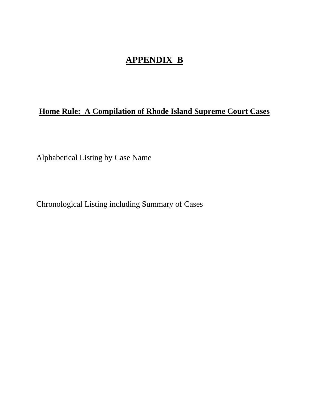# **APPENDIX B**

# **Home Rule: A Compilation of Rhode Island Supreme Court Cases**

Alphabetical Listing by Case Name

Chronological Listing including Summary of Cases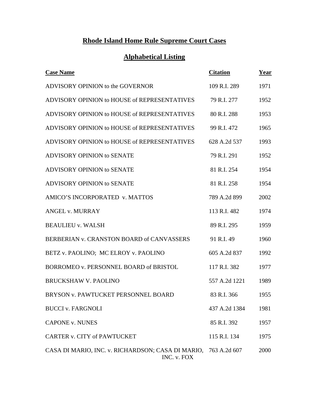# **Rhode Island Home Rule Supreme Court Cases**

# **Alphabetical Listing**

| <b>Case Name</b>                                                 | <b>Citation</b> | Year |
|------------------------------------------------------------------|-----------------|------|
| ADVISORY OPINION to the GOVERNOR                                 | 109 R.I. 289    | 1971 |
| ADVISORY OPINION to HOUSE of REPRESENTATIVES                     | 79 R.I. 277     | 1952 |
| ADVISORY OPINION to HOUSE of REPRESENTATIVES                     | 80 R.I. 288     | 1953 |
| ADVISORY OPINION to HOUSE of REPRESENTATIVES                     | 99 R.I. 472     | 1965 |
| ADVISORY OPINION to HOUSE of REPRESENTATIVES                     | 628 A.2d 537    | 1993 |
| ADVISORY OPINION to SENATE                                       | 79 R.I. 291     | 1952 |
| ADVISORY OPINION to SENATE                                       | 81 R.I. 254     | 1954 |
| ADVISORY OPINION to SENATE                                       | 81 R.I. 258     | 1954 |
| AMICO'S INCORPORATED v. MATTOS                                   | 789 A.2d 899    | 2002 |
| <b>ANGEL v. MURRAY</b>                                           | 113 R.I. 482    | 1974 |
| <b>BEAULIEU v. WALSH</b>                                         | 89 R.I. 295     | 1959 |
| BERBERIAN v. CRANSTON BOARD of CANVASSERS                        | 91 R.I. 49      | 1960 |
| BETZ v. PAOLINO; MC ELROY v. PAOLINO                             | 605 A.2d 837    | 1992 |
| BORROMEO v. PERSONNEL BOARD of BRISTOL                           | 117 R.I. 382    | 1977 |
| <b>BRUCKSHAW V. PAOLINO</b>                                      | 557 A.2d 1221   | 1989 |
| BRYSON v. PAWTUCKET PERSONNEL BOARD                              | 83 R.I. 366     | 1955 |
| <b>BUCCI v. FARGNOLI</b>                                         | 437 A.2d 1384   | 1981 |
| <b>CAPONE v. NUNES</b>                                           | 85 R.I. 392     | 1957 |
| <b>CARTER v. CITY of PAWTUCKET</b>                               | 115 R.I. 134    | 1975 |
| CASA DI MARIO, INC. v. RICHARDSON; CASA DI MARIO,<br>INC. v. FOX | 763 A.2d 607    | 2000 |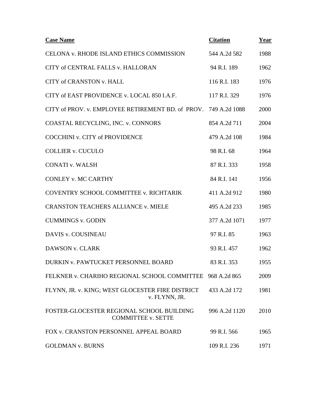| <b>Case Name</b>                                                       | <b>Citation</b> | Year |
|------------------------------------------------------------------------|-----------------|------|
| CELONA v. RHODE ISLAND ETHICS COMMISSION                               | 544 A.2d 582    | 1988 |
| CITY of CENTRAL FALLS v. HALLORAN                                      | 94 R.I. 189     | 1962 |
| <b>CITY of CRANSTON v. HALL</b>                                        | 116 R.I. 183    | 1976 |
| CITY of EAST PROVIDENCE v. LOCAL 850 I.A.F.                            | 117 R.I. 329    | 1976 |
| CITY of PROV. v. EMPLOYEE RETIREMENT BD. of PROV. 749 A.2d 1088        |                 | 2000 |
| COASTAL RECYCLING, INC. v. CONNORS                                     | 854 A.2d 711    | 2004 |
| <b>COCCHINI v. CITY of PROVIDENCE</b>                                  | 479 A.2d 108    | 1984 |
| <b>COLLIER v. CUCULO</b>                                               | 98 R.I. 68      | 1964 |
| <b>CONATI v. WALSH</b>                                                 | 87 R.I. 333     | 1958 |
| <b>CONLEY v. MC CARTHY</b>                                             | 84 R.I. 141     | 1956 |
| COVENTRY SCHOOL COMMITTEE v. RICHTARIK                                 | 411 A.2d 912    | 1980 |
| <b>CRANSTON TEACHERS ALLIANCE v. MIELE</b>                             | 495 A.2d 233    | 1985 |
| <b>CUMMINGS v. GODIN</b>                                               | 377 A.2d 1071   | 1977 |
| DAVIS v. COUSINEAU                                                     | 97 R.I. 85      | 1963 |
| DAWSON v. CLARK                                                        | 93 R.I. 457     | 1962 |
| DURKIN v. PAWTUCKET PERSONNEL BOARD                                    | 83 R.I. 353     | 1955 |
| FELKNER v. CHARIHO REGIONAL SCHOOL COMMITTEE 968 A.2d 865              |                 | 2009 |
| FLYNN, JR. v. KING; WEST GLOCESTER FIRE DISTRICT<br>v. FLYNN, JR.      | 433 A.2d 172    | 1981 |
| FOSTER-GLOCESTER REGIONAL SCHOOL BUILDING<br><b>COMMITTEE v. SETTE</b> | 996 A.2d 1120   | 2010 |
| FOX v. CRANSTON PERSONNEL APPEAL BOARD                                 | 99 R.I. 566     | 1965 |
| <b>GOLDMAN v. BURNS</b>                                                | 109 R.I. 236    | 1971 |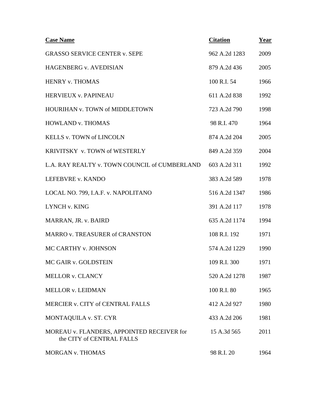| <b>Case Name</b>                                                        | <b>Citation</b> | <u>Year</u> |
|-------------------------------------------------------------------------|-----------------|-------------|
| <b>GRASSO SERVICE CENTER v. SEPE</b>                                    | 962 A.2d 1283   | 2009        |
| <b>HAGENBERG v. AVEDISIAN</b>                                           | 879 A.2d 436    | 2005        |
| HENRY v. THOMAS                                                         | 100 R.I. 54     | 1966        |
| HERVIEUX v. PAPINEAU                                                    | 611 A.2d 838    | 1992        |
| HOURIHAN v. TOWN of MIDDLETOWN                                          | 723 A.2d 790    | 1998        |
| <b>HOWLAND v. THOMAS</b>                                                | 98 R.I. 470     | 1964        |
| KELLS v. TOWN of LINCOLN                                                | 874 A.2d 204    | 2005        |
| KRIVITSKY v. TOWN of WESTERLY                                           | 849 A.2d 359    | 2004        |
| L.A. RAY REALTY v. TOWN COUNCIL of CUMBERLAND                           | 603 A.2d 311    | 1992        |
| LEFEBVRE v. KANDO                                                       | 383 A.2d 589    | 1978        |
| LOCAL NO. 799, I.A.F. v. NAPOLITANO                                     | 516 A.2d 1347   | 1986        |
| LYNCH v. KING                                                           | 391 A.2d 117    | 1978        |
| MARRAN, JR. v. BAIRD                                                    | 635 A.2d 1174   | 1994        |
| MARRO v. TREASURER of CRANSTON                                          | 108 R.I. 192    | 1971        |
| MC CARTHY v. JOHNSON                                                    | 574 A.2d 1229   | 1990        |
| MC GAIR v. GOLDSTEIN                                                    | 109 R.I. 300    | 1971        |
| MELLOR v. CLANCY                                                        | 520 A.2d 1278   | 1987        |
| <b>MELLOR v. LEIDMAN</b>                                                | 100 R.I. 80     | 1965        |
| MERCIER v. CITY of CENTRAL FALLS                                        | 412 A.2d 927    | 1980        |
| MONTAQUILA v. ST. CYR                                                   | 433 A.2d 206    | 1981        |
| MOREAU v. FLANDERS, APPOINTED RECEIVER for<br>the CITY of CENTRAL FALLS | 15 A.3d 565     | 2011        |
| MORGAN v. THOMAS                                                        | 98 R.I. 20      | 1964        |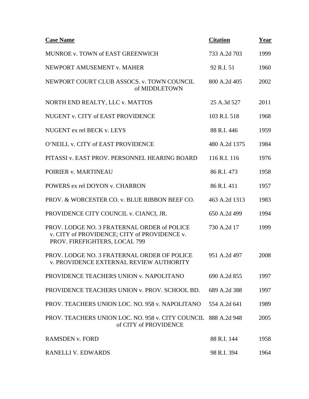| <b>Case Name</b>                                                                                                             | <b>Citation</b> | Year |
|------------------------------------------------------------------------------------------------------------------------------|-----------------|------|
| MUNROE v. TOWN of EAST GREENWICH                                                                                             | 733 A.2d 703    | 1999 |
| NEWPORT AMUSEMENT v. MAHER                                                                                                   | 92 R.I. 51      | 1960 |
| NEWPORT COURT CLUB ASSOCS. v. TOWN COUNCIL<br>of MIDDLETOWN                                                                  | 800 A.2d 405    | 2002 |
| NORTH END REALTY, LLC v. MATTOS                                                                                              | 25 A.3d 527     | 2011 |
| NUGENT v. CITY of EAST PROVIDENCE                                                                                            | 103 R.I. 518    | 1968 |
| NUGENT ex rel BECK v. LEYS                                                                                                   | 88 R.I. 446     | 1959 |
| O'NEILL v. CITY of EAST PROVIDENCE                                                                                           | 480 A.2d 1375   | 1984 |
| PITASSI v. EAST PROV. PERSONNEL HEARING BOARD                                                                                | 116 R.I. 116    | 1976 |
| POIRIER v. MARTINEAU                                                                                                         | 86 R.I. 473     | 1958 |
| POWERS ex rel DOYON v. CHARRON                                                                                               | 86 R.I. 411     | 1957 |
| PROV. & WORCESTER CO. v. BLUE RIBBON BEEF CO.                                                                                | 463 A.2d 1313   | 1983 |
| PROVIDENCE CITY COUNCIL v. CIANCI, JR.                                                                                       | 650 A.2d 499    | 1994 |
| PROV. LODGE NO. 3 FRATERNAL ORDER of POLICE<br>v. CITY of PROVIDENCE; CITY of PROVIDENCE v.<br>PROV. FIREFIGHTERS, LOCAL 799 | 730 A.2d 17     | 1999 |
| PROV. LODGE NO. 3 FRATERNAL ORDER OF POLICE<br><b>v. PROVIDENCE EXTERNAL REVIEW AUTHORITY</b>                                | 951 A.2d 497    | 2008 |
| PROVIDENCE TEACHERS UNION v. NAPOLITANO                                                                                      | 690 A.2d 855    | 1997 |
| PROVIDENCE TEACHERS UNION v. PROV. SCHOOL BD.                                                                                | 689 A.2d 388    | 1997 |
| PROV. TEACHERS UNION LOC. NO. 958 v. NAPOLITANO                                                                              | 554 A.2d 641    | 1989 |
| PROV. TEACHERS UNION LOC. NO. 958 v. CITY COUNCIL 888 A.2d 948<br>of CITY of PROVIDENCE                                      |                 | 2005 |
| <b>RAMSDEN v. FORD</b>                                                                                                       | 88 R.I. 144     | 1958 |
| RANELLI V. EDWARDS                                                                                                           | 98 R.I. 394     | 1964 |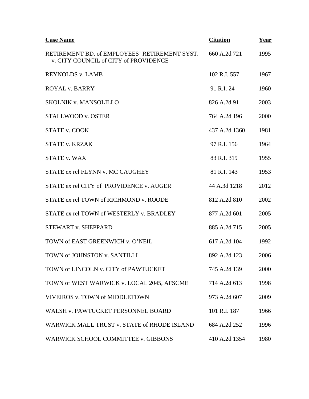| <b>Case Name</b>                                                                       | <b>Citation</b> | Year |
|----------------------------------------------------------------------------------------|-----------------|------|
| RETIREMENT BD. of EMPLOYEES' RETIREMENT SYST.<br>v. CITY COUNCIL of CITY of PROVIDENCE | 660 A.2d 721    | 1995 |
| <b>REYNOLDS v. LAMB</b>                                                                | 102 R.I. 557    | 1967 |
| <b>ROYAL v. BARRY</b>                                                                  | 91 R.I. 24      | 1960 |
| <b>SKOLNIK v. MANSOLILLO</b>                                                           | 826 A.2d 91     | 2003 |
| <b>STALLWOOD v. OSTER</b>                                                              | 764 A.2d 196    | 2000 |
| <b>STATE v. COOK</b>                                                                   | 437 A.2d 1360   | 1981 |
| <b>STATE v. KRZAK</b>                                                                  | 97 R.I. 156     | 1964 |
| <b>STATE v. WAX</b>                                                                    | 83 R.I. 319     | 1955 |
| STATE ex rel FLYNN v. MC CAUGHEY                                                       | 81 R.I. 143     | 1953 |
| STATE ex rel CITY of PROVIDENCE v. AUGER                                               | 44 A.3d 1218    | 2012 |
| STATE ex rel TOWN of RICHMOND v. ROODE                                                 | 812 A.2d 810    | 2002 |
| STATE ex rel TOWN of WESTERLY v. BRADLEY                                               | 877 A.2d 601    | 2005 |
| <b>STEWART v. SHEPPARD</b>                                                             | 885 A.2d 715    | 2005 |
| TOWN of EAST GREENWICH v. O'NEIL                                                       | 617 A.2d 104    | 1992 |
| TOWN of JOHNSTON v. SANTILLI                                                           | 892 A.2d 123    | 2006 |
| TOWN of LINCOLN v. CITY of PAWTUCKET                                                   | 745 A.2d 139    | 2000 |
| TOWN of WEST WARWICK v. LOCAL 2045, AFSCME                                             | 714 A.2d 613    | 1998 |
| VIVEIROS v. TOWN of MIDDLETOWN                                                         | 973 A.2d 607    | 2009 |
| WALSH v. PAWTUCKET PERSONNEL BOARD                                                     | 101 R.I. 187    | 1966 |
| WARWICK MALL TRUST v. STATE of RHODE ISLAND                                            | 684 A.2d 252    | 1996 |
| WARWICK SCHOOL COMMITTEE v. GIBBONS                                                    | 410 A.2d 1354   | 1980 |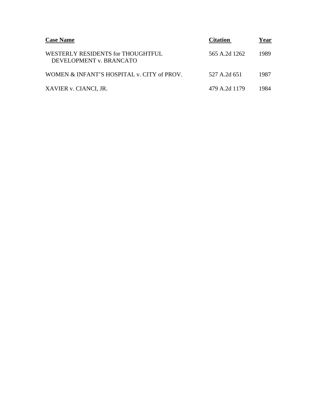| <b>Case Name</b>                                             | <b>Citation</b> | Year |
|--------------------------------------------------------------|-----------------|------|
| WESTERLY RESIDENTS for THOUGHTFUL<br>DEVELOPMENT v. BRANCATO | 565 A.2d 1262   | 1989 |
| WOMEN & INFANT'S HOSPITAL v. CITY of PROV.                   | 527 A.2d 651    | 1987 |
| XAVIER v. CIANCI, JR.                                        | 479 A.2d 1179   | 1984 |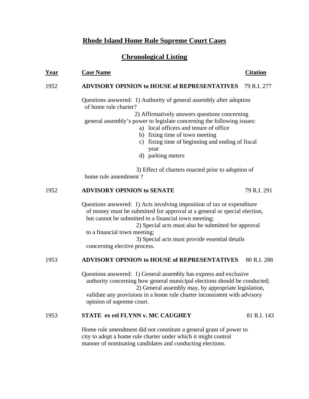### **Rhode Island Home Rule Supreme Court Cases**

### **Chronological Listing**

#### **Year** Case Name Case Case Citation Citation

#### 1952 **ADVISORY OPINION to HOUSE of REPRESENTATIVES** 79 R.I. 277

 Questions answered: 1) Authority of general assembly after adoption of home rule charter?

 2) Affirmatively answers questions concerning general assembly's power to legislate concerning the following issues:

- a) local officers and tenure of office
- b) fixing time of town meeting
- c) fixing time of beginning and ending of fiscal year
- d) parking meters

 3) Effect of charters enacted prior to adoption of home rule amendment ?

#### 1952 **ADVISORY OPINION to SENATE** 79 R.I. 291

Questions answered: 1) Acts involving imposition of tax or expenditure of money must be submitted for approval at a general or special election, but cannot be submitted to a financial town meeting;

 2) Special acts must also be submitted for approval to a financial town meeting; 3) Special acts must provide essential details

concerning elective process.

### 1953 **ADVISORY OPINION to HOUSE of REPRESENTATIVES** 80 R.I. 288

 Questions answered: 1) General assembly has express and exclusive authority concerning how general municipal elections should be conducted; 2) General assembly may, by appropriate legislation, validate any provisions in a home rule charter inconsistent with advisory opinion of supreme court.

### 1953 **STATE ex rel FLYNN v. MC CAUGHEY** 81 R.I. 143

 Home rule amendment did not constitute a general grant of power to city to adopt a home rule charter under which it might control manner of nominating candidates and conducting elections.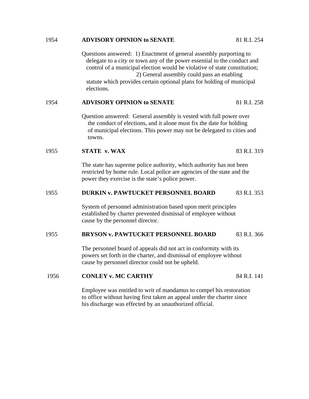Questions answered: 1) Enactment of general assembly purporting to delegate to a city or town any of the power essential to the conduct and control of a municipal election would be violative of state constitution; 2) General assembly could pass an enabling statute which provides certain optional plans for holding of municipal elections. 1954 **ADVISORY OPINION to SENATE** 81 R.I. 258 Question answered: General assembly is vested with full power over the conduct of elections, and it alone must fix the date for holding of municipal elections. This power may not be delegated to cities and towns. 1955 **STATE v. WAX** 83 R.I. 319 The state has supreme police authority, which authority has not been restricted by home rule. Local police are agencies of the state and the power they exercise is the state's police power. 1955 **DURKIN v. PAWTUCKET PERSONNEL BOARD** 83 R.I. 353 System of personnel administration based upon merit principles established by charter prevented dismissal of employee without cause by the personnel director. 1955 **BRYSON v. PAWTUCKET PERSONNEL BOARD** 83 R.I. 366 The personnel board of appeals did not act in conformity with its powers set forth in the charter, and dismissal of employee without cause by personnel director could not be upheld. 1956 **CONLEY v. MC CARTHY** 84 R.I. 141

1954 **ADVISORY OPINION to SENATE** 81 R.I. 254

Employee was entitled to writ of mandamus to compel his restoration to office without having first taken an appeal under the charter since his discharge was effected by an unauthorized official.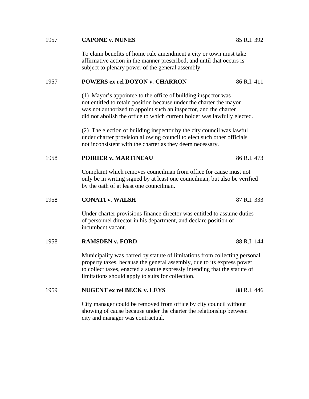#### 1957 **CAPONE v. NUNES** 85 R.I. 392

To claim benefits of home rule amendment a city or town must take affirmative action in the manner prescribed, and until that occurs is subject to plenary power of the general assembly.

#### 1957 **POWERS ex rel DOYON v. CHARRON** 86 R.I. 411

(1) Mayor's appointee to the office of building inspector was not entitled to retain position because under the charter the mayor was not authorized to appoint such an inspector, and the charter did not abolish the office to which current holder was lawfully elected.

(2) The election of building inspector by the city council was lawful under charter provision allowing council to elect such other officials not inconsistent with the charter as they deem necessary.

#### 1958 **POIRIER v. MARTINEAU** 86 R.I. 473

Complaint which removes councilman from office for cause must not only be in writing signed by at least one councilman, but also be verified by the oath of at least one councilman.

#### 1958 **CONATI v. WALSH** 87 R.I. 333

Under charter provisions finance director was entitled to assume duties of personnel director in his department, and declare position of incumbent vacant.

1958 **RAMSDEN v. FORD** 88 R.I. 144

Municipality was barred by statute of limitations from collecting personal property taxes, because the general assembly, due to its express power to collect taxes, enacted a statute expressly intending that the statute of limitations should apply to suits for collection.

#### 1959 **NUGENT ex rel BECK v. LEYS** 88 R.I. 446

City manager could be removed from office by city council without showing of cause because under the charter the relationship between city and manager was contractual.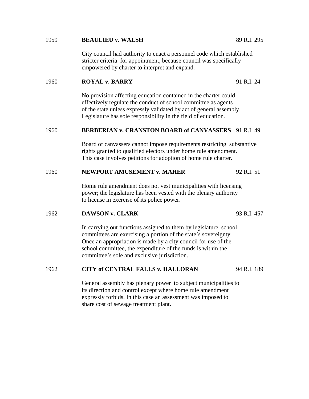#### 1959 **BEAULIEU v. WALSH** 89 R.I. 295

City council had authority to enact a personnel code which established stricter criteria for appointment, because council was specifically empowered by charter to interpret and expand.

#### 1960 **ROYAL v. BARRY** 91 R.I. 24

No provision affecting education contained in the charter could effectively regulate the conduct of school committee as agents of the state unless expressly validated by act of general assembly. Legislature has sole responsibility in the field of education.

#### 1960 **BERBERIAN v. CRANSTON BOARD of CANVASSERS** 91 R.I. 49

Board of canvassers cannot impose requirements restricting substantive rights granted to qualified electors under home rule amendment. This case involves petitions for adoption of home rule charter.

#### 1960 **NEWPORT AMUSEMENT v. MAHER** 92 R.I. 51

Home rule amendment does not vest municipalities with licensing power; the legislature has been vested with the plenary authority to license in exercise of its police power.

#### 1962 **DAWSON v. CLARK** 93 R.I. 457

In carrying out functions assigned to them by legislature, school committees are exercising a portion of the state's sovereignty. Once an appropriation is made by a city council for use of the school committee, the expenditure of the funds is within the committee's sole and exclusive jurisdiction.

#### 1962 **CITY of CENTRAL FALLS v. HALLORAN** 94 R.I. 189

General assembly has plenary power to subject municipalities to its direction and control except where home rule amendment expressly forbids. In this case an assessment was imposed to share cost of sewage treatment plant.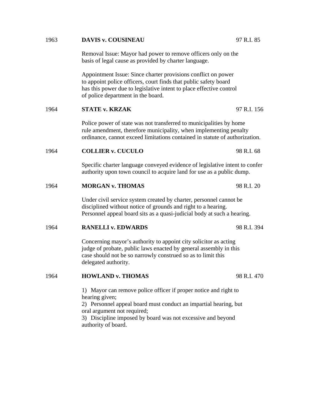| 1963 | <b>DAVIS v. COUSINEAU</b>                                                                                                                                                                                                                                                   | 97 R.I. 85  |  |  |
|------|-----------------------------------------------------------------------------------------------------------------------------------------------------------------------------------------------------------------------------------------------------------------------------|-------------|--|--|
|      | Removal Issue: Mayor had power to remove officers only on the<br>basis of legal cause as provided by charter language.                                                                                                                                                      |             |  |  |
|      | Appointment Issue: Since charter provisions conflict on power<br>to appoint police officers, court finds that public safety board<br>has this power due to legislative intent to place effective control<br>of police department in the board.                              |             |  |  |
| 1964 | <b>STATE v. KRZAK</b>                                                                                                                                                                                                                                                       | 97 R.I. 156 |  |  |
|      | Police power of state was not transferred to municipalities by home<br>rule amendment, therefore municipality, when implementing penalty<br>ordinance, cannot exceed limitations contained in statute of authorization.                                                     |             |  |  |
| 1964 | <b>COLLIER v. CUCULO</b>                                                                                                                                                                                                                                                    | 98 R.I. 68  |  |  |
|      | Specific charter language conveyed evidence of legislative intent to confer<br>authority upon town council to acquire land for use as a public dump.                                                                                                                        |             |  |  |
| 1964 | <b>MORGAN v. THOMAS</b>                                                                                                                                                                                                                                                     | 98 R.I. 20  |  |  |
|      | Under civil service system created by charter, personnel cannot be<br>disciplined without notice of grounds and right to a hearing.<br>Personnel appeal board sits as a quasi-judicial body at such a hearing.                                                              |             |  |  |
| 1964 | <b>RANELLI v. EDWARDS</b>                                                                                                                                                                                                                                                   | 98 R.I. 394 |  |  |
|      | Concerning mayor's authority to appoint city solicitor as acting<br>judge of probate, public laws enacted by general assembly in this<br>case should not be so narrowly construed so as to limit this<br>delegated authority.                                               |             |  |  |
| 1964 | <b>HOWLAND v. THOMAS</b>                                                                                                                                                                                                                                                    | 98 R.I. 470 |  |  |
|      | 1) Mayor can remove police officer if proper notice and right to<br>hearing given;<br>2) Personnel appeal board must conduct an impartial hearing, but<br>oral argument not required;<br>3) Discipline imposed by board was not excessive and beyond<br>authority of board. |             |  |  |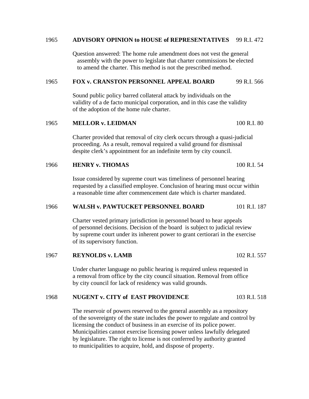#### 1965 **ADVISORY OPINION to HOUSE of REPRESENTATIVES** 99 R.I. 472

 Question answered: The home rule amendment does not vest the general assembly with the power to legislate that charter commissions be elected to amend the charter. This method is not the prescribed method.

#### 1965 **FOX v. CRANSTON PERSONNEL APPEAL BOARD** 99 R.I. 566

 Sound public policy barred collateral attack by individuals on the validity of a de facto municipal corporation, and in this case the validity of the adoption of the home rule charter.

#### 1965 **MELLOR v. LEIDMAN** 100 R.I. 80

 Charter provided that removal of city clerk occurs through a quasi-judicial proceeding. As a result, removal required a valid ground for dismissal despite clerk's appointment for an indefinite term by city council.

#### 1966 **HENRY v. THOMAS** 100 R.I. 54

 Issue considered by supreme court was timeliness of personnel hearing requested by a classified employee. Conclusion of hearing must occur within a reasonable time after commencement date which is charter mandated.

#### 1966 **WALSH v. PAWTUCKET PERSONNEL BOARD** 101 R.I. 187

 Charter vested primary jurisdiction in personnel board to hear appeals of personnel decisions. Decision of the board is subject to judicial review by supreme court under its inherent power to grant certiorari in the exercise of its supervisory function.

1967 **REYNOLDS v. LAMB** 102 R.I. 557

 Under charter language no public hearing is required unless requested in a removal from office by the city council situation. Removal from office by city council for lack of residency was valid grounds.

#### 1968 **NUGENT v. CITY of EAST PROVIDENCE** 103 R I 518

 The reservoir of powers reserved to the general assembly as a repository of the sovereignty of the state includes the power to regulate and control by licensing the conduct of business in an exercise of its police power. Municipalities cannot exercise licensing power unless lawfully delegated by legislature. The right to license is not conferred by authority granted to municipalities to acquire, hold, and dispose of property.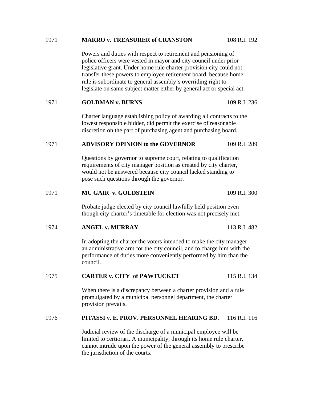#### 1971 **MARRO v. TREASURER of CRANSTON** 108 R.I. 192

Powers and duties with respect to retirement and pensioning of police officers were vested in mayor and city council under prior legislative grant. Under home rule charter provision city could not transfer these powers to employee retirement board, because home rule is subordinate to general assembly's overriding right to legislate on same subject matter either by general act or special act.

#### 1971 **GOLDMAN v. BURNS** 109 R.I. 236

Charter language establishing policy of awarding all contracts to the lowest responsible bidder, did permit the exercise of reasonable discretion on the part of purchasing agent and purchasing board.

#### 1971 **ADVISORY OPINION to the GOVERNOR** 109 R.I. 289

Questions by governor to supreme court, relating to qualification requirements of city manager position as created by city charter, would not be answered because city council lacked standing to pose such questions through the governor.

#### 1971 **MC GAIR v. GOLDSTEIN** 109 R.I. 300

Probate judge elected by city council lawfully held position even though city charter's timetable for election was not precisely met.

#### 1974 **ANGEL v. MURRAY** 113 R.I. 482

In adopting the charter the voters intended to make the city manager an administrative arm for the city council, and to charge him with the performance of duties more conveniently performed by him than the council.

#### 1975 **CARTER v. CITY of PAWTUCKET** 115 R.I. 134

When there is a discrepancy between a charter provision and a rule promulgated by a municipal personnel department, the charter provision prevails.

#### 1976 **PITASSI v. E. PROV. PERSONNEL HEARING BD.** 116 R.I. 116

Judicial review of the discharge of a municipal employee will be limited to certiorari. A municipality, through its home rule charter, cannot intrude upon the power of the general assembly to prescribe the jurisdiction of the courts.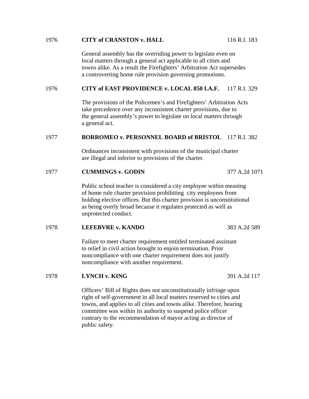#### 1976 **CITY of CRANSTON v. HALL** 116 R.I. 183

General assembly has the overriding power to legislate even on local matters through a general act applicable to all cities and towns alike. As a result the Firefighters' Arbitration Act supersedes a controverting home rule provision governing promotions.

#### 1976 **CITY of EAST PROVIDENCE v. LOCAL 850 I.A.F.** 117 R.I. 329

The provisions of the Policemen's and Firefighters' Arbitration Acts take precedence over any inconsistent charter provisions, due to the general assembly's power to legislate on local matters through a general act.

#### 1977 **BORROMEO v. PERSONNEL BOARD of BRISTOL** 117 R.I. 382

Ordinances inconsistent with provisions of the municipal charter are illegal and inferior to provisions of the charter.

1977 **CUMMINGS v. GODIN** 377 A.2d 1071

Public school teacher is considered a city employee within meaning of home rule charter provision prohibiting city employees from holding elective offices. But this charter provision is unconstitutional as being overly broad because it regulates protected as well as unprotected conduct.

#### 1978 **LEFEBVRE v. KANDO** 383 A.2d 589

Failure to meet charter requirement entitled terminated assistant to relief in civil action brought to enjoin termination. Prior noncompliance with one charter requirement does not justify noncompliance with another requirement.

#### 1978 **LYNCH v. KING** 391 A.2d 117

Officers' Bill of Rights does not unconstitutionally infringe upon right of self-government in all local matters reserved to cities and towns, and applies to all cities and towns alike. Therefore, hearing committee was within its authority to suspend police officer contrary to the recommendation of mayor acting as director of public safety.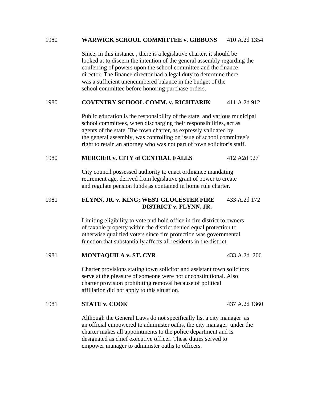#### 1980 **WARWICK SCHOOL COMMITTEE v. GIBBONS** 410 A.2d 1354

Since, in this instance , there is a legislative charter, it should be looked at to discern the intention of the general assembly regarding the conferring of powers upon the school committee and the finance director. The finance director had a legal duty to determine there was a sufficient unencumbered balance in the budget of the school committee before honoring purchase orders.

#### 1980 **COVENTRY SCHOOL COMM. v. RICHTARIK** 411 A.2d 912

Public education is the responsibility of the state, and various municipal school committees, when discharging their responsibilities, act as agents of the state. The town charter, as expressly validated by the general assembly, was controlling on issue of school committee's right to retain an attorney who was not part of town solicitor's staff.

#### 1980 **MERCIER v. CITY of CENTRAL FALLS** 412 A2d 927

City council possessed authority to enact ordinance mandating retirement age, derived from legislative grant of power to create and regulate pension funds as contained in home rule charter.

#### 1981 **FLYNN, JR. v. KING; WEST GLOCESTER FIRE** 433 A.2d 172 **DISTRICT v. FLYNN, JR.**

Limiting eligibility to vote and hold office in fire district to owners of taxable property within the district denied equal protection to otherwise qualified voters since fire protection was governmental function that substantially affects all residents in the district.

#### 1981 **MONTAQUILA v. ST. CYR** 433 A.2d 206

Charter provisions stating town solicitor and assistant town solicitors serve at the pleasure of someone were not unconstitutional. Also charter provision prohibiting removal because of political affiliation did not apply to this situation.

#### 1981 **STATE v. COOK** 437 A.2d 1360

Although the General Laws do not specifically list a city manager as an official empowered to administer oaths, the city manager under the charter makes all appointments to the police department and is designated as chief executive officer. These duties served to empower manager to administer oaths to officers.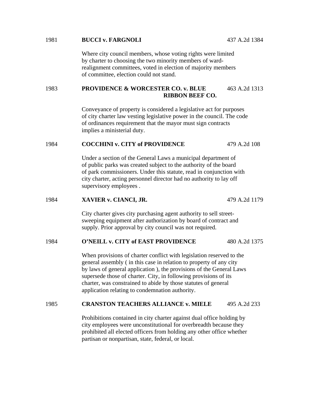#### 1981 **BUCCI v. FARGNOLI** 437 A.2d 1384

Where city council members, whose voting rights were limited by charter to choosing the two minority members of wardrealignment committees, voted in election of majority members of committee, election could not stand.

#### 1983 **PROVIDENCE & WORCESTER CO. v. BLUE** 463 A.2d 1313 **RIBBON BEEF CO.**

Conveyance of property is considered a legislative act for purposes of city charter law vesting legislative power in the council. The code of ordinances requirement that the mayor must sign contracts implies a ministerial duty.

### 1984 **COCCHINI v. CITY of PROVIDENCE** 479 A.2d 108

Under a section of the General Laws a municipal department of of public parks was created subject to the authority of the board of park commissioners. Under this statute, read in conjunction with city charter, acting personnel director had no authority to lay off supervisory employees .

#### 1984 **XAVIER v. CIANCI, JR.** 479 A.2d 1179

City charter gives city purchasing agent authority to sell streetsweeping equipment after authorization by board of contract and supply. Prior approval by city council was not required.

#### 1984 **O'NEILL v. CITY of EAST PROVIDENCE** 480 A.2d 1375

When provisions of charter conflict with legislation reserved to the general assembly ( in this case in relation to property of any city by laws of general application ), the provisions of the General Laws supersede those of charter. City, in following provisions of its charter, was constrained to abide by those statutes of general application relating to condemnation authority.

#### 1985 **CRANSTON TEACHERS ALLIANCE v. MIELE** 495 A.2d 233

Prohibitions contained in city charter against dual office holding by city employees were unconstitutional for overbreadth because they prohibited all elected officers from holding any other office whether partisan or nonpartisan, state, federal, or local.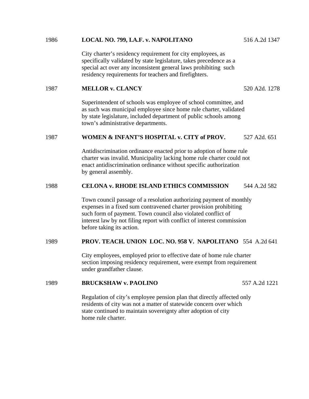#### 1986 **LOCAL NO. 799, I.A.F. v. NAPOLITANO** 516 A.2d 1347

City charter's residency requirement for city employees, as specifically validated by state legislature, takes precedence as a special act over any inconsistent general laws prohibiting such residency requirements for teachers and firefighters.

#### 1987 **MELLOR v. CLANCY** 520 A2d. 1278

Superintendent of schools was employee of school committee, and as such was municipal employee since home rule charter, validated by state legislature, included department of public schools among town's administrative departments.

#### 1987 **WOMEN & INFANT'S HOSPITAL v. CITY of PROV.** 527 A2d. 651

Antidiscrimination ordinance enacted prior to adoption of home rule charter was invalid. Municipality lacking home rule charter could not enact antidiscrimination ordinance without specific authorization by general assembly.

#### 1988 **CELONA v. RHODE ISLAND ETHICS COMMISSION** 544 A.2d 582

Town council passage of a resolution authorizing payment of monthly expenses in a fixed sum contravened charter provision prohibiting such form of payment. Town council also violated conflict of interest law by not filing report with conflict of interest commission before taking its action.

#### 1989 **PROV. TEACH. UNION LOC. NO. 958 V. NAPOLITANO** 554 A.2d 641

City employees, employed prior to effective date of home rule charter section imposing residency requirement, were exempt from requirement under grandfather clause.

#### 1989 **BRUCKSHAW v. PAOLINO** 557 A.2d 1221

Regulation of city's employee pension plan that directly affected only residents of city was not a matter of statewide concern over which state continued to maintain sovereignty after adoption of city home rule charter.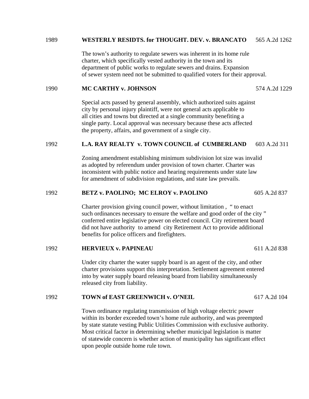#### 1989 **WESTERLY RESIDTS. for THOUGHT. DEV. v. BRANCATO** 565 A.2d 1262

The town's authority to regulate sewers was inherent in its home rule charter, which specifically vested authority in the town and its department of public works to regulate sewers and drains. Expansion of sewer system need not be submitted to qualified voters for their approval.

#### 1990 **MC CARTHY v. JOHNSON** 574 A.2d 1229

Special acts passed by general assembly, which authorized suits against city by personal injury plaintiff, were not general acts applicable to all cities and towns but directed at a single community benefiting a single party. Local approval was necessary because these acts affected the property, affairs, and government of a single city.

#### 1992 **L.A. RAY REALTY v. TOWN COUNCIL of CUMBERLAND** 603 A.2d 311

Zoning amendment establishing minimum subdivision lot size was invalid as adopted by referendum under provision of town charter. Charter was inconsistent with public notice and hearing requirements under state law for amendment of subdivision regulations, and state law prevails.

#### 1992 **BETZ v. PAOLINO; MC ELROY v. PAOLINO** 605 A.2d 837

Charter provision giving council power, without limitation , " to enact such ordinances necessary to ensure the welfare and good order of the city " conferred entire legislative power on elected council. City retirement board did not have authority to amend city Retirement Act to provide additional benefits for police officers and firefighters.

#### 1992 **HERVIEUX v. PAPINEAU** 611 A.2d 838

Under city charter the water supply board is an agent of the city, and other charter provisions support this interpretation. Settlement agreement entered into by water supply board releasing board from liability simultaneously released city from liability.

#### 1992 **TOWN of EAST GREENWICH v. O'NEIL** 617 A.2d 104

Town ordinance regulating transmission of high voltage electric power within its border exceeded town's home rule authority, and was preempted by state statute vesting Public Utilities Commission with exclusive authority. Most critical factor in determining whether municipal legislation is matter of statewide concern is whether action of municipality has significant effect upon people outside home rule town.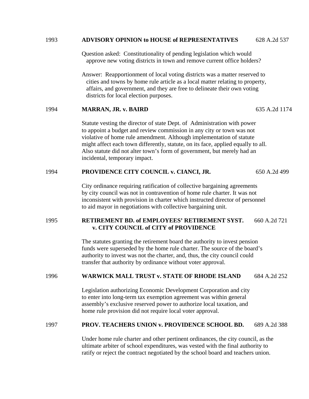#### 1993 **ADVISORY OPINION to HOUSE of REPRESENTATIVES** 628 A.2d 537

Question asked: Constitutionality of pending legislation which would approve new voting districts in town and remove current office holders?

Answer: Reapportionment of local voting districts was a matter reserved to cities and towns by home rule article as a local matter relating to property, affairs, and government, and they are free to delineate their own voting districts for local election purposes.

#### 1994 **MARRAN, JR. v. BAIRD** 635 A.2d 1174

Statute vesting the director of state Dept. of Administration with power to appoint a budget and review commission in any city or town was not violative of home rule amendment. Although implementation of statute might affect each town differently, statute, on its face, applied equally to all. Also statute did not alter town's form of government, but merely had an incidental, temporary impact.

#### 1994 **PROVIDENCE CITY COUNCIL v. CIANCI, JR.** 650 A.2d 499

City ordinance requiring ratification of collective bargaining agreements by city council was not in contravention of home rule charter. It was not inconsistent with provision in charter which instructed director of personnel to aid mayor in negotiations with collective bargaining unit.

#### 1995 **RETIREMENT BD. of EMPLOYEES' RETIREMENT SYST.** 660 A.2d 721 **v. CITY COUNCIL of CITY of PROVIDENCE**

The statutes granting the retirement board the authority to invest pension funds were superseded by the home rule charter. The source of the board's authority to invest was not the charter, and, thus, the city council could transfer that authority by ordinance without voter approval.

#### 1996 **WARWICK MALL TRUST v. STATE OF RHODE ISLAND** 684 A.2d 252

Legislation authorizing Economic Development Corporation and city to enter into long-term tax exemption agreement was within general assembly's exclusive reserved power to authorize local taxation, and home rule provision did not require local voter approval.

#### 1997 **PROV. TEACHERS UNION v. PROVIDENCE SCHOOL BD.** 689 A.2d 388

Under home rule charter and other pertinent ordinances, the city council, as the ultimate arbiter of school expenditures, was vested with the final authority to ratify or reject the contract negotiated by the school board and teachers union.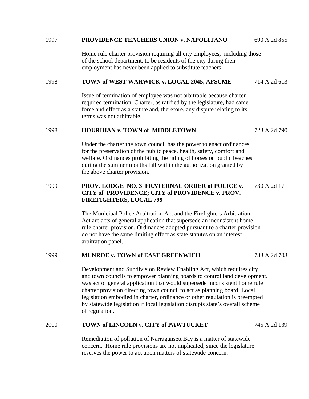#### 1997 **PROVIDENCE TEACHERS UNION v. NAPOLITANO** 690 A.2d 855

Home rule charter provision requiring all city employees, including those of the school department, to be residents of the city during their employment has never been applied to substitute teachers.

#### 1998 **TOWN of WEST WARWICK v. LOCAL 2045, AFSCME** 714 A.2d 613

Issue of termination of employee was not arbitrable because charter required termination. Charter, as ratified by the legislature, had same force and effect as a statute and, therefore, any dispute relating to its terms was not arbitrable.

#### 1998 **HOURIHAN v. TOWN of MIDDLETOWN** 723 A.2d 790

Under the charter the town council has the power to enact ordinances for the preservation of the public peace, health, safety, comfort and welfare. Ordinances prohibiting the riding of horses on public beaches during the summer months fall within the authorization granted by the above charter provision.

#### 1999 **PROV. LODGE NO. 3 FRATERNAL ORDER of POLICE v.** 730 A.2d 17 **CITY of PROVIDENCE; CITY of PROVIDENCE v. PROV. FIREFIGHTERS, LOCAL 799**

 The Municipal Police Arbitration Act and the Firefighters Arbitration Act are acts of general application that supersede an inconsistent home rule charter provision. Ordinances adopted pursuant to a charter provision do not have the same limiting effect as state statutes on an interest arbitration panel.

#### 1999 **MUNROE v. TOWN of EAST GREENWICH** 733 A.2d 703

 Development and Subdivision Review Enabling Act, which requires city and town councils to empower planning boards to control land development, was act of general application that would supersede inconsistent home rule charter provision directing town council to act as planning board. Local legislation embodied in charter, ordinance or other regulation is preempted by statewide legislation if local legislation disrupts state's overall scheme of regulation.

#### 2000 **TOWN of LINCOLN v. CITY of PAWTUCKET** 745 A.2d 139

 Remediation of pollution of Narragansett Bay is a matter of statewide concern. Home rule provisions are not implicated, since the legislature reserves the power to act upon matters of statewide concern.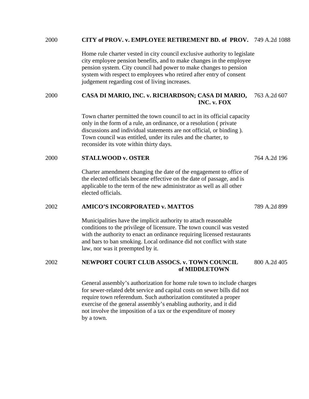#### 2000 **CITY of PROV. v. EMPLOYEE RETIREMENT BD. of PROV.** 749 A.2d 1088

Home rule charter vested in city council exclusive authority to legislate city employee pension benefits, and to make changes in the employee pension system. City council had power to make changes to pension system with respect to employees who retired after entry of consent judgement regarding cost of living increases.

# 2000 **CASA DI MARIO, INC. v. RICHARDSON; CASA DI MARIO,** 763 A.2d 607 **INC. v. FOX**

Town charter permitted the town council to act in its official capacity only in the form of a rule, an ordinance, or a resolution ( private discussions and individual statements are not official, or binding ). Town council was entitled, under its rules and the charter, to reconsider its vote within thirty days.

# 2000 **STALLWOOD v. OSTER** 764 A.2d 196

Charter amendment changing the date of the engagement to office of the elected officials became effective on the date of passage, and is applicable to the term of the new administrator as well as all other elected officials.

#### 2002 **AMICO'S INCORPORATED v. MATTOS** 789 A.2d 899

Municipalities have the implicit authority to attach reasonable conditions to the privilege of licensure. The town council was vested with the authority to enact an ordinance requiring licensed restaurants and bars to ban smoking. Local ordinance did not conflict with state law, nor was it preempted by it.

# 2002 **NEWPORT COURT CLUB ASSOCS. v. TOWN COUNCIL** 800 A.2d 405 **of MIDDLETOWN**

General assembly's authorization for home rule town to include charges for sewer-related debt service and capital costs on sewer bills did not require town referendum. Such authorization constituted a proper exercise of the general assembly's enabling authority, and it did not involve the imposition of a tax or the expenditure of money by a town.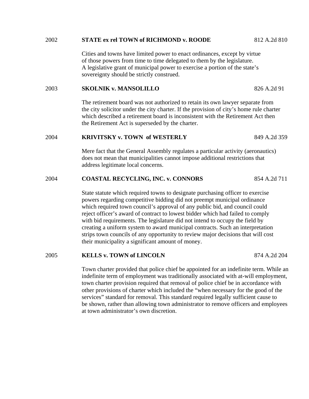### 2002 **STATE ex rel TOWN of RICHMOND v. ROODE** 812 A.2d 810

Cities and towns have limited power to enact ordinances, except by virtue of those powers from time to time delegated to them by the legislature. A legislative grant of municipal power to exercise a portion of the state's sovereignty should be strictly construed.

# 2003 **SKOLNIK v. MANSOLILLO** 826 A.2d 91

The retirement board was not authorized to retain its own lawyer separate from the city solicitor under the city charter. If the provision of city's home rule charter which described a retirement board is inconsistent with the Retirement Act then the Retirement Act is superseded by the charter.

## 2004 **KRIVITSKY v. TOWN of WESTERLY** 849 A.2d 359

Mere fact that the General Assembly regulates a particular activity (aeronautics) does not mean that municipalities cannot impose additional restrictions that address legitimate local concerns.

# 2004 **COASTAL RECYCLING, INC. v. CONNORS** 854 A.2d 711

State statute which required towns to designate purchasing officer to exercise powers regarding competitive bidding did not preempt municipal ordinance which required town council's approval of any public bid, and council could reject officer's award of contract to lowest bidder which had failed to comply with bid requirements. The legislature did not intend to occupy the field by creating a uniform system to award municipal contracts. Such an interpretation strips town councils of any opportunity to review major decisions that will cost their municipality a significant amount of money.

### 2005 **KELLS v. TOWN of LINCOLN** 874 A.2d 204

Town charter provided that police chief be appointed for an indefinite term. While an indefinite term of employment was traditionally associated with at-will employment, town charter provision required that removal of police chief be in accordance with other provisions of charter which included the "when necessary for the good of the services" standard for removal. This standard required legally sufficient cause to be shown, rather than allowing town administrator to remove officers and employees at town administrator's own discretion.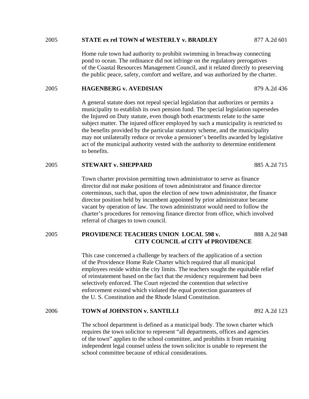#### 2005 **STATE ex rel TOWN of WESTERLY v. BRADLEY** 877 A.2d 601

Home rule town had authority to prohibit swimming in breachway connecting pond to ocean. The ordinance did not infringe on the regulatory prerogatives of the Coastal Resources Management Council, and it related directly to preserving the public peace, safety, comfort and welfare, and was authorized by the charter.

#### 2005 **HAGENBERG v. AVEDISIAN** 879 A.2d 436

 A general statute does not repeal special legislation that authorizes or permits a municipality to establish its own pension fund. The special legislation supersedes the Injured on Duty statute, even though both enactments relate to the same subject matter. The injured officer employed by such a municipality is restricted to the benefits provided by the particular statutory scheme, and the municipality may not unilaterally reduce or revoke a pensioner's benefits awarded by legislative act of the municipal authority vested with the authority to determine entitlement to benefits.

#### 2005 **STEWART v. SHEPPARD** 885 A.2d 715

Town charter provision permitting town administrator to serve as finance director did not make positions of town administrator and finance director coterminous, such that, upon the election of new town administrator, the finance director position held by incumbent appointed by prior administrator became vacant by operation of law. The town administrator would need to follow the charter's procedures for removing finance director from office, which involved referral of charges to town council.

# 2005 **PROVIDENCE TEACHERS UNION LOCAL 598 v.** 888 A.2d 948 **CITY COUNCIL of CITY of PROVIDENCE**

This case concerned a challenge by teachers of the application of a section of the Providence Home Rule Charter which required that all municipal employees reside within the city limits. The teachers sought the equitable relief of reinstatement based on the fact that the residency requirement had been selectively enforced. The Court rejected the contention that selective enforcement existed which violated the equal protection guarantees of the U. S. Constitution and the Rhode Island Constitution.

# 2006 **TOWN of JOHNSTON v. SANTILLI** 892 A.2d 123

The school department is defined as a municipal body. The town charter which requires the town solicitor to represent "all departments, offices and agencies of the town" applies to the school committee, and prohibits it from retaining independent legal counsel unless the town solicitor is unable to represent the school committee because of ethical considerations.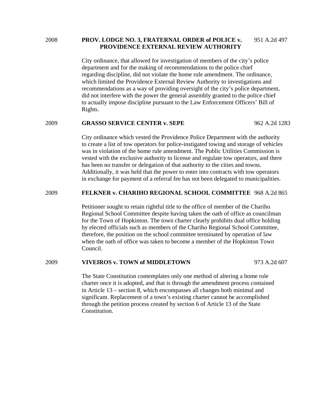2008 **PROV. LODGE NO. 3, FRATERNAL ORDER of POLICE v.** 951 A.2d 497  **PROVIDENCE EXTERNAL REVIEW AUTHORITY** 

> City ordinance, that allowed for investigation of members of the city's police department and for the making of recommendations to the police chief regarding discipline, did not violate the home rule amendment. The ordinance, which limited the Providence External Review Authority to investigations and recommendations as a way of providing oversight of the city's police department, did not interfere with the power the general assembly granted to the police chief to actually impose discipline pursuant to the Law Enforcement Officers' Bill of Rights.

# 2009 **GRASSO SERVICE CENTER v. SEPE** 962 A.2d 1283

City ordinance which vested the Providence Police Department with the authority to create a list of tow operators for police-instigated towing and storage of vehicles was in violation of the home rule amendment. The Public Utilities Commission is vested with the exclusive authority to license and regulate tow operators, and there has been no transfer or delegation of that authority to the cities and towns. Additionally, it was held that the power to enter into contracts with tow operators in exchange for payment of a referral fee has not been delegated to municipalities.

#### 2009 **FELKNER v. CHARIHO REGIONAL SCHOOL COMMITTEE** 968 A.2d 865

Petitioner sought to retain rightful title to the office of member of the Chariho Regional School Committee despite having taken the oath of office as councilman for the Town of Hopkinton. The town charter clearly prohibits dual office holding by elected officials such as members of the Chariho Regional School Committee, therefore, the position on the school committee terminated by operation of law when the oath of office was taken to become a member of the Hopkinton Town Council.

#### 2009 **VIVEIROS v. TOWN of MIDDLETOWN** 973 A.2d 607

The State Constitution contemplates only one method of altering a home rule charter once it is adopted, and that is through the amendment process contained in Article 13 – section 8, which encompasses all changes both minimal and significant. Replacement of a town's existing charter cannot be accomplished through the petition process created by section 6 of Article 13 of the State Constitution.